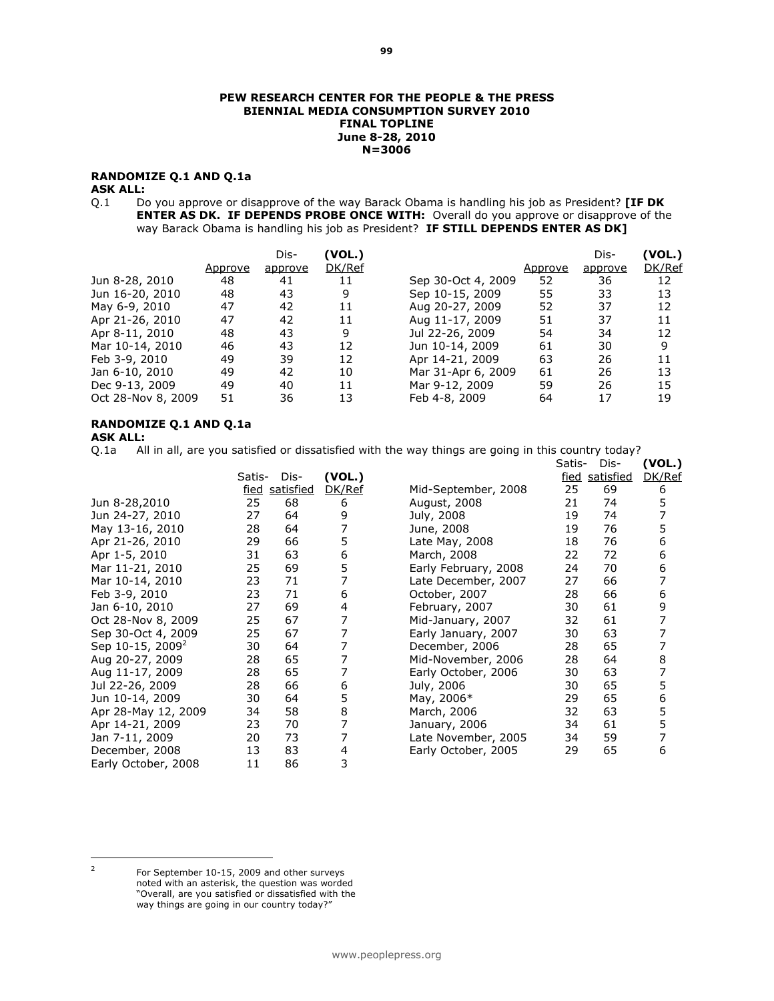#### PEW RESEARCH CENTER FOR THE PEOPLE & THE PRESS BIENNIAL MEDIA CONSUMPTION SURVEY 2010 FINAL TOPLINE June 8-28, 2010 N=3006

# RANDOMIZE Q.1 AND Q.1a

### ASK ALL:

Q.1 Do you approve or disapprove of the way Barack Obama is handling his job as President? [IF DK ENTER AS DK. IF DEPENDS PROBE ONCE WITH: Overall do you approve or disapprove of the way Barack Obama is handling his job as President? IF STILL DEPENDS ENTER AS DK]

|                    | Approve | Dis-<br>approve | (VOL.)<br>DK/Ref |                    | Approve | Dis-<br>approve | (VOL.)<br>DK/Ref |
|--------------------|---------|-----------------|------------------|--------------------|---------|-----------------|------------------|
| Jun 8-28, 2010     | 48      | 41              | 11               | Sep 30-Oct 4, 2009 | 52      | 36              | 12               |
| Jun 16-20, 2010    | 48      | 43              | 9                | Sep 10-15, 2009    | 55      | 33              | 13               |
| May 6-9, 2010      | 47      | 42              | 11               | Aug 20-27, 2009    | 52      | 37              | 12               |
| Apr 21-26, 2010    | 47      | 42              | 11               | Aug 11-17, 2009    | 51      | 37              | 11               |
| Apr 8-11, 2010     | 48      | 43              | 9                | Jul 22-26, 2009    | 54      | 34              | 12               |
| Mar 10-14, 2010    | 46      | 43              | 12               | Jun 10-14, 2009    | 61      | 30              | 9                |
| Feb 3-9, 2010      | 49      | 39              | 12               | Apr 14-21, 2009    | 63      | 26              | 11               |
| Jan 6-10, 2010     | 49      | 42              | 10               | Mar 31-Apr 6, 2009 | 61      | 26              | 13               |
| Dec 9-13, 2009     | 49      | 40              | 11               | Mar 9-12, 2009     | 59      | 26              | 15               |
| Oct 28-Nov 8, 2009 | 51      | 36              | 13               | Feb 4-8, 2009      | 64      | 17              | 19               |

# RANDOMIZE Q.1 AND Q.1a

**ASK ALL:**<br>0.1a All All in all, are you satisfied or dissatisfied with the way things are going in this country today?

|                              |        |           |        |                      | Satis-      | Dis-      | (VOL.) |
|------------------------------|--------|-----------|--------|----------------------|-------------|-----------|--------|
|                              | Satis- | Dis-      | (VOL.) |                      | <u>fied</u> | satisfied | DK/Ref |
|                              | fied   | satisfied | DK/Ref | Mid-September, 2008  | 25          | 69        | 6      |
| Jun 8-28,2010                | 25     | 68        | 6      | August, 2008         | 21          | 74        | 5      |
| Jun 24-27, 2010              | 27     | 64        | 9      | July, 2008           | 19          | 74        | 7      |
| May 13-16, 2010              | 28     | 64        | 7      | June, 2008           | 19          | 76        | 5      |
| Apr 21-26, 2010              | 29     | 66        | 5      | Late May, 2008       | 18          | 76        | 6      |
| Apr 1-5, 2010                | 31     | 63        | 6      | March, 2008          | 22          | 72        | 6      |
| Mar 11-21, 2010              | 25     | 69        | 5      | Early February, 2008 | 24          | 70        | 6      |
| Mar 10-14, 2010              | 23     | 71        | 7      | Late December, 2007  | 27          | 66        | 7      |
| Feb 3-9, 2010                | 23     | 71        | 6      | October, 2007        | 28          | 66        | 6      |
| Jan 6-10, 2010               | 27     | 69        | 4      | February, 2007       | 30          | 61        | 9      |
| Oct 28-Nov 8, 2009           | 25     | 67        | 7      | Mid-January, 2007    | 32          | 61        | 7      |
| Sep 30-Oct 4, 2009           | 25     | 67        | 7      | Early January, 2007  | 30          | 63        | 7      |
| Sep 10-15, 2009 <sup>2</sup> | 30     | 64        | 7      | December, 2006       | 28          | 65        | 7      |
| Aug 20-27, 2009              | 28     | 65        | 7      | Mid-November, 2006   | 28          | 64        | 8      |
| Aug 11-17, 2009              | 28     | 65        | 7      | Early October, 2006  | 30          | 63        | 7      |
| Jul 22-26, 2009              | 28     | 66        | 6      | July, 2006           | 30          | 65        | 5      |
| Jun 10-14, 2009              | 30     | 64        | 5      | May, 2006*           | 29          | 65        | 6      |
| Apr 28-May 12, 2009          | 34     | 58        | 8      | March, 2006          | 32          | 63        | 5      |
| Apr 14-21, 2009              | 23     | 70        | 7      | January, 2006        | 34          | 61        | 5      |
| Jan 7-11, 2009               | 20     | 73        | 7      | Late November, 2005  | 34          | 59        | 7      |
| December, 2008               | 13     | 83        | 4      | Early October, 2005  | 29          | 65        | 6      |
| Early October, 2008          | 11     | 86        | 3      |                      |             |           |        |

 $\overline{2}$ 

For September 10-15, 2009 and other surveys noted with an asterisk, the question was worded "Overall, are you satisfied or dissatisfied with the way things are going in our country today?"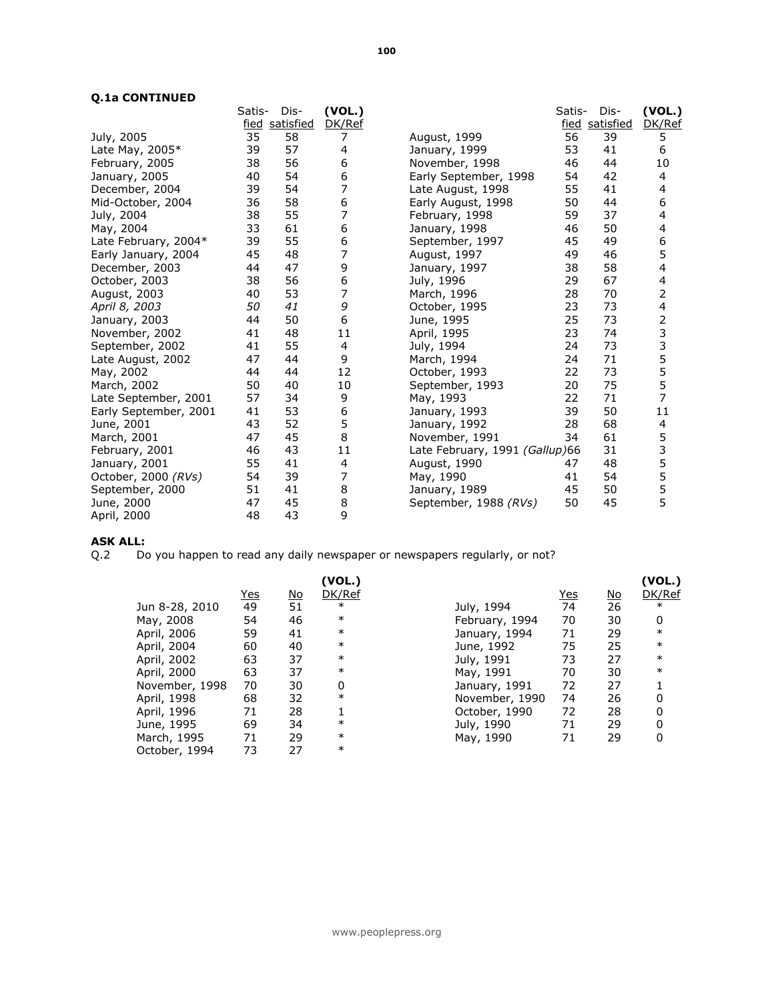### Q.1a CONTINUED

| Q.Ia CONTINUED        |        |                |        |                                |        |                |                |
|-----------------------|--------|----------------|--------|--------------------------------|--------|----------------|----------------|
|                       | Satis- | Dis-           | (VOL.) |                                | Satis- | Dis-           | (VOL.)         |
|                       |        | fied satisfied | DK/Ref |                                |        | fied satisfied | DK/Ref         |
| July, 2005            | 35     | 58             | 7      | August, 1999                   | 56     | 39             | 5              |
| Late May, 2005*       | 39     | 57             | 4      | January, 1999                  | 53     | 41             | 6              |
| February, 2005        | 38     | 56             | 6      | November, 1998                 | 46     | 44             | 10             |
| January, 2005         | 40     | 54             | 6      | Early September, 1998          | 54     | 42             | 4              |
| December, 2004        | 39     | 54             | 7      | Late August, 1998              | 55     | 41             | 4              |
| Mid-October, 2004     | 36     | 58             | 6      | Early August, 1998             | 50     | 44             | 6              |
| July, 2004            | 38     | 55             | 7      | February, 1998                 | 59     | 37             | 4              |
| May, 2004             | 33     | 61             | 6      | January, 1998                  | 46     | 50             | 4              |
| Late February, 2004*  | 39     | 55             | 6      | September, 1997                | 45     | 49             | 6              |
| Early January, 2004   | 45     | 48             | 7      | August, 1997                   | 49     | 46             | 5              |
| December, 2003        | 44     | 47             | 9      | January, 1997                  | 38     | 58             | 4              |
| October, 2003         | 38     | 56             | 6      | July, 1996                     | 29     | 67             | 4              |
| August, 2003          | 40     | 53             | 7      | March, 1996                    | 28     | 70             | 2              |
| April 8, 2003         | 50     | 41             | 9      | October, 1995                  | 23     | 73             | 4              |
| January, 2003         | 44     | 50             | 6      | June, 1995                     | 25     | 73             | $\overline{2}$ |
| November, 2002        | 41     | 48             | 11     | April, 1995                    | 23     | 74             | 33555          |
| September, 2002       | 41     | 55             | 4      | July, 1994                     | 24     | 73             |                |
| Late August, 2002     | 47     | 44             | 9      | March, 1994                    | 24     | 71             |                |
| May, 2002             | 44     | 44             | 12     | October, 1993                  | 22     | 73             |                |
| March, 2002           | 50     | 40             | 10     | September, 1993                | 20     | 75             |                |
| Late September, 2001  | 57     | 34             | 9      | May, 1993                      | 22     | 71             | $\overline{7}$ |
| Early September, 2001 | 41     | 53             | 6      | January, 1993                  | 39     | 50             | 11             |
| June, 2001            | 43     | 52             | 5      | January, 1992                  | 28     | 68             | 4              |
| March, 2001           | 47     | 45             | 8      | November, 1991                 | 34     | 61             | 5              |
| February, 2001        | 46     | 43             | 11     | Late February, 1991 (Gallup)66 |        | 31             | 3<br>5<br>5    |
| January, 2001         | 55     | 41             | 4      | August, 1990                   | 47     | 48             |                |
| October, 2000 (RVs)   | 54     | 39             | 7      | May, 1990                      | 41     | 54             |                |
| September, 2000       | 51     | 41             | 8      | January, 1989                  | 45     | 50             | $\frac{5}{5}$  |
| June, 2000            | 47     | 45             | 8      | September, 1988 (RVs)          | 50     | 45             |                |
| April, 2000           | 48     | 43             | 9      |                                |        |                |                |

# ASK ALL:

Q.2 Do you happen to read any daily newspaper or newspapers regularly, or not?

|                |            |           | (VOL.) |                |            |           | (VOL.) |
|----------------|------------|-----------|--------|----------------|------------|-----------|--------|
|                | <u>Yes</u> | <u>No</u> | DK/Ref |                | <u>Yes</u> | <u>No</u> | DK/Ref |
| Jun 8-28, 2010 | 49         | 51        | $\ast$ | July, 1994     | 74         | 26        | $\ast$ |
| May, 2008      | 54         | 46        | $\ast$ | February, 1994 | 70         | 30        | 0      |
| April, 2006    | 59         | 41        | $\ast$ | January, 1994  | 71         | 29        | $\ast$ |
| April, 2004    | 60         | 40        | $\ast$ | June, 1992     | 75         | 25        | $\ast$ |
| April, 2002    | 63         | 37        | $\ast$ | July, 1991     | 73         | 27        | $\ast$ |
| April, 2000    | 63         | 37        | $\ast$ | May, 1991      | 70         | 30        | $\ast$ |
| November, 1998 | 70         | 30        | 0      | January, 1991  | 72         | 27        |        |
| April, 1998    | 68         | 32        | $\ast$ | November, 1990 | 74         | 26        | 0      |
| April, 1996    | 71         | 28        |        | October, 1990  | 72         | 28        | 0      |
| June, 1995     | 69         | 34        | $\ast$ | July, 1990     | 71         | 29        | 0      |
| March, 1995    | 71         | 29        | $\ast$ | May, 1990      | 71         | 29        | 0      |
| October, 1994  | 73         | 27        | $\ast$ |                |            |           |        |
|                |            |           |        |                |            |           |        |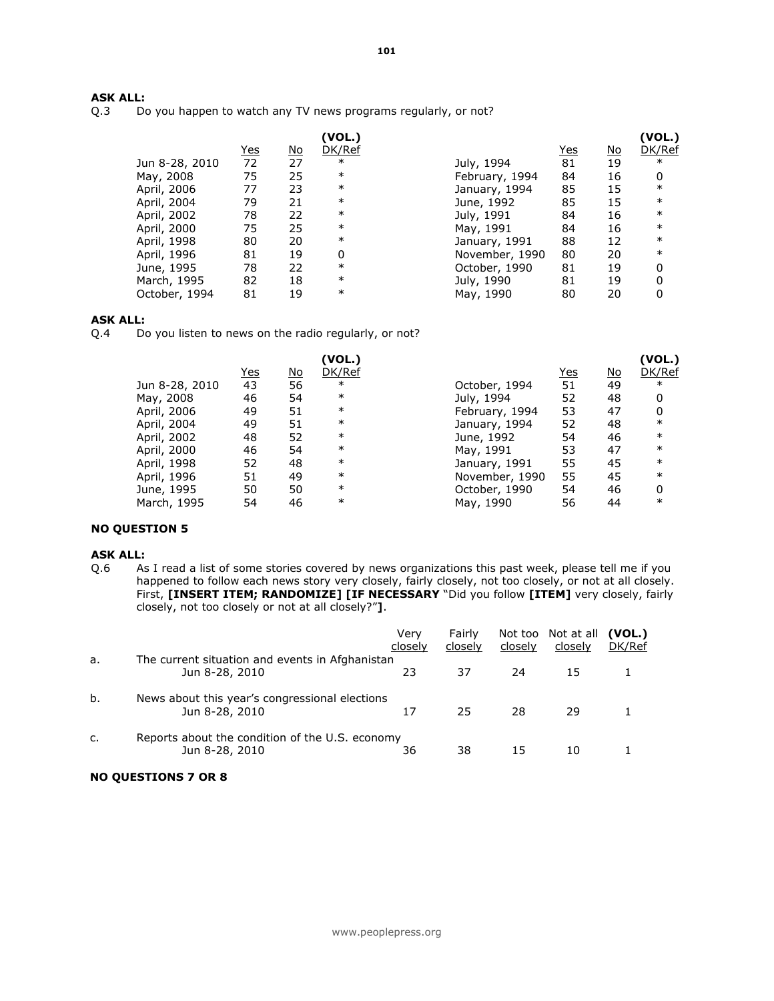# **ASK ALL:**<br>Q.3 Do

Do you happen to watch any TV news programs regularly, or not?

|                |            |           | (VOL.) |                |            |           | (VOL.) |
|----------------|------------|-----------|--------|----------------|------------|-----------|--------|
|                | <u>Yes</u> | <u>No</u> | DK/Ref |                | <u>Yes</u> | <u>No</u> | DK/Ref |
| Jun 8-28, 2010 | 72         | 27        | $\ast$ | July, 1994     | 81         | 19        | $\ast$ |
| May, 2008      | 75         | 25        | $\ast$ | February, 1994 | 84         | 16        | 0      |
| April, 2006    | 77         | 23        | $\ast$ | January, 1994  | 85         | 15        | $\ast$ |
| April, 2004    | 79         | 21        | $\ast$ | June, 1992     | 85         | 15        | $\ast$ |
| April, 2002    | 78         | 22        | $\ast$ | July, 1991     | 84         | 16        | $\ast$ |
| April, 2000    | 75         | 25        | $\ast$ | May, 1991      | 84         | 16        | $\ast$ |
| April, 1998    | 80         | 20        | $\ast$ | January, 1991  | 88         | 12        | $\ast$ |
| April, 1996    | 81         | 19        | 0      | November, 1990 | 80         | 20        | $\ast$ |
| June, 1995     | 78         | 22        | $\ast$ | October, 1990  | 81         | 19        | 0      |
| March, 1995    | 82         | 18        | $\ast$ | July, 1990     | 81         | 19        | 0      |
| October, 1994  | 81         | 19        | $\ast$ | May, 1990      | 80         | 20        |        |

**ASK ALL:**<br>Q.4 Do Do you listen to news on the radio regularly, or not?

|                |            |           | (VOL.) |                |            |           | (VOL.) |
|----------------|------------|-----------|--------|----------------|------------|-----------|--------|
|                | <u>Yes</u> | <u>No</u> | DK/Ref |                | <u>Yes</u> | <u>No</u> | DK/Ref |
| Jun 8-28, 2010 | 43         | 56        | $\ast$ | October, 1994  | 51         | 49        | $\ast$ |
| May, 2008      | 46         | 54        | $\ast$ | July, 1994     | 52         | 48        | 0      |
| April, 2006    | 49         | 51        | $\ast$ | February, 1994 | 53         | 47        | 0      |
| April, 2004    | 49         | 51        | $\ast$ | January, 1994  | 52         | 48        | $\ast$ |
| April, 2002    | 48         | 52        | $\ast$ | June, 1992     | 54         | 46        | $\ast$ |
| April, 2000    | 46         | 54        | $\ast$ | May, 1991      | 53         | 47        | $\ast$ |
| April, 1998    | 52         | 48        | $\ast$ | January, 1991  | 55         | 45        | $\ast$ |
| April, 1996    | 51         | 49        | $\ast$ | November, 1990 | 55         | 45        | $\ast$ |
| June, 1995     | 50         | 50        | $\ast$ | October, 1990  | 54         | 46        | 0      |
| March, 1995    | 54         | 46        | $\ast$ | May, 1990      | 56         | 44        | $\ast$ |
|                |            |           |        |                |            |           |        |

# NO QUESTION 5

# **ASK ALL:**<br>Q.6 As

As I read a list of some stories covered by news organizations this past week, please tell me if you happened to follow each news story very closely, fairly closely, not too closely, or not at all closely. First, [INSERT ITEM; RANDOMIZE] [IF NECESSARY "Did you follow [ITEM] very closely, fairly closely, not too closely or not at all closely?"].

|    |                                                                   | Very<br>closely | Fairly<br>closely | closely | Not too Not at all<br>closely | (VOL.)<br>DK/Ref |
|----|-------------------------------------------------------------------|-----------------|-------------------|---------|-------------------------------|------------------|
| а. | The current situation and events in Afghanistan<br>Jun 8-28, 2010 | 23              | 37                | 24      | 15                            |                  |
| b. | News about this year's congressional elections<br>Jun 8-28, 2010  | 17              | 25                | 28      | 29                            |                  |
| c. | Reports about the condition of the U.S. economy<br>Jun 8-28, 2010 | 36              | 38                | 15      | 10                            |                  |

#### NO QUESTIONS 7 OR 8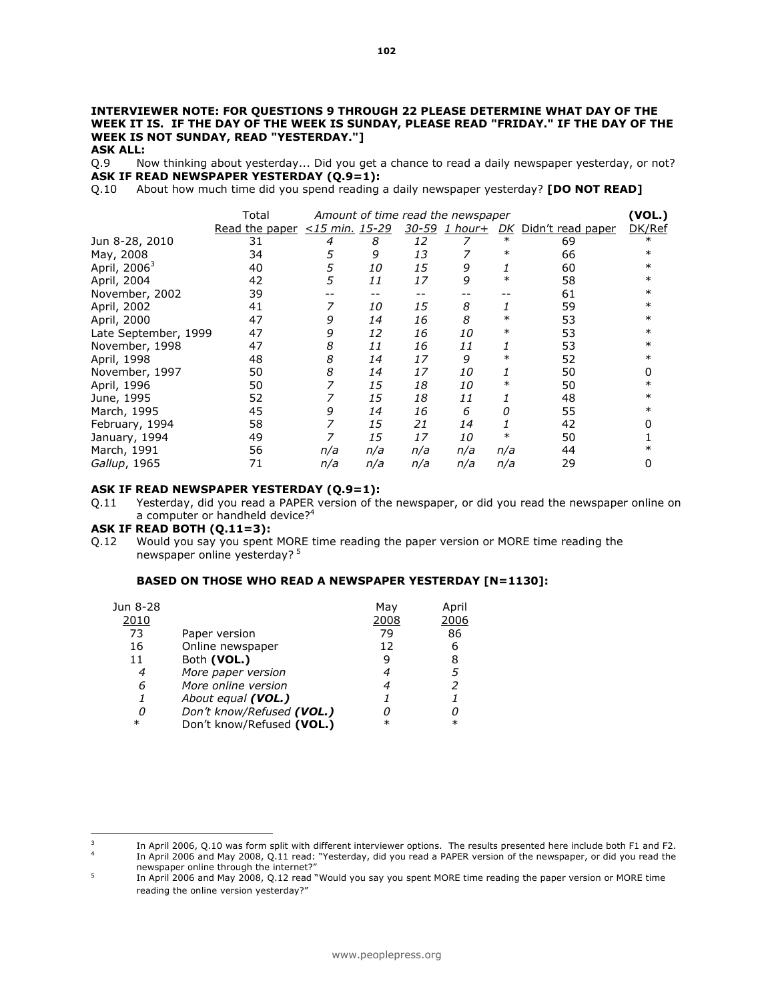#### INTERVIEWER NOTE: FOR QUESTIONS 9 THROUGH 22 PLEASE DETERMINE WHAT DAY OF THE WEEK IT IS. IF THE DAY OF THE WEEK IS SUNDAY, PLEASE READ "FRIDAY." IF THE DAY OF THE WEEK IS NOT SUNDAY, READ "YESTERDAY."] ASK ALL:

Q.9 Now thinking about yesterday... Did you get a chance to read a daily newspaper yesterday, or not? ASK IF READ NEWSPAPER YESTERDAY (Q.9=1):

Q.10 About how much time did you spend reading a daily newspaper yesterday? [DO NOT READ]

|                          | Total                              |     |     |     | Amount of time read the newspaper |        |                      | (VOL.) |
|--------------------------|------------------------------------|-----|-----|-----|-----------------------------------|--------|----------------------|--------|
|                          | Read the paper $\lt 15$ min. 15-29 |     |     |     | $30-59$ 1 hour+                   |        | DK Didn't read paper | DK/Ref |
| Jun 8-28, 2010           | 31                                 | 4   | 8   | 12  |                                   | $\ast$ | 69                   | $\ast$ |
| May, 2008                | 34                                 | 5   | 9   | 13  |                                   | $\ast$ | 66                   | $\ast$ |
| April, 2006 <sup>3</sup> | 40                                 | 5   | 10  | 15  | 9                                 |        | 60                   |        |
| April, 2004              | 42                                 | 5   | 11  | 17  | 9                                 | $\ast$ | 58                   | ∗      |
| November, 2002           | 39                                 |     |     |     |                                   |        | 61                   | ∗      |
| April, 2002              | 41                                 |     | 10  | 15  | 8                                 |        | 59                   | $\ast$ |
| April, 2000              | 47                                 | 9   | 14  | 16  | 8                                 | $\ast$ | 53                   | $\ast$ |
| Late September, 1999     | 47                                 | 9   | 12  | 16  | <i>10</i>                         | ∗      | 53                   | ∗      |
| November, 1998           | 47                                 | 8   | 11  | 16  | 11                                |        | 53                   | ∗      |
| April, 1998              | 48                                 | 8   | 14  | 17  | 9                                 | $\ast$ | 52                   |        |
| November, 1997           | 50                                 | 8   | 14  | 17  | <i>10</i>                         |        | 50                   |        |
| April, 1996              | 50                                 |     | 15  | 18  | <i>10</i>                         | $\ast$ | 50                   |        |
| June, 1995               | 52                                 |     | 15  | 18  | 11                                |        | 48                   |        |
| March, 1995              | 45                                 | 9   | 14  | 16  | 6                                 | 0      | 55                   |        |
| February, 1994           | 58                                 |     | 15  | 21  | 14                                |        | 42                   |        |
| January, 1994            | 49                                 |     | 15  | 17  | 10                                |        | 50                   |        |
| March, 1991              | 56                                 | n/a | n/a | n/a | n/a                               | n/a    | 44                   |        |
| Gallup, 1965             | 71                                 | n/a | n/a | n/a | n/a                               | n/a    | 29                   |        |

#### ASK IF READ NEWSPAPER YESTERDAY (Q.9=1):

Q.11 Yesterday, did you read a PAPER version of the newspaper, or did you read the newspaper online on a computer or handheld device?<sup>4</sup>

#### ASK IF READ BOTH (Q.11=3):

Q.12 Would you say you spent MORE time reading the paper version or MORE time reading the newspaper online yesterday?<sup>5</sup>

#### BASED ON THOSE WHO READ A NEWSPAPER YESTERDAY [N=1130]:

| Jun 8-28 |                           | May    | April  |
|----------|---------------------------|--------|--------|
| 2010     |                           | 2008   | 2006   |
| 73       | Paper version             | 79     | 86     |
| 16       | Online newspaper          | 12     | 6      |
| 11       | Both (VOL.)               | 9      | 8      |
| 4        | More paper version        |        | 5      |
| 6        | More online version       |        |        |
|          | About equal (VOL.)        |        |        |
| 0        | Don't know/Refused (VOL.) | Ω      |        |
| $\ast$   | Don't know/Refused (VOL.) | $\ast$ | $\ast$ |

 $\overline{\mathbf{3}}$ <sup>3</sup>In April 2006, Q.10 was form split with different interviewer options. The results presented here include both F1 and F2. 4 In April 2006 and May 2008, Q.11 read: "Yesterday, did you read a PAPER version of the newspaper, or did you read the

newspaper online through the internet?"

<sup>5</sup> In April 2006 and May 2008, Q.12 read "Would you say you spent MORE time reading the paper version or MORE time reading the online version yesterday?"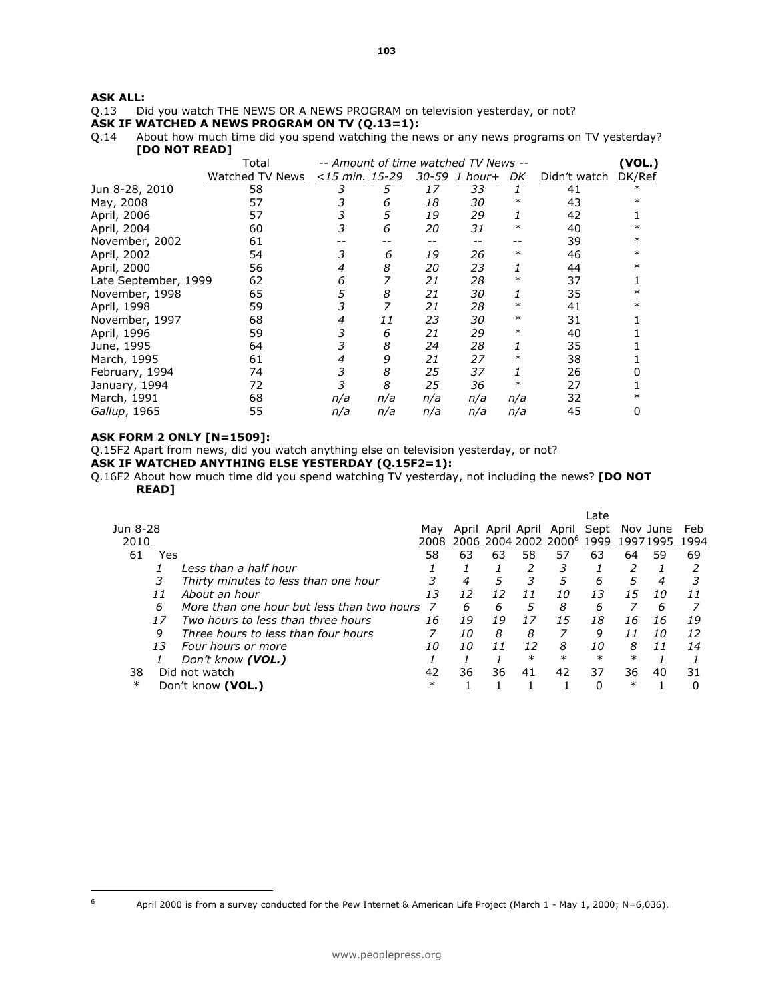# **ASK ALL:**<br>Q.13 Di

Did you watch THE NEWS OR A NEWS PROGRAM on television yesterday, or not?

ASK IF WATCHED A NEWS PROGRAM ON TV  $(Q.13=1)$ :<br>Q.14 About how much time did you spend watching the ne About how much time did you spend watching the news or any news programs on TV yesterday? [DO NOT READ]

|                      | Total           |                          |     |     | -- Amount of time watched TV News -- |        |              | <b>VOL.)</b> |
|----------------------|-----------------|--------------------------|-----|-----|--------------------------------------|--------|--------------|--------------|
|                      |                 |                          |     |     |                                      |        |              |              |
|                      | Watched TV News | <u>&lt;15 min. 15-29</u> |     |     | 30-59 1 hour+                        | DK     | Didn't watch | DK/Ref       |
| Jun 8-28, 2010       | 58              |                          | 5   | 17  | 33                                   | 1      | 41           | $\ast$       |
| May, 2008            | 57              |                          | 6   | 18  | 30                                   | $\ast$ | 43           | $\ast$       |
| April, 2006          | 57              | 3                        | 5   | 19  | 29                                   | 1      | 42           |              |
| April, 2004          | 60              | 3                        | 6   | 20  | 31                                   | $\ast$ | 40           | $\ast$       |
| November, 2002       | 61              |                          |     |     |                                      |        | 39           | $^\ast$      |
| April, 2002          | 54              | 3                        | 6   | 19  | 26                                   | $\ast$ | 46           | $\ast$       |
| April, 2000          | 56              | 4                        | 8   | 20  | 23                                   |        | 44           | $^\ast$      |
| Late September, 1999 | 62              | 6                        |     | 21  | 28                                   | $\ast$ | 37           |              |
| November, 1998       | 65              | 5                        | 8   | 21  | 30                                   | 1      | 35           |              |
| April, 1998          | 59              |                          |     | 21  | 28                                   | $\ast$ | 41           |              |
| November, 1997       | 68              | 4                        | 11  | 23  | 30                                   | $\ast$ | 31           |              |
| April, 1996          | 59              | 3                        | 6   | 21  | 29                                   | $\ast$ | 40           |              |
| June, 1995           | 64              |                          | 8   | 24  | 28                                   |        | 35           |              |
| March, 1995          | 61              | 4                        | 9   | 21  | 27                                   | ∗      | 38           |              |
| February, 1994       | 74              | 3                        | 8   | 25  | 37                                   | 1      | 26           |              |
| January, 1994        | 72              |                          | 8   | 25  | 36                                   | $\ast$ | 27           |              |
| March, 1991          | 68              | n/a                      | n/a | n/a | n/a                                  | n/a    | 32           |              |
| Gallup, 1965         | 55              | n/a                      | n/a | n/a | n/a                                  | n/a    | 45           |              |
|                      |                 |                          |     |     |                                      |        |              |              |

# ASK FORM 2 ONLY [N=1509]:

 $\boldsymbol{6}$ 

Q.15F2 Apart from news, did you watch anything else on television yesterday, or not?

ASK IF WATCHED ANYTHING ELSE YESTERDAY (Q.15F2=1):

Q.16F2 About how much time did you spend watching TV yesterday, not including the news? [DO NOT READ]

|           |                                            |        |    |    |                   |                                  | Late   |        |          |      |
|-----------|--------------------------------------------|--------|----|----|-------------------|----------------------------------|--------|--------|----------|------|
| Jun 8-28  |                                            | Mav    |    |    | April April April | April                            | Sept   |        | Nov June | Feb  |
| 2010      |                                            | 2008   |    |    |                   | 2006 2004 2002 2000 <sup>6</sup> | 1999   |        | 19971995 | 1994 |
| 61<br>Yes |                                            | 58     | 63 | 63 | 58                | 57                               | 63     | 64     | 59       | 69   |
|           | Less than a half hour                      |        |    |    |                   |                                  |        |        |          |      |
|           | Thirty minutes to less than one hour       |        | 4  | 5  |                   |                                  | 6      | 5      | 4        |      |
| 11        | About an hour                              | 13     | 12 | 12 |                   | 10                               | 1.3    | 15     | 10       | 11   |
| 6         | More than one hour but less than two hours |        | 6  | 6  |                   | 8                                | 6      |        | 6        |      |
| 17        | Two hours to less than three hours         | 16     | 19 | 19 | 17                | 15                               | 18     | 16     | 16       | 19   |
| 9         | Three hours to less than four hours        |        | 10 | 8  | 8                 |                                  | 9      |        | 10       | 12   |
| 13        | Four hours or more                         | 10     | 10 | 11 | 12                | 8                                | 10     | 8      | 11       | 14   |
|           | Don't know (VOL.)                          |        |    |    | $\ast$            | $\ast$                           | $\ast$ | $\ast$ |          |      |
| 38        | Did not watch                              | 42     | 36 | 36 | 41                | 42                               | 37     | 36     | 40       | 31   |
| $\ast$    | Don't know (VOL.)                          | $\ast$ |    |    |                   |                                  | Ω      | $\ast$ |          |      |

April 2000 is from a survey conducted for the Pew Internet & American Life Project (March 1 - May 1, 2000; N=6,036).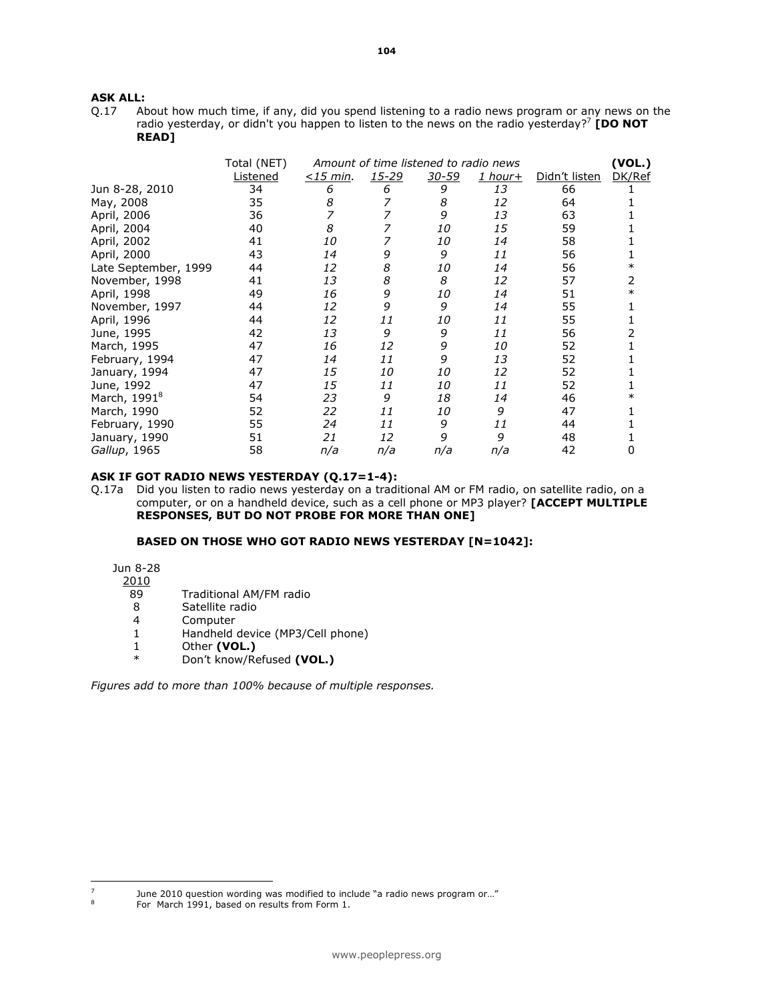# **ASK ALL:**<br>0.17 At

About how much time, if any, did you spend listening to a radio news program or any news on the radio yesterday, or didn't you happen to listen to the news on the radio yesterday?<sup>7</sup> [DO NOT READ]

|                          | Total (NET) |                |       | Amount of time listened to radio news |                |               | (VOL.) |
|--------------------------|-------------|----------------|-------|---------------------------------------|----------------|---------------|--------|
|                          | Listened    | $\leq$ 15 min. | 15-29 | $30 - 59$                             | <u>1 hour+</u> | Didn't listen | DK/Ref |
| Jun 8-28, 2010           | 34          | 6              | 6     | 9                                     | 13             | 66            |        |
| May, 2008                | 35          | 8              |       | 8                                     | 12             | 64            |        |
| April, 2006              | 36          |                |       | 9                                     | 13             | 63            |        |
| April, 2004              | 40          | 8              |       | 10                                    | 15             | 59            |        |
| April, 2002              | 41          | 10             |       | 10                                    | 14             | 58            |        |
| April, 2000              | 43          | 14             | 9     | 9                                     | 11             | 56            |        |
| Late September, 1999     | 44          | 12             | 8     | 10                                    | 14             | 56            |        |
| November, 1998           | 41          | 13             | 8     | 8                                     | 12             | 57            | 2      |
| April, 1998              | 49          | 16             | 9     | 10                                    | 14             | 51            |        |
| November, 1997           | 44          | 12             | 9     | 9                                     | 14             | 55            |        |
| April, 1996              | 44          | 12             | 11    | 10                                    | 11             | 55            |        |
| June, 1995               | 42          | 13             | 9     | 9                                     | 11             | 56            |        |
| March, 1995              | 47          | 16             | 12    | 9                                     | 10             | 52            |        |
| February, 1994           | 47          | 14             | 11    | 9                                     | 13             | 52            |        |
| January, 1994            | 47          | 15             | 10    | 10                                    | 12             | 52            |        |
| June, 1992               | 47          | 15             | 11    | <i>10</i>                             | 11             | 52            |        |
| March, 1991 <sup>8</sup> | 54          | 23             | 9     | 18                                    | 14             | 46            |        |
| March, 1990              | 52          | 22             | 11    | 10                                    | 9              | 47            |        |
| February, 1990           | 55          | 24             | 11    | 9                                     | 11             | 44            |        |
| January, 1990            | 51          | 21             | 12    | 9                                     | 9              | 48            |        |
| Gallup, 1965             | 58          | n/a            | n/a   | n/a                                   | n/a            | 42            | 0      |

#### ASK IF GOT RADIO NEWS YESTERDAY (Q.17=1-4):

Q.17a Did you listen to radio news yesterday on a traditional AM or FM radio, on satellite radio, on a computer, or on a handheld device, such as a cell phone or MP3 player? [ACCEPT MULTIPLE RESPONSES, BUT DO NOT PROBE FOR MORE THAN ONE]

### BASED ON THOSE WHO GOT RADIO NEWS YESTERDAY [N=1042]:

Jun 8-28

2010

l

- 89 Traditional AM/FM radio
- 8 Satellite radio
- 4 Computer
- 1 Handheld device (MP3/Cell phone)
- 1 Other (VOL.)<br> $\frac{1}{2}$  Don't know (B)
- Don't know/Refused (VOL.)

Figures add to more than 100% because of multiple responses.

 $\frac{7}{8}$  June 2010 question wording was modified to include "a radio news program or..."

For March 1991, based on results from Form 1.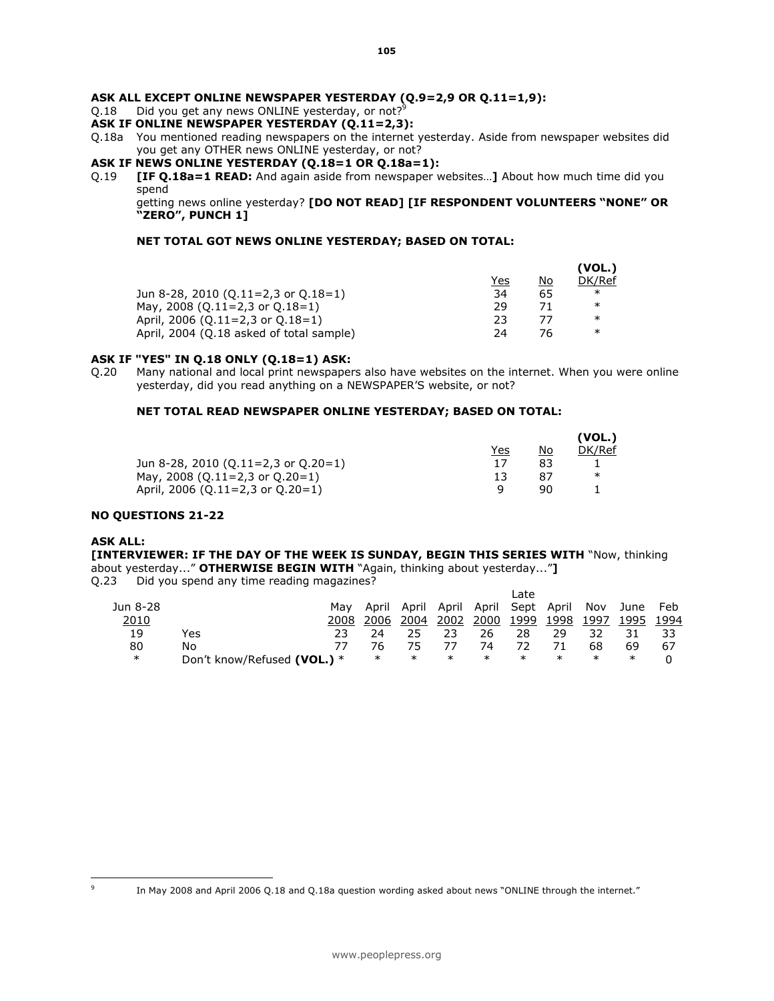#### ASK ALL EXCEPT ONLINE NEWSPAPER YESTERDAY (Q.9=2,9 OR Q.11=1,9):

Q.18 Did you get any news ONLINE yesterday, or not?<sup>9</sup>

#### ASK IF ONLINE NEWSPAPER YESTERDAY (Q.11=2,3):

- Q.18a You mentioned reading newspapers on the internet yesterday. Aside from newspaper websites did you get any OTHER news ONLINE yesterday, or not?
- ASK IF NEWS ONLINE YESTERDAY (Q.18=1 OR Q.18a=1):
- Q.19 **[IF Q.18a=1 READ:** And again aside from newspaper websites...] About how much time did you spend

getting news online yesterday? [DO NOT READ] [IF RESPONDENT VOLUNTEERS "NONE" OR "ZERO", PUNCH 1]

#### NET TOTAL GOT NEWS ONLINE YESTERDAY; BASED ON TOTAL:

|                                          |     |    | (VOL.) |
|------------------------------------------|-----|----|--------|
|                                          | Yes | No | DK/Ref |
| Jun 8-28, 2010 (Q.11=2,3 or Q.18=1)      | 34  | 65 | $\ast$ |
| May, 2008 (Q.11=2,3 or Q.18=1)           | 29  |    | $\ast$ |
| April, 2006 (Q.11=2,3 or Q.18=1)         | 23  | 77 | $\ast$ |
| April, 2004 (Q.18 asked of total sample) | 24  | 76 | $\ast$ |
|                                          |     |    |        |

#### ASK IF "YES" IN Q.18 ONLY (Q.18=1) ASK:

Q.20 Many national and local print newspapers also have websites on the internet. When you were online yesterday, did you read anything on a NEWSPAPER'S website, or not?

#### NET TOTAL READ NEWSPAPER ONLINE YESTERDAY; BASED ON TOTAL:

|    | (VOL., |
|----|--------|
| No | DK/Ref |
| 83 |        |
| 87 | ∗      |
| 90 |        |
|    |        |

#### NO QUESTIONS 21-22

#### ASK ALL:

[INTERVIEWER: IF THE DAY OF THE WEEK IS SUNDAY, BEGIN THIS SERIES WITH "Now, thinking about yesterday..." OTHERWISE BEGIN WITH "Again, thinking about yesterday..."]

Q.23 Did you spend any time reading magazines?

|          |                             |      |        |                                                 |        |           | Late |           |        |                |    |
|----------|-----------------------------|------|--------|-------------------------------------------------|--------|-----------|------|-----------|--------|----------------|----|
| Jun 8-28 |                             | Mav  |        | April April April April Sept April Nov June Feb |        |           |      |           |        |                |    |
| 2010     |                             | 2008 | 2006   | 2004                                            |        | 2002 2000 |      | 1999 1998 |        | 1997 1995 1994 |    |
| 19       | Yes                         |      |        |                                                 |        | 26        | 28   | 29        | 32     |                |    |
| 80       | No                          | 77   | 76     |                                                 |        | 74        |      |           | 68     | 69             | 67 |
| $\ast$   | Don't know/Refused (VOL.) * |      | $\ast$ | $\ast$                                          | $\ast$ | $\ast$    | ∗    | $\ast$    | $\ast$ | ∗              |    |

www.peoplepress.org

In May 2008 and April 2006 Q.18 and Q.18a question wording asked about news "ONLINE through the internet."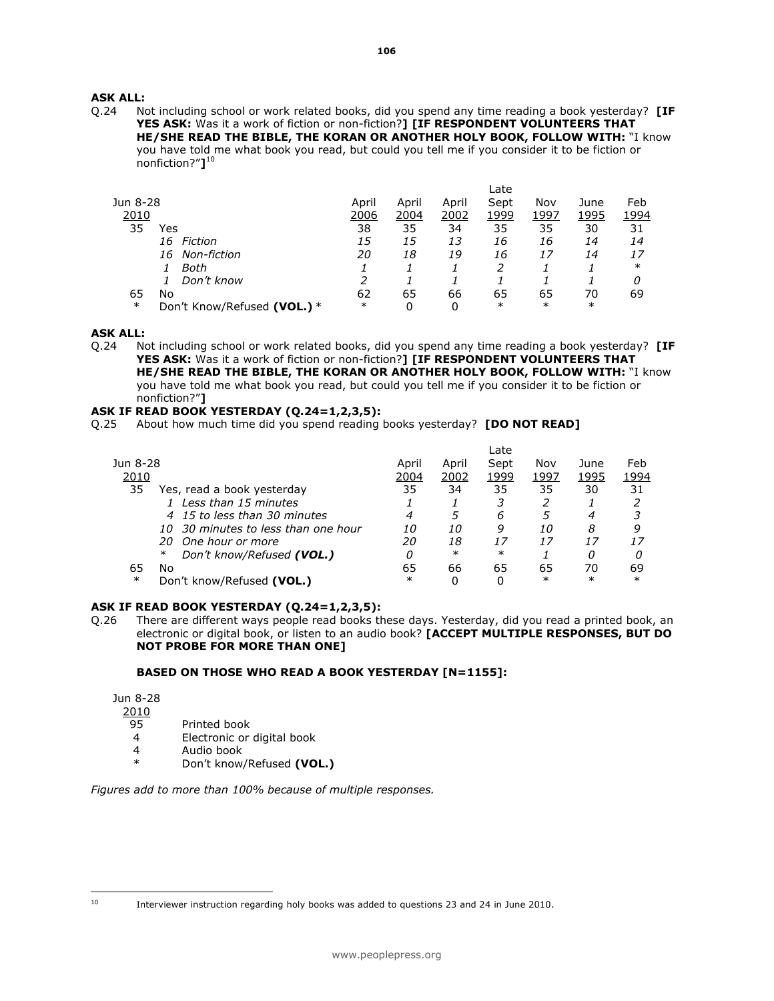### ASK ALL:

Q.24 Not including school or work related books, did you spend any time reading a book yesterday? [IF YES ASK: Was it a work of fiction or non-fiction?] [IF RESPONDENT VOLUNTEERS THAT HE/SHE READ THE BIBLE, THE KORAN OR ANOTHER HOLY BOOK, FOLLOW WITH: "I know you have told me what book you read, but could you tell me if you consider it to be fiction or nonfiction?"]<sup>10</sup>

|                                       |        |       |       | Late   |        |        |        |
|---------------------------------------|--------|-------|-------|--------|--------|--------|--------|
| Jun 8-28                              | April  | April | April | Sept   | Nov    | June   | Feb    |
| 2010                                  | 2006   | 2004  | 2002  | 1999   | 1997   | 1995   | 1994   |
| 35<br>Yes                             | 38     | 35    | 34    | 35     | 35     | 30     | 31     |
| 16 Fiction                            | 15     | 15    | 13    | 16     | 16     | 14     | 14     |
| 16 Non-fiction                        | 20     | 18    | 19    | 16     | 17     | 14     | 17     |
| Both                                  |        |       |       |        |        |        | $\ast$ |
| Don't know                            |        |       |       |        |        |        | 0      |
| 65<br>No                              | 62     | 65    | 66    | 65     | 65     | 70     | 69     |
| $\ast$<br>Don't Know/Refused (VOL.) * | $\ast$ | 0     | 0     | $\ast$ | $\ast$ | $\ast$ |        |

#### ASK ALL:

Q.24 Not including school or work related books, did you spend any time reading a book yesterday? [IF YES ASK: Was it a work of fiction or non-fiction?] [IF RESPONDENT VOLUNTEERS THAT HE/SHE READ THE BIBLE, THE KORAN OR ANOTHER HOLY BOOK, FOLLOW WITH: "I know you have told me what book you read, but could you tell me if you consider it to be fiction or nonfiction?"]

### ASK IF READ BOOK YESTERDAY (Q.24=1,2,3,5):

Q.25 About how much time did you spend reading books yesterday? [DO NOT READ]

|        |        | Late   |        |        |        |
|--------|--------|--------|--------|--------|--------|
| April  | April  | Sept   | Nov    | June   | Feb    |
| 2004   | 2002   | 1999   | 1997   | 1995   | 1994   |
| 35     | 34     | 35     | 35     | 30     | 31     |
|        |        |        |        |        |        |
| 4      | 5      | 6      | 5      | 4      |        |
| 10     | 10     | 9      | 10     | 8      | 9      |
| 20     | 18     | 17     | 17     |        |        |
| 0      | $\ast$ | $\ast$ |        | Ω      |        |
| 65     | 66     | 65     | 65     | 70     | 69     |
| $\ast$ | 0      | 0      | $\ast$ | $\ast$ | $\ast$ |
|        |        |        |        |        |        |

#### ASK IF READ BOOK YESTERDAY (Q.24=1,2,3,5):

Q.26 There are different ways people read books these days. Yesterday, did you read a printed book, an electronic or digital book, or listen to an audio book? [ACCEPT MULTIPLE RESPONSES, BUT DO NOT PROBE FOR MORE THAN ONE]

#### BASED ON THOSE WHO READ A BOOK YESTERDAY [N=1155]:

Jun 8-28

2010<br>95

- 95 Printed book<br>4 Electronic or
- 4 Electronic or digital book
- 4 Audio book<br>\* Den't knew
- Don't know/Refused (VOL.)

Figures add to more than 100% because of multiple responses.

 $10$ 

<sup>10</sup> Interviewer instruction regarding holy books was added to questions 23 and 24 in June 2010.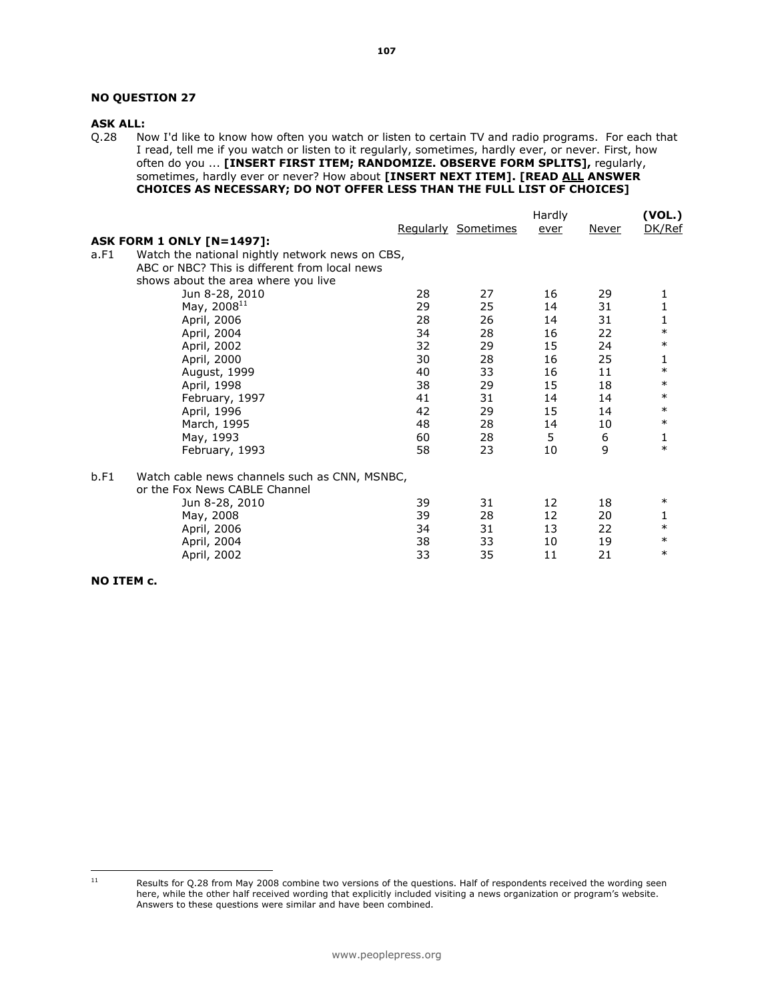# NO QUESTION 27

## ASK ALL:

Q.28 Now I'd like to know how often you watch or listen to certain TV and radio programs. For each that I read, tell me if you watch or listen to it regularly, sometimes, hardly ever, or never. First, how often do you ... [INSERT FIRST ITEM; RANDOMIZE. OBSERVE FORM SPLITS], regularly, sometimes, hardly ever or never? How about [INSERT NEXT ITEM]. [READ ALL ANSWER CHOICES AS NECESSARY; DO NOT OFFER LESS THAN THE FULL LIST OF CHOICES]

|                                                         | Hardly |                     |      | (VOL.)       |              |
|---------------------------------------------------------|--------|---------------------|------|--------------|--------------|
|                                                         |        | Regularly Sometimes | ever | <u>Never</u> | DK/Ref       |
| <b>ASK FORM 1 ONLY [N=1497]:</b>                        |        |                     |      |              |              |
| Watch the national nightly network news on CBS,<br>a.F1 |        |                     |      |              |              |
| ABC or NBC? This is different from local news           |        |                     |      |              |              |
| shows about the area where you live                     |        |                     |      |              |              |
| Jun 8-28, 2010                                          | 28     | 27                  | 16   | 29           | 1            |
| May, 2008 <sup>11</sup>                                 | 29     | 25                  | 14   | 31           | 1            |
| April, 2006                                             | 28     | 26                  | 14   | 31           | $\mathbf{1}$ |
| April, 2004                                             | 34     | 28                  | 16   | 22           | $\ast$       |
| April, 2002                                             | 32     | 29                  | 15   | 24           | $\ast$       |
| April, 2000                                             | 30     | 28                  | 16   | 25           | 1            |
| August, 1999                                            | 40     | 33                  | 16   | 11           | $\ast$       |
| April, 1998                                             | 38     | 29                  | 15   | 18           | $\ast$       |
| February, 1997                                          | 41     | 31                  | 14   | 14           | $\ast$       |
| April, 1996                                             | 42     | 29                  | 15   | 14           | $\ast$       |
| March, 1995                                             | 48     | 28                  | 14   | 10           | $\ast$       |
| May, 1993                                               | 60     | 28                  | 5    | 6            | 1            |
| February, 1993                                          | 58     | 23                  | 10   | 9            | $\ast$       |
| b.F1<br>Watch cable news channels such as CNN, MSNBC,   |        |                     |      |              |              |
| or the Fox News CABLE Channel                           |        |                     |      |              |              |
| Jun 8-28, 2010                                          | 39     | 31                  | 12   | 18           | $\ast$       |
| May, 2008                                               | 39     | 28                  | 12   | 20           | 1            |
| April, 2006                                             | 34     | 31                  | 13   | 22           | $\ast$       |
| April, 2004                                             | 38     | 33                  | 10   | 19           | $\ast$       |
| April, 2002                                             | 33     | 35                  | 11   | 21           | $\ast$       |

#### NO ITEM c.

 $11$ 

Results for Q.28 from May 2008 combine two versions of the questions. Half of respondents received the wording seen here, while the other half received wording that explicitly included visiting a news organization or program's website. Answers to these questions were similar and have been combined.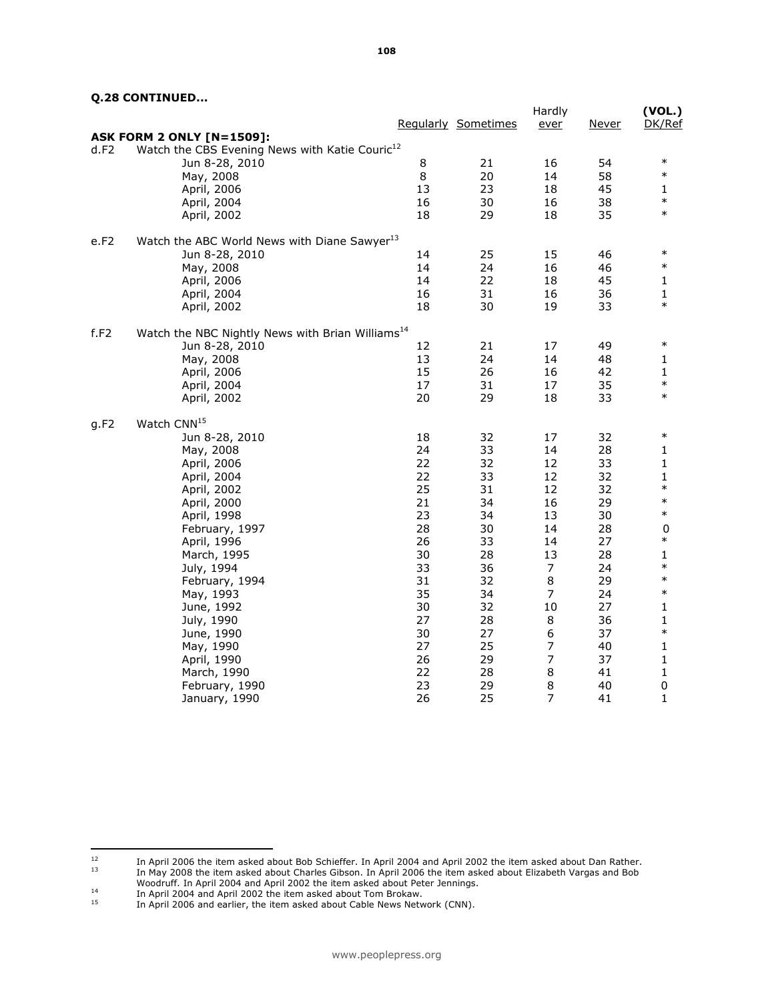|      |                                                              |    |                     | Hardly         |              | (VOL.) |
|------|--------------------------------------------------------------|----|---------------------|----------------|--------------|--------|
|      |                                                              |    | Regularly Sometimes | ever           | <u>Never</u> | DK/Ref |
|      | <b>ASK FORM 2 ONLY [N=1509]:</b>                             |    |                     |                |              |        |
| d.F2 | Watch the CBS Evening News with Katie Couric <sup>12</sup>   |    |                     |                |              |        |
|      | Jun 8-28, 2010                                               | 8  | 21                  | 16             | 54           | $\ast$ |
|      | May, 2008                                                    | 8  | 20                  | 14             | 58           | $\ast$ |
|      | April, 2006                                                  | 13 | 23                  | 18             | 45           | 1      |
|      | April, 2004                                                  | 16 | 30                  | 16             | 38           | $\ast$ |
|      | April, 2002                                                  | 18 | 29                  | 18             | 35           | $\ast$ |
| e.F2 | Watch the ABC World News with Diane Sawyer <sup>13</sup>     |    |                     |                |              |        |
|      | Jun 8-28, 2010                                               | 14 | 25                  | 15             | 46           | $\ast$ |
|      | May, 2008                                                    | 14 | 24                  | 16             | 46           | $\ast$ |
|      | April, 2006                                                  | 14 | 22                  | 18             | 45           | 1      |
|      |                                                              | 16 | 31                  | 16             | 36           | 1      |
|      | April, 2004<br>April, 2002                                   | 18 | 30                  | 19             | 33           | $\ast$ |
|      |                                                              |    |                     |                |              |        |
| f.F2 | Watch the NBC Nightly News with Brian Williams <sup>14</sup> |    |                     |                |              |        |
|      | Jun 8-28, 2010                                               | 12 | 21                  | 17             | 49           | $\ast$ |
|      | May, 2008                                                    | 13 | 24                  | 14             | 48           | 1      |
|      | April, 2006                                                  | 15 | 26                  | 16             | 42           | 1      |
|      | April, 2004                                                  | 17 | 31                  | 17             | 35           | $\ast$ |
|      | April, 2002                                                  | 20 | 29                  | 18             | 33           | $\ast$ |
| g.F2 | Watch CNN <sup>15</sup>                                      |    |                     |                |              |        |
|      | Jun 8-28, 2010                                               | 18 | 32                  | 17             | 32           | $\ast$ |
|      | May, 2008                                                    | 24 | 33                  | 14             | 28           | 1      |
|      | April, 2006                                                  | 22 | 32                  | 12             | 33           | 1      |
|      | April, 2004                                                  | 22 | 33                  | 12             | 32           | 1      |
|      | April, 2002                                                  | 25 | 31                  | 12             | 32           | $\ast$ |
|      | April, 2000                                                  | 21 | 34                  | 16             | 29           | $\ast$ |
|      | April, 1998                                                  | 23 | 34                  | 13             | 30           | $\ast$ |
|      | February, 1997                                               | 28 | 30                  | 14             | 28           | 0      |
|      | April, 1996                                                  | 26 | 33                  | 14             | 27           | $\ast$ |
|      | March, 1995                                                  | 30 | 28                  | 13             | 28           | 1      |
|      | July, 1994                                                   | 33 | 36                  | 7              | 24           | $\ast$ |
|      | February, 1994                                               | 31 | 32                  | 8              | 29           | $\ast$ |
|      | May, 1993                                                    | 35 | 34                  | $\overline{7}$ | 24           | $\ast$ |
|      | June, 1992                                                   | 30 | 32                  | 10             | 27           | 1      |
|      | July, 1990                                                   | 27 | 28                  | 8              | 36           | 1      |
|      | June, 1990                                                   | 30 | 27                  | 6              | 37           | $\ast$ |
|      |                                                              | 27 | 25                  | 7              | 40           | 1      |
|      | May, 1990                                                    | 26 | 29                  | $\overline{7}$ | 37           |        |
|      | April, 1990                                                  |    |                     |                |              | 1      |
|      | March, 1990                                                  | 22 | 28                  | 8              | 41           | 1      |
|      | February, 1990                                               | 23 | 29                  | $\,8\,$        | 40           | 0      |
|      | January, 1990                                                | 26 | 25                  | 7              | 41           | 1      |

 $12\,$  $12$  In April 2006 the item asked about Bob Schieffer. In April 2004 and April 2002 the item asked about Dan Rather.  $^{13}$  In May 2008 the item asked about Charles Gibson. In April 2006 the item asked about Elizabeth Vargas and Bob Woodruff. In April 2004 and April 2002 the item asked about Peter Jennings.

<sup>14</sup> In April 2004 and April 2002 the item asked about Tom<br>15 In April 2004 and April 2002 the item asked about Tom Brokaw.

In April 2006 and earlier, the item asked about Cable News Network (CNN).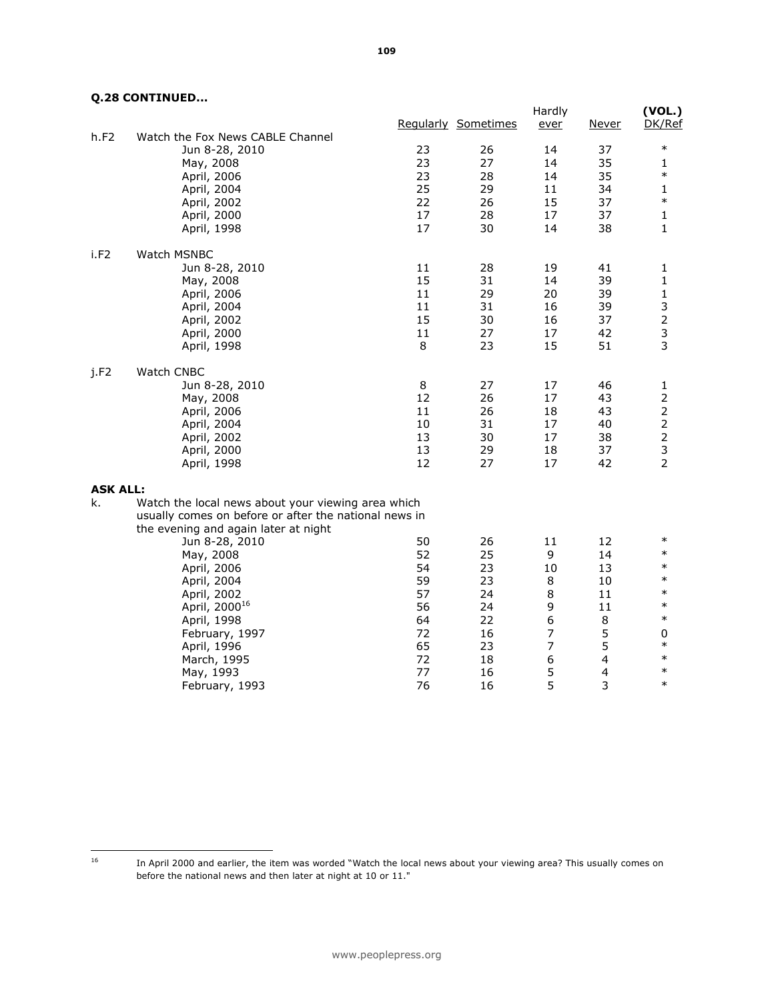|                 |                                                       |          | Regularly Sometimes | Hardly<br>ever | Never    | (VOL.)<br>DK/Ref              |
|-----------------|-------------------------------------------------------|----------|---------------------|----------------|----------|-------------------------------|
| h.F2            | Watch the Fox News CABLE Channel                      |          |                     |                |          | $\ast$                        |
|                 | Jun 8-28, 2010                                        | 23<br>23 | 26                  | 14             | 37       |                               |
|                 | May, 2008<br>April, 2006                              | 23       | 27<br>28            | 14<br>14       | 35<br>35 | 1<br>$\ast$                   |
|                 | April, 2004                                           | 25       | 29                  | 11             | 34       | 1                             |
|                 | April, 2002                                           | 22       | 26                  | 15             | 37       | $\ast$                        |
|                 | April, 2000                                           | 17       | 28                  | 17             | 37       | 1                             |
|                 | April, 1998                                           | 17       | 30                  | 14             | 38       | 1                             |
| i.F2            | <b>Watch MSNBC</b>                                    |          |                     |                |          |                               |
|                 | Jun 8-28, 2010                                        | 11       | 28                  | 19             | 41       | 1                             |
|                 | May, 2008                                             | 15       | 31                  | 14             | 39       | 1                             |
|                 | April, 2006                                           | 11       | 29                  | 20             | 39       | 1                             |
|                 | April, 2004                                           | 11       | 31                  | 16             | 39       | 3                             |
|                 | April, 2002                                           | 15       | 30                  | 16             | 37       | $\overline{2}$                |
|                 | April, 2000                                           | $11\,$   | 27                  | 17             | 42       | 3<br>3                        |
|                 | April, 1998                                           | 8        | 23                  | 15             | 51       |                               |
| j.F2            | Watch CNBC                                            |          |                     |                |          |                               |
|                 | Jun 8-28, 2010                                        | 8        | 27                  | 17             | 46       | 1                             |
|                 | May, 2008                                             | 12       | 26                  | 17             | 43       | $\overline{2}$                |
|                 | April, 2006                                           | 11<br>10 | 26                  | 18<br>17       | 43       | $\mathbf 2$<br>$\overline{c}$ |
|                 | April, 2004<br>April, 2002                            | 13       | 31<br>30            | 17             | 40<br>38 | $\mathsf{2}\,$                |
|                 | April, 2000                                           | 13       | 29                  | 18             | 37       | 3                             |
|                 | April, 1998                                           | 12       | 27                  | 17             | 42       | $\overline{2}$                |
| <b>ASK ALL:</b> |                                                       |          |                     |                |          |                               |
| k.              | Watch the local news about your viewing area which    |          |                     |                |          |                               |
|                 | usually comes on before or after the national news in |          |                     |                |          |                               |
|                 | the evening and again later at night                  |          |                     |                |          |                               |
|                 | Jun 8-28, 2010                                        | 50       | 26                  | 11             | 12       | $\ast$                        |
|                 | May, 2008                                             | 52       | 25                  | 9              | 14       | $\ast$                        |
|                 | April, 2006                                           | 54       | 23                  | 10             | 13       | $\ast$                        |
|                 | April, 2004                                           | 59       | 23                  | 8              | 10       | $\ast$                        |
|                 | April, 2002                                           | 57       | 24                  | 8              | 11       | $\ast$                        |
|                 | April, 2000 <sup>16</sup>                             | 56       | 24                  | 9              | 11       | $\ast$                        |
|                 | April, 1998                                           | 64       | 22                  | 6              | 8        | $\ast$                        |
|                 | February, 1997                                        | 72       | 16                  | 7              | 5        | 0<br>$\ast$                   |
|                 | April, 1996                                           | 65       | 23                  | $\overline{7}$ | 5        | $\ast$                        |
|                 | March, 1995                                           | 72<br>77 | 18                  | 6              | 4        | $\ast$                        |
|                 | May, 1993                                             | 76       | 16<br>16            | 5<br>5         | 4<br>3   | $\ast$                        |
|                 | February, 1993                                        |          |                     |                |          |                               |

 $16\,$ 

In April 2000 and earlier, the item was worded "Watch the local news about your viewing area? This usually comes on before the national news and then later at night at 10 or 11."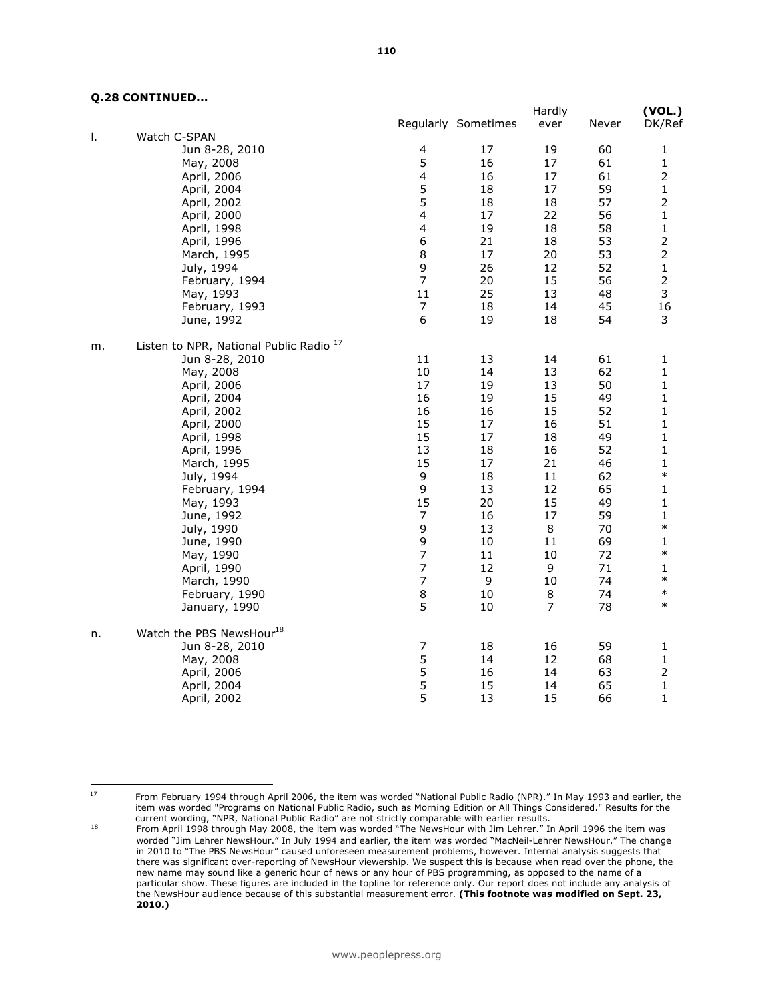|    |                                                    |                          |                     | Hardly         |              | (VOL.)         |
|----|----------------------------------------------------|--------------------------|---------------------|----------------|--------------|----------------|
| Ι. | Watch C-SPAN                                       |                          | Regularly Sometimes | ever           | <u>Never</u> | DK/Ref         |
|    | Jun 8-28, 2010                                     | $\overline{\mathbf{4}}$  | 17                  | 19             | 60           | 1              |
|    | May, 2008                                          | 5                        | 16                  | 17             | 61           | $\mathbf 1$    |
|    | April, 2006                                        | 4                        | 16                  | 17             | 61           | $\overline{2}$ |
|    | April, 2004                                        | 5                        | 18                  | 17             | 59           | 1              |
|    | April, 2002                                        | 5                        | 18                  | 18             | 57           | $\overline{2}$ |
|    | April, 2000                                        | $\overline{\mathbf{4}}$  | 17                  | 22             | 56           | $\mathbf{1}$   |
|    | April, 1998                                        | $\overline{\mathbf{4}}$  | 19                  | 18             | 58           | 1              |
|    | April, 1996                                        | 6                        | 21                  | 18             | 53           | $\overline{2}$ |
|    | March, 1995                                        | 8                        | 17                  | 20             | 53           | $\overline{2}$ |
|    | July, 1994                                         | 9                        | 26                  | 12             | 52           | $\mathbf 1$    |
|    | February, 1994                                     | $\overline{7}$           | 20                  | 15             | 56           | $\overline{2}$ |
|    | May, 1993                                          | 11                       | 25                  | 13             | 48           | 3              |
|    | February, 1993                                     | $\boldsymbol{7}$         | 18                  | 14             | 45           | 16             |
|    | June, 1992                                         | 6                        | 19                  | 18             | 54           | 3              |
| m. | Listen to NPR, National Public Radio <sup>17</sup> |                          |                     |                |              |                |
|    | Jun 8-28, 2010                                     | 11                       | 13                  | 14             | 61           | $\mathbf{1}$   |
|    | May, 2008                                          | 10                       | 14                  | 13             | 62           | $\mathbf{1}$   |
|    | April, 2006                                        | 17                       | 19                  | 13             | 50           | 1              |
|    | April, 2004                                        | 16                       | 19                  | 15             | 49           | $\mathbf{1}$   |
|    | April, 2002                                        | 16                       | 16                  | 15             | 52           | 1              |
|    | April, 2000                                        | 15                       | 17                  | 16             | 51           | 1              |
|    | April, 1998                                        | 15                       | 17                  | 18             | 49           | $\mathbf{1}$   |
|    | April, 1996                                        | 13                       | 18                  | 16             | 52           | $\mathbf{1}$   |
|    | March, 1995                                        | 15                       | 17                  | 21             | 46           | 1              |
|    | July, 1994                                         | 9                        | 18                  | 11             | 62           | $\ast$         |
|    | February, 1994                                     | 9                        | 13                  | 12             | 65           | 1              |
|    | May, 1993                                          | 15                       | 20                  | 15             | 49           | $\mathbf 1$    |
|    | June, 1992                                         | 7                        | 16                  | 17             | 59           | 1              |
|    | July, 1990                                         | 9                        | 13                  | 8              | 70           | $\ast$         |
|    | June, 1990                                         | 9                        | 10                  | 11             | 69           | 1              |
|    | May, 1990                                          | $\overline{7}$           | 11                  | 10             | 72           | $\ast$         |
|    | April, 1990                                        | $\overline{7}$           | 12                  | 9              | 71           | 1              |
|    | March, 1990                                        | $\overline{\phantom{a}}$ | 9                   | 10             | 74           | $\ast$         |
|    | February, 1990                                     | 8                        | 10                  | 8              | 74           | $\ast$         |
|    | January, 1990                                      | 5                        | $10\,$              | $\overline{7}$ | 78           | $\ast$         |
| n. | Watch the PBS NewsHour <sup>18</sup>               |                          |                     |                |              |                |
|    | Jun 8-28, 2010                                     | $\overline{7}$           | 18                  | 16             | 59           | $\mathbf{1}$   |
|    | May, 2008                                          | 5                        | 14                  | 12             | 68           | $\mathbf{1}$   |
|    | April, 2006                                        | 5                        | 16                  | 14             | 63           | $\overline{2}$ |
|    | April, 2004                                        | 5                        | 15                  | 14             | 65           | $\mathbf{1}$   |
|    | April, 2002                                        | 5                        | 13                  | 15             | 66           | $\mathbf{1}$   |

 $17$ 

<sup>17</sup> From February 1994 through April 2006, the item was worded "National Public Radio (NPR)." In May 1993 and earlier, the item was worded "Programs on National Public Radio, such as Morning Edition or All Things Considered." Results for the current wording, "NPR, National Public Radio" are not strictly comparable with earlier results.

<sup>&</sup>lt;sup>18</sup> From April 1998 through May 2008, the item was worded "The NewsHour with Jim Lehrer." In April 1996 the item was worded "Jim Lehrer NewsHour." In July 1994 and earlier, the item was worded "MacNeil-Lehrer NewsHour." The change in 2010 to "The PBS NewsHour" caused unforeseen measurement problems, however. Internal analysis suggests that there was significant over-reporting of NewsHour viewership. We suspect this is because when read over the phone, the new name may sound like a generic hour of news or any hour of PBS programming, as opposed to the name of a particular show. These figures are included in the topline for reference only. Our report does not include any analysis of the NewsHour audience because of this substantial measurement error. (This footnote was modified on Sept. 23, 2010.)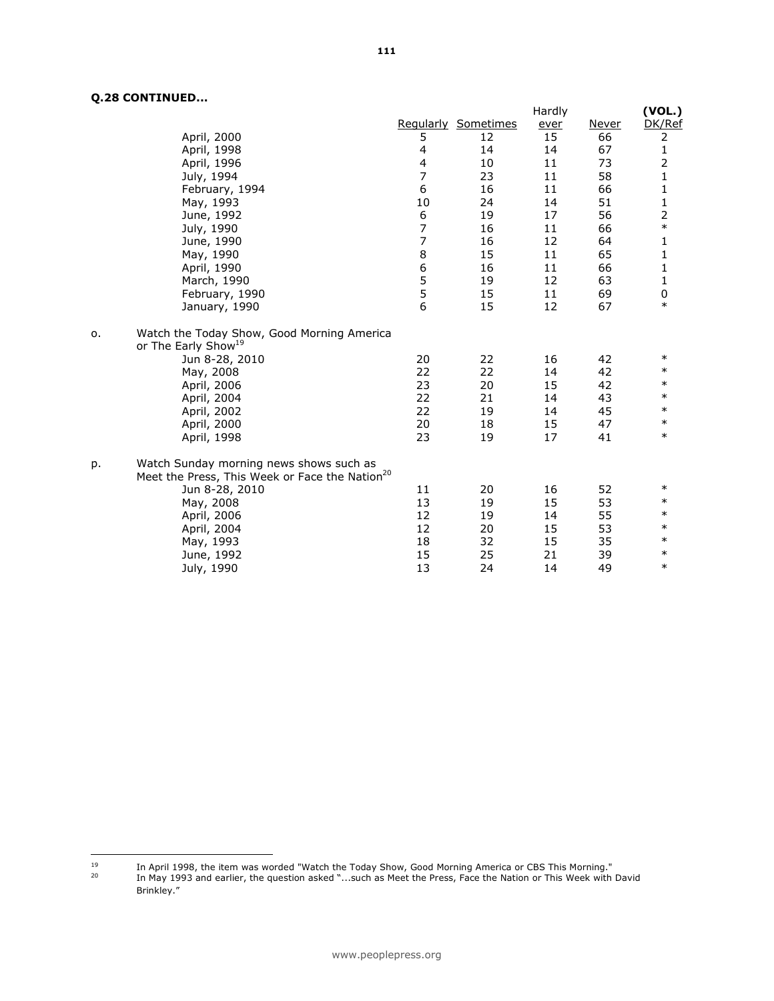|    |                                                            |                  |                            | Hardly |       | (VOL.)                                                                                                                                                                                                                                                                                                                                                                                        |
|----|------------------------------------------------------------|------------------|----------------------------|--------|-------|-----------------------------------------------------------------------------------------------------------------------------------------------------------------------------------------------------------------------------------------------------------------------------------------------------------------------------------------------------------------------------------------------|
|    |                                                            |                  | <b>Regularly Sometimes</b> | ever   | Never | DK/Ref                                                                                                                                                                                                                                                                                                                                                                                        |
|    | April, 2000                                                | 5                | 12                         | 15     | 66    | $\overline{2}$                                                                                                                                                                                                                                                                                                                                                                                |
|    | April, 1998                                                | 4                | 14                         | 14     | 67    | $\mathbf{1}$                                                                                                                                                                                                                                                                                                                                                                                  |
|    | April, 1996                                                | $\overline{4}$   | 10                         | 11     | 73    | 2                                                                                                                                                                                                                                                                                                                                                                                             |
|    | July, 1994                                                 | $\overline{7}$   | 23                         | 11     | 58    | $\mathbf{1}$                                                                                                                                                                                                                                                                                                                                                                                  |
|    | February, 1994                                             | 6                | 16                         | 11     | 66    | $\mathbf{1}$                                                                                                                                                                                                                                                                                                                                                                                  |
|    | May, 1993                                                  | 10               | 24                         | 14     | 51    | $\frac{1}{2}$                                                                                                                                                                                                                                                                                                                                                                                 |
|    | June, 1992                                                 | $\boldsymbol{6}$ | 19                         | 17     | 56    |                                                                                                                                                                                                                                                                                                                                                                                               |
|    | July, 1990                                                 | $\overline{7}$   | 16                         | 11     | 66    | $\ast$                                                                                                                                                                                                                                                                                                                                                                                        |
|    | June, 1990                                                 | $\overline{7}$   | 16                         | 12     | 64    | $\mathbf{1}$                                                                                                                                                                                                                                                                                                                                                                                  |
|    | May, 1990                                                  | 8                | 15                         | 11     | 65    | $\mathbf{1}% _{2}^{2}=\mathbf{1}_{2}^{2}+\mathbf{1}_{2}^{2}=\mathbf{1}_{2}^{2}+\mathbf{1}_{2}^{2}=\mathbf{1}_{2}^{2}+\mathbf{1}_{2}^{2}=\mathbf{1}_{2}^{2}+\mathbf{1}_{2}^{2}=\mathbf{1}_{2}^{2}+\mathbf{1}_{2}^{2}=\mathbf{1}_{2}^{2}+\mathbf{1}_{2}^{2}=\mathbf{1}_{2}^{2}+\mathbf{1}_{2}^{2}=\mathbf{1}_{2}^{2}+\mathbf{1}_{2}^{2}=\mathbf{1}_{2}^{2}+\mathbf{1}_{2}^{2}=\mathbf{1}_{2}^{$ |
|    | April, 1990                                                | 6                | 16                         | 11     | 66    | $\mathbf{1}$                                                                                                                                                                                                                                                                                                                                                                                  |
|    | March, 1990                                                | 5                | 19                         | 12     | 63    | $\mathbf{1}$                                                                                                                                                                                                                                                                                                                                                                                  |
|    | February, 1990                                             | 5                | 15                         | 11     | 69    | $\pmb{0}$                                                                                                                                                                                                                                                                                                                                                                                     |
|    | January, 1990                                              | 6                | 15                         | 12     | 67    | $\ast$                                                                                                                                                                                                                                                                                                                                                                                        |
| o. | Watch the Today Show, Good Morning America                 |                  |                            |        |       |                                                                                                                                                                                                                                                                                                                                                                                               |
|    | or The Early Show <sup>19</sup>                            |                  |                            |        |       |                                                                                                                                                                                                                                                                                                                                                                                               |
|    | Jun 8-28, 2010                                             | 20               | 22                         | 16     | 42    | $\ast$                                                                                                                                                                                                                                                                                                                                                                                        |
|    | May, 2008                                                  | 22               | 22                         | 14     | 42    | $\ast$                                                                                                                                                                                                                                                                                                                                                                                        |
|    | April, 2006                                                | 23               | 20                         | 15     | 42    | $\ast$                                                                                                                                                                                                                                                                                                                                                                                        |
|    | April, 2004                                                | 22               | 21                         | 14     | 43    | $\ast$                                                                                                                                                                                                                                                                                                                                                                                        |
|    | April, 2002                                                | 22               | 19                         | 14     | 45    | $\ast$                                                                                                                                                                                                                                                                                                                                                                                        |
|    | April, 2000                                                | 20               | 18                         | 15     | 47    | $\ast$                                                                                                                                                                                                                                                                                                                                                                                        |
|    | April, 1998                                                | 23               | 19                         | 17     | 41    | $\ast$                                                                                                                                                                                                                                                                                                                                                                                        |
| p. | Watch Sunday morning news shows such as                    |                  |                            |        |       |                                                                                                                                                                                                                                                                                                                                                                                               |
|    | Meet the Press, This Week or Face the Nation <sup>20</sup> |                  |                            |        |       |                                                                                                                                                                                                                                                                                                                                                                                               |
|    | Jun 8-28, 2010                                             | 11               | 20                         | 16     | 52    | $\ast$                                                                                                                                                                                                                                                                                                                                                                                        |
|    | May, 2008                                                  | 13               | 19                         | 15     | 53    | $\ast$                                                                                                                                                                                                                                                                                                                                                                                        |
|    | April, 2006                                                | 12               | 19                         | 14     | 55    | $\ast$                                                                                                                                                                                                                                                                                                                                                                                        |
|    | April, 2004                                                | 12               | 20                         | 15     | 53    | $\ast$                                                                                                                                                                                                                                                                                                                                                                                        |
|    | May, 1993                                                  | 18               | 32                         | 15     | 35    | $\ast$                                                                                                                                                                                                                                                                                                                                                                                        |
|    | June, 1992                                                 | 15               | 25                         | 21     | 39    | $\ast$                                                                                                                                                                                                                                                                                                                                                                                        |
|    | July, 1990                                                 | 13               | 24                         | 14     | 49    | $\ast$                                                                                                                                                                                                                                                                                                                                                                                        |
|    |                                                            |                  |                            |        |       |                                                                                                                                                                                                                                                                                                                                                                                               |

 $19\,$ <sup>19</sup> In April 1998, the item was worded "Watch the Today Show, Good Morning America or CBS This Morning." <sup>20</sup> In May 1993 and earlier, the question asked "...such as Meet the Press, Face the Nation or This Week with David Brinkley."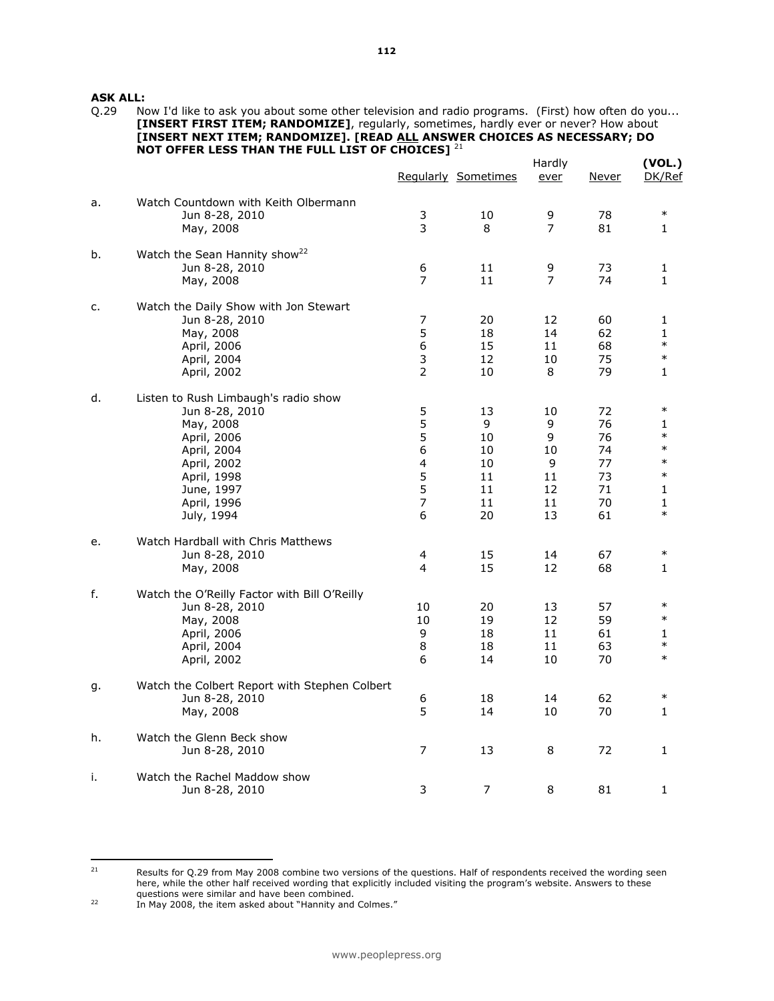**ASK ALL:**<br>Q.29 No

Now I'd like to ask you about some other television and radio programs. (First) how often do you... [INSERT FIRST ITEM; RANDOMIZE], regularly, sometimes, hardly ever or never? How about [INSERT NEXT ITEM; RANDOMIZE]. [READ ALL ANSWER CHOICES AS NECESSARY; DO NOT OFFER LESS THAN THE FULL LIST OF CHOICES]  $^{21}$ 

|    |                                               |                         | Regularly Sometimes | Hardly<br>ever | <u>Never</u> | (VOL.)<br>DK/Ref |
|----|-----------------------------------------------|-------------------------|---------------------|----------------|--------------|------------------|
| a. | Watch Countdown with Keith Olbermann          |                         |                     |                |              |                  |
|    | Jun 8-28, 2010                                | 3                       | 10                  | 9              | 78           | $\ast$           |
|    | May, 2008                                     | $\overline{3}$          | 8                   | $\overline{7}$ | 81           | 1                |
| b. | Watch the Sean Hannity show <sup>22</sup>     |                         |                     |                |              |                  |
|    | Jun 8-28, 2010                                | 6                       | 11                  | 9              | 73           | 1                |
|    | May, 2008                                     | 7                       | 11                  | $\overline{7}$ | 74           | 1                |
| c. | Watch the Daily Show with Jon Stewart         |                         |                     |                |              |                  |
|    | Jun 8-28, 2010                                | $\boldsymbol{7}$        | 20                  | 12             | 60           | 1                |
|    | May, 2008                                     | 5                       | 18                  | 14             | 62           | $\mathbf{1}$     |
|    | April, 2006                                   | 6                       | 15                  | 11             | 68           | $\ast$           |
|    | April, 2004                                   | 3                       | 12                  | 10             | 75           | $\ast$           |
|    | April, 2002                                   | $\overline{2}$          | 10                  | 8              | 79           | 1                |
| d. | Listen to Rush Limbaugh's radio show          |                         |                     |                |              |                  |
|    | Jun 8-28, 2010                                | 5                       | 13                  | 10             | 72           | $\ast$           |
|    | May, 2008                                     | 5                       | 9                   | 9              | 76           | 1                |
|    | April, 2006                                   | 5                       | 10                  | 9              | 76           | $\ast$           |
|    | April, 2004                                   | $\sqrt{6}$              | 10                  | 10             | 74           | $\ast$           |
|    | April, 2002                                   | $\overline{\mathbf{4}}$ | 10                  | 9              | 77           | $\ast$           |
|    | April, 1998                                   | 5                       | 11                  | 11             | 73           | $\ast$           |
|    | June, 1997                                    | 5                       | 11                  | 12             | 71           | 1                |
|    | April, 1996                                   | $\overline{7}$          | 11                  | 11             | 70           | 1                |
|    | July, 1994                                    | 6                       | 20                  | 13             | 61           | $\ast$           |
| e. | Watch Hardball with Chris Matthews            |                         |                     |                |              |                  |
|    | Jun 8-28, 2010                                | 4                       | 15                  | 14             | 67           | $\ast$           |
|    | May, 2008                                     | 4                       | 15                  | 12             | 68           | 1                |
| f. | Watch the O'Reilly Factor with Bill O'Reilly  |                         |                     |                |              |                  |
|    | Jun 8-28, 2010                                | 10                      | 20                  | 13             | 57           | $\ast$           |
|    | May, 2008                                     | 10                      | 19                  | 12             | 59           | $\ast$           |
|    | April, 2006                                   | 9                       | 18                  | 11             | 61           | 1                |
|    | April, 2004                                   | 8                       | 18                  | 11             | 63           | $\ast$           |
|    | April, 2002                                   | 6                       | 14                  | 10             | 70           | $\ast$           |
| g. | Watch the Colbert Report with Stephen Colbert |                         |                     |                |              |                  |
|    | Jun 8-28, 2010                                | 6                       | 18                  | 14             | 62           | $\ast$           |
|    | May, 2008                                     | 5                       | 14                  | 10             | 70           | 1                |
| h. | Watch the Glenn Beck show                     |                         |                     |                |              |                  |
|    | Jun 8-28, 2010                                | $\overline{7}$          | 13                  | 8              | 72           | $\mathbf{1}$     |
| i. | Watch the Rachel Maddow show                  |                         |                     |                |              |                  |
|    | Jun 8-28, 2010                                | 3                       | 7                   | 8              | 81           | 1                |

 $21$ Results for Q.29 from May 2008 combine two versions of the questions. Half of respondents received the wording seen here, while the other half received wording that explicitly included visiting the program's website. Answers to these questions were similar and have been combined.

<sup>&</sup>lt;sup>22</sup> In May 2008, the item asked about "Hannity and Colmes."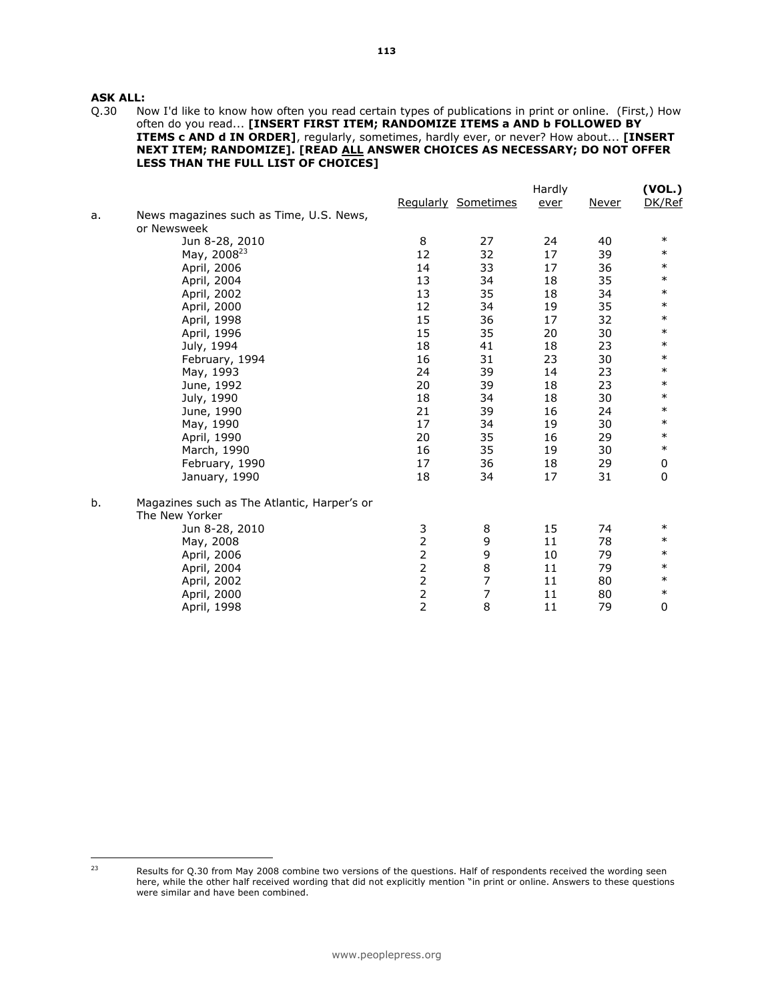**ASK ALL:**<br>Q.30 No Now I'd like to know how often you read certain types of publications in print or online. (First,) How often do you read... [INSERT FIRST ITEM; RANDOMIZE ITEMS a AND b FOLLOWED BY ITEMS c AND d IN ORDER], regularly, sometimes, hardly ever, or never? How about... [INSERT NEXT ITEM; RANDOMIZE]. [READ ALL ANSWER CHOICES AS NECESSARY; DO NOT OFFER LESS THAN THE FULL LIST OF CHOICES]

|    |                                             |                |                     | Hardly |              | (VOL.)      |  |
|----|---------------------------------------------|----------------|---------------------|--------|--------------|-------------|--|
|    |                                             |                | Regularly Sometimes | ever   | <b>Never</b> | DK/Ref      |  |
| a. | News magazines such as Time, U.S. News,     |                |                     |        |              |             |  |
|    | or Newsweek                                 |                |                     |        |              |             |  |
|    | Jun 8-28, 2010                              | 8              | 27                  | 24     | 40           | $\ast$      |  |
|    | May, 2008 <sup>23</sup>                     | 12             | 32                  | 17     | 39           | $\ast$      |  |
|    | April, 2006                                 | 14             | 33                  | 17     | 36           | $\ast$      |  |
|    | April, 2004                                 | 13             | 34                  | 18     | 35           | $\ast$      |  |
|    | April, 2002                                 | 13             | 35                  | 18     | 34           | $\ast$      |  |
|    | April, 2000                                 | 12             | 34                  | 19     | 35           | $\ast$      |  |
|    | April, 1998                                 | 15             | 36                  | 17     | 32           | $\ast$      |  |
|    | April, 1996                                 | 15             | 35                  | 20     | 30           | $\ast$      |  |
|    | July, 1994                                  | 18             | 41                  | 18     | 23           | $\ast$      |  |
|    | February, 1994                              | 16             | 31                  | 23     | 30           | $\ast$      |  |
|    | May, 1993                                   | 24             | 39                  | 14     | 23           | $\ast$      |  |
|    | June, 1992                                  | 20             | 39                  | 18     | 23           | $\ast$      |  |
|    | July, 1990                                  | 18             | 34                  | 18     | 30           | $\ast$      |  |
|    | June, 1990                                  | 21             | 39                  | 16     | 24           | $\ast$      |  |
|    | May, 1990                                   | 17             | 34                  | 19     | 30           | $\ast$      |  |
|    | April, 1990                                 | 20             | 35                  | 16     | 29           | $\ast$      |  |
|    | March, 1990                                 | 16             | 35                  | 19     | 30           | $\ast$      |  |
|    | February, 1990                              | 17             | 36                  | 18     | 29           | 0           |  |
|    | January, 1990                               | 18             | 34                  | 17     | 31           | $\mathbf 0$ |  |
| b. | Magazines such as The Atlantic, Harper's or |                |                     |        |              |             |  |
|    | The New Yorker                              |                |                     |        |              |             |  |
|    | Jun 8-28, 2010                              | 3              | 8                   | 15     | 74           | $\ast$      |  |
|    | May, 2008                                   | $\overline{2}$ | 9                   | 11     | 78           | $\ast$      |  |
|    | April, 2006                                 | $\overline{2}$ | 9                   | 10     | 79           | $\ast$      |  |
|    | April, 2004                                 | $\overline{2}$ | 8                   | 11     | 79           | $\ast$      |  |
|    | April, 2002                                 | $\overline{2}$ | $\overline{7}$      | 11     | 80           | $\ast$      |  |
|    | April, 2000                                 | $\frac{2}{2}$  | 7                   | 11     | 80           | $\ast$      |  |
|    | April, 1998                                 |                | 8                   | 11     | 79           | $\mathbf 0$ |  |

 $23$ 

Results for Q.30 from May 2008 combine two versions of the questions. Half of respondents received the wording seen here, while the other half received wording that did not explicitly mention "in print or online. Answers to these questions were similar and have been combined.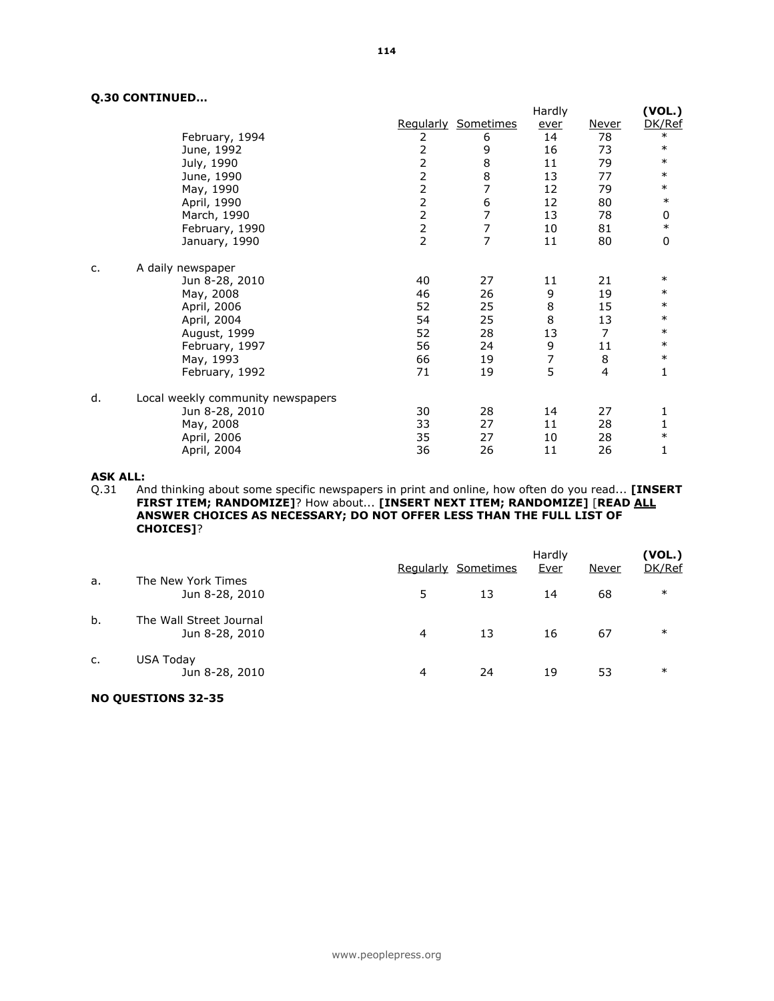# Q.30 CONTINUED…

|    |                                   | Hardly         |                     |      | (VOL.)       |        |
|----|-----------------------------------|----------------|---------------------|------|--------------|--------|
|    |                                   |                | Regularly Sometimes | ever | <u>Never</u> | DK/Ref |
|    | February, 1994                    | 2              | 6                   | 14   | 78           | $\ast$ |
|    | June, 1992                        | 2              | 9                   | 16   | 73           | $\ast$ |
|    | July, 1990                        | 2              | 8                   | 11   | 79           | $\ast$ |
|    | June, 1990                        | $\overline{2}$ | 8                   | 13   | 77           | $\ast$ |
|    | May, 1990                         | $\overline{c}$ | 7                   | 12   | 79           | $\ast$ |
|    | April, 1990                       | $\overline{c}$ | 6                   | 12   | 80           | $\ast$ |
|    | March, 1990                       | $\overline{2}$ | 7                   | 13   | 78           | 0      |
|    | February, 1990                    | $\frac{2}{2}$  | 7                   | 10   | 81           | $\ast$ |
|    | January, 1990                     |                | $\overline{7}$      | 11   | 80           | 0      |
| c. | A daily newspaper                 |                |                     |      |              |        |
|    | Jun 8-28, 2010                    | 40             | 27                  | 11   | 21           | $\ast$ |
|    | May, 2008                         | 46             | 26                  | 9    | 19           | $\ast$ |
|    | April, 2006                       | 52             | 25                  | 8    | 15           | $\ast$ |
|    | April, 2004                       | 54             | 25                  | 8    | 13           | $\ast$ |
|    | August, 1999                      | 52             | 28                  | 13   | 7            | $\ast$ |
|    | February, 1997                    | 56             | 24                  | 9    | 11           | $\ast$ |
|    | May, 1993                         | 66             | 19                  | 7    | 8            | $\ast$ |
|    | February, 1992                    | 71             | 19                  | 5    | 4            | 1      |
| d. | Local weekly community newspapers |                |                     |      |              |        |
|    | Jun 8-28, 2010                    | 30             | 28                  | 14   | 27           | 1      |
|    | May, 2008                         | 33             | 27                  | 11   | 28           | 1      |
|    | April, 2006                       | 35             | 27                  | 10   | 28           | $\ast$ |
|    | April, 2004                       | 36             | 26                  | 11   | 26           | 1      |

#### ASK ALL:

Q.31 And thinking about some specific newspapers in print and online, how often do you read... [INSERT **FIRST ITEM; RANDOMIZE]**? How about... **[INSERT NEXT ITEM; RANDOMIZE] [READ <u>ALL</u>** ANSWER CHOICES AS NECESSARY; DO NOT OFFER LESS THAN THE FULL LIST OF CHOICES]?

|    |                                           |    | Regularly Sometimes | Hardly<br>Ever | Never | (VOL.)<br>DK/Ref |
|----|-------------------------------------------|----|---------------------|----------------|-------|------------------|
| a. | The New York Times<br>Jun 8-28, 2010      | 5. | 13                  | 14             | 68    | $\ast$           |
| b. | The Wall Street Journal<br>Jun 8-28, 2010 | 4  | 13                  | 16             | 67    | $\ast$           |
| c. | USA Today<br>Jun 8-28, 2010               | 4  | 24                  | 19             | 53    | $\ast$           |

# NO QUESTIONS 32-35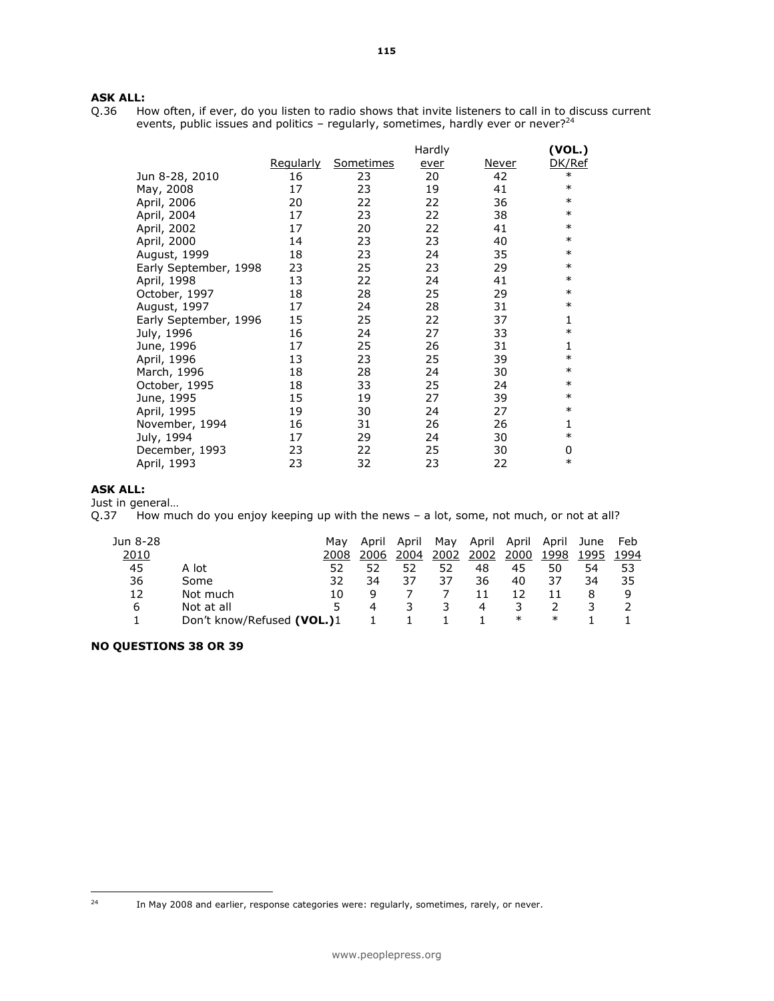# **ASK ALL:**<br>Q.36 Ho

How often, if ever, do you listen to radio shows that invite listeners to call in to discuss current events, public issues and politics - regularly, sometimes, hardly ever or never?<sup>24</sup>

|                       |                  |                  | Hardly |              | (VOL.) |
|-----------------------|------------------|------------------|--------|--------------|--------|
|                       | <u>Regularly</u> | <b>Sometimes</b> | ever   | <u>Never</u> | DK/Ref |
| Jun 8-28, 2010        | 16               | 23               | 20     | 42           | $\ast$ |
| May, 2008             | 17               | 23               | 19     | 41           | $\ast$ |
| April, 2006           | 20               | 22               | 22     | 36           | $\ast$ |
| April, 2004           | 17               | 23               | 22     | 38           | $\ast$ |
| April, 2002           | 17               | 20               | 22     | 41           | $\ast$ |
| April, 2000           | 14               | 23               | 23     | 40           | $\ast$ |
| August, 1999          | 18               | 23               | 24     | 35           | $\ast$ |
| Early September, 1998 | 23               | 25               | 23     | 29           | $\ast$ |
| April, 1998           | 13               | 22               | 24     | 41           | $\ast$ |
| October, 1997         | 18               | 28               | 25     | 29           | $\ast$ |
| August, 1997          | 17               | 24               | 28     | 31           | $\ast$ |
| Early September, 1996 | 15               | 25               | 22     | 37           | 1      |
| July, 1996            | 16               | 24               | 27     | 33           | $\ast$ |
| June, 1996            | 17               | 25               | 26     | 31           | 1      |
| April, 1996           | 13               | 23               | 25     | 39           | $\ast$ |
| March, 1996           | 18               | 28               | 24     | 30           | $\ast$ |
| October, 1995         | 18               | 33               | 25     | 24           | $\ast$ |
| June, 1995            | 15               | 19               | 27     | 39           | $\ast$ |
| April, 1995           | 19               | 30               | 24     | 27           | $\ast$ |
| November, 1994        | 16               | 31               | 26     | 26           | 1      |
| July, 1994            | 17               | 29               | 24     | 30           | $\ast$ |
| December, 1993        | 23               | 22               | 25     | 30           | 0      |
| April, 1993           | 23               | 32               | 23     | 22           | $\ast$ |

# ASK ALL:

Just in general…

Q.37 How much do you enjoy keeping up with the news - a lot, some, not much, or not at all?

| Jun 8-28 |                            | Mav | April            | April | Mav  | April | April  | April  | June | Feb  |
|----------|----------------------------|-----|------------------|-------|------|-------|--------|--------|------|------|
| 2010     |                            |     | 2006             | 2004  | 2002 | 2002  | 2000   | 1998   | 1995 | 1994 |
| 45       | A lot                      | 52  | 52               | 52    | 52   | 48    | 45     | 50     | 54   | 53   |
| 36       | Some                       | 32  | 34               | 37    | 37   | 36    | 40     | 37     | 34   | 35   |
| 12       | Not much                   | 10  | q                |       |      |       | 12     |        | 8    | q    |
| 6        | Not at all                 | 5.  | $\boldsymbol{4}$ |       | 3    | 4     | 3.     |        | ٦.   |      |
|          | Don't know/Refused (VOL.)1 |     |                  |       |      |       | $\ast$ | $\ast$ |      |      |

NO QUESTIONS 38 OR 39

In May 2008 and earlier, response categories were: regularly, sometimes, rarely, or never.

 $24$ 

<sup>115</sup>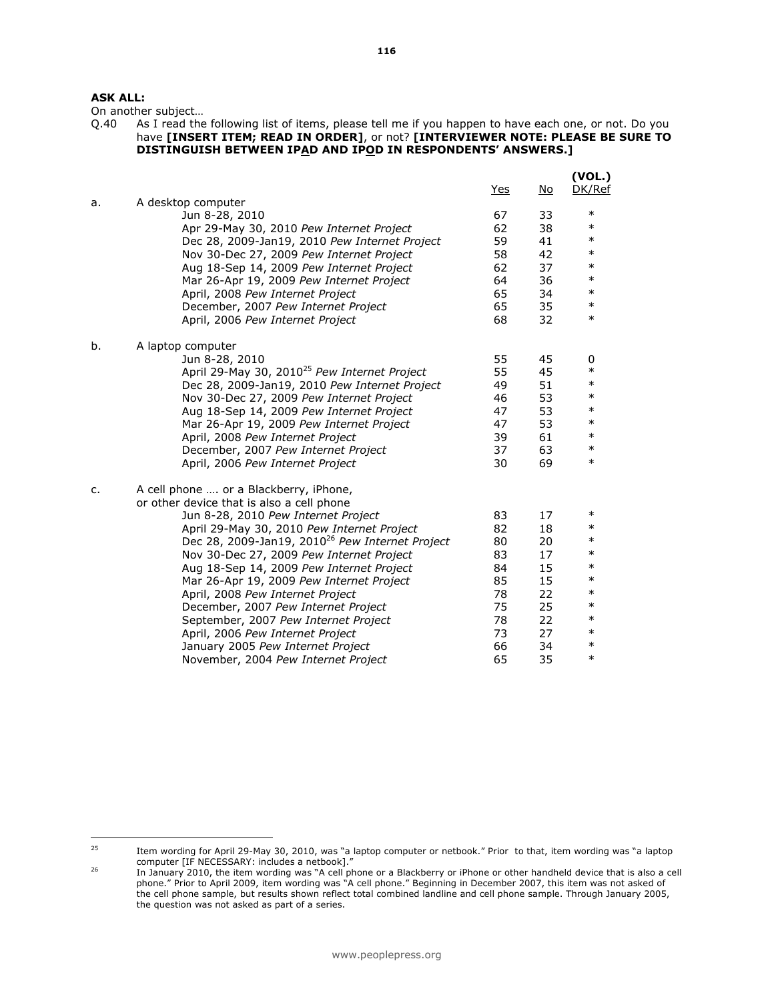# ASK ALL:

On another subject...<br>Q.40 As I read the As I read the following list of items, please tell me if you happen to have each one, or not. Do you have [INSERT ITEM; READ IN ORDER], or not? [INTERVIEWER NOTE: PLEASE BE SURE TO DISTINGUISH BETWEEN IPAD AND IPOD IN RESPONDENTS' ANSWERS.]

|    |                                                                          | <u>Yes</u> | No       | (VOL.)<br>DK/Ref |
|----|--------------------------------------------------------------------------|------------|----------|------------------|
| a. | A desktop computer<br>Jun 8-28, 2010                                     | 67         | 33       | $\ast$           |
|    | Apr 29-May 30, 2010 Pew Internet Project                                 | 62         | 38       | $\ast$           |
|    | Dec 28, 2009-Jan19, 2010 Pew Internet Project                            | 59         | 41       | $\ast$           |
|    | Nov 30-Dec 27, 2009 Pew Internet Project                                 | 58         | 42       | $\ast$           |
|    | Aug 18-Sep 14, 2009 Pew Internet Project                                 | 62         | 37       | $\ast$           |
|    | Mar 26-Apr 19, 2009 Pew Internet Project                                 | 64         | 36       | $\ast$           |
|    | April, 2008 Pew Internet Project                                         | 65         | 34       | $\ast$           |
|    | December, 2007 Pew Internet Project                                      | 65         | 35       | $\ast$           |
|    | April, 2006 Pew Internet Project                                         | 68         | 32       | $\ast$           |
| b. | A laptop computer                                                        |            |          |                  |
|    | Jun 8-28, 2010                                                           | 55         | 45       | 0                |
|    | April 29-May 30, 2010 <sup>25</sup> Pew Internet Project                 | 55         | 45       | $\ast$           |
|    | Dec 28, 2009-Jan19, 2010 Pew Internet Project                            | 49         | 51       | $\ast$           |
|    | Nov 30-Dec 27, 2009 Pew Internet Project                                 | 46         | 53       | $\ast$           |
|    | Aug 18-Sep 14, 2009 Pew Internet Project                                 | 47         | 53       | $\ast$           |
|    | Mar 26-Apr 19, 2009 Pew Internet Project                                 | 47         | 53       | $\ast$           |
|    | April, 2008 Pew Internet Project                                         | 39         | 61       | $\ast$           |
|    | December, 2007 Pew Internet Project                                      | 37         | 63       | $\ast$           |
|    | April, 2006 Pew Internet Project                                         | 30         | 69       | $\ast$           |
| c. | A cell phone  or a Blackberry, iPhone,                                   |            |          |                  |
|    | or other device that is also a cell phone                                |            |          |                  |
|    | Jun 8-28, 2010 Pew Internet Project                                      | 83         | 17       | $\ast$<br>$\ast$ |
|    | April 29-May 30, 2010 Pew Internet Project                               | 82         | 18       | $\ast$           |
|    | Dec 28, 2009-Jan19, 2010 <sup>26</sup> Pew Internet Project              | 80         | 20       | $\ast$           |
|    | Nov 30-Dec 27, 2009 Pew Internet Project                                 | 83         | 17       | $\ast$           |
|    | Aug 18-Sep 14, 2009 Pew Internet Project                                 | 84         | 15       | $\ast$           |
|    | Mar 26-Apr 19, 2009 Pew Internet Project                                 | 85         | 15       | $\ast$           |
|    | April, 2008 Pew Internet Project                                         | 78<br>75   | 22<br>25 | $\ast$           |
|    | December, 2007 Pew Internet Project                                      | 78         | 22       | $\ast$           |
|    | September, 2007 Pew Internet Project<br>April, 2006 Pew Internet Project | 73         | 27       | $\ast$           |
|    | January 2005 Pew Internet Project                                        | 66         | 34       | $\ast$           |
|    | November, 2004 Pew Internet Project                                      | 65         | 35       | $\ast$           |
|    |                                                                          |            |          |                  |

 $25$ 

<sup>25</sup> Item wording for April 29-May 30, 2010, was "a laptop computer or netbook." Prior to that, item wording was "a laptop computer [IF NECESSARY: includes a netbook]."

<sup>26</sup> In January 2010, the item wording was "A cell phone or a Blackberry or iPhone or other handheld device that is also a cell phone." Prior to April 2009, item wording was "A cell phone." Beginning in December 2007, this item was not asked of the cell phone sample, but results shown reflect total combined landline and cell phone sample. Through January 2005, the question was not asked as part of a series.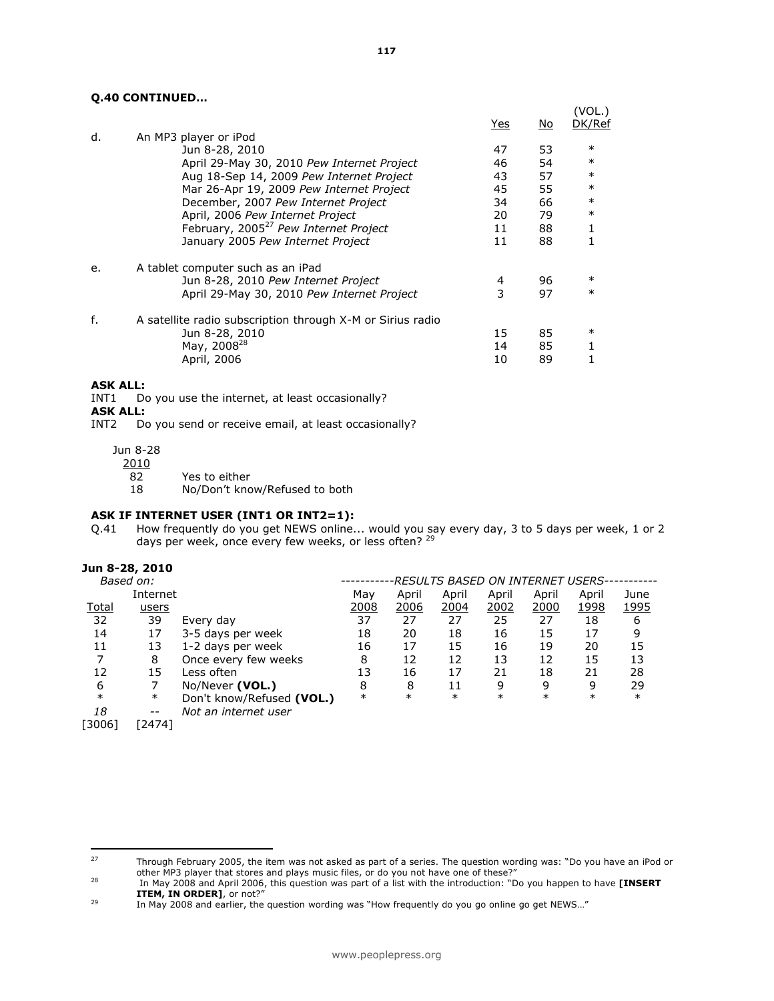## Q.40 CONTINUED…

|    |                                                            |     |    | (VOL.) |
|----|------------------------------------------------------------|-----|----|--------|
|    |                                                            | Yes | No | DK/Ref |
| d. | An MP3 player or iPod                                      |     |    |        |
|    | Jun 8-28, 2010                                             | 47  | 53 | $\ast$ |
|    | April 29-May 30, 2010 Pew Internet Project                 | 46  | 54 | $\ast$ |
|    | Aug 18-Sep 14, 2009 Pew Internet Project                   | 43  | 57 | $\ast$ |
|    | Mar 26-Apr 19, 2009 Pew Internet Project                   | 45  | 55 | $\ast$ |
|    | December, 2007 Pew Internet Project                        | 34  | 66 | $\ast$ |
|    | April, 2006 Pew Internet Project                           | 20  | 79 | $\ast$ |
|    | February, 2005 <sup>27</sup> Pew Internet Project          | 11  | 88 | 1      |
|    | January 2005 Pew Internet Project                          | 11  | 88 |        |
| e. | A tablet computer such as an iPad                          |     |    |        |
|    | Jun 8-28, 2010 Pew Internet Project                        | 4   | 96 | ∗      |
|    | April 29-May 30, 2010 Pew Internet Project                 | 3   | 97 | $\ast$ |
| f. | A satellite radio subscription through X-M or Sirius radio |     |    |        |
|    | Jun 8-28, 2010                                             | 15  | 85 | ∗      |
|    | May, 2008 <sup>28</sup>                                    | 14  | 85 |        |
|    | April, 2006                                                | 10  | 89 |        |
|    |                                                            |     |    |        |

#### ASK ALL:

INT1 Do you use the internet, at least occasionally?

- **ASK ALL:**<br>INT2 Do
- Do you send or receive email, at least occasionally?

Jun 8-28

2010

- 82 Yes to either
- 18 No/Don't know/Refused to both

#### ASK IF INTERNET USER (INT1 OR INT2=1):

Q.41 How frequently do you get NEWS online... would you say every day, 3 to 5 days per week, 1 or 2 days per week, once every few weeks, or less often? <sup>29</sup>

#### Jun 8-28, 2010

| Internet                  | May         | April       | April       | April  | April  | April  | June                              |
|---------------------------|-------------|-------------|-------------|--------|--------|--------|-----------------------------------|
|                           | <u>2008</u> | <u>2006</u> | <u>2004</u> | 2002   | 2000   | 1998   | <u>1995</u>                       |
| Every day                 | 37          | 27          | 27          | 25     | 27     | 18     | 6                                 |
| 3-5 days per week         | 18          | 20          | 18          | 16     | 15     | 17     | 9                                 |
| 1-2 days per week         | 16          | 17          | 15          | 16     | 19     | 20     | 15                                |
| Once every few weeks      | 8           | 12          | 12          | 13     | 12     | 15     | 13                                |
| Less often                | 13          | 16          | 17          | 21     | 18     | 21     | 28                                |
| No/Never (VOL.)           | 8           | 8           | 11          | 9      | 9      | 9      | 29                                |
| Don't know/Refused (VOL.) | $\ast$      | $\ast$      | $\ast$      | $\ast$ | $\ast$ | $\ast$ | $\ast$                            |
| Not an internet user      |             |             |             |        |        |        |                                   |
|                           |             |             |             |        |        |        |                                   |
|                           |             |             |             |        |        |        | -RESULTS BASED ON INTERNET USERS- |

<sup>27</sup> <sup>27</sup> Through February 2005, the item was not asked as part of a series. The question wording was: "Do you have an iPod or other MP3 player that stores and plays music files, or do you not have one of these?"

<sup>&</sup>lt;sup>28</sup> In May 2008 and April 2006, this question was part of a list with the introduction: "Do you happen to have [INSERT ITEM, IN ORDER], or not?"

<sup>&</sup>lt;sup>29</sup> In May 2008 and earlier, the question wording was "How frequently do you go online go get NEWS..."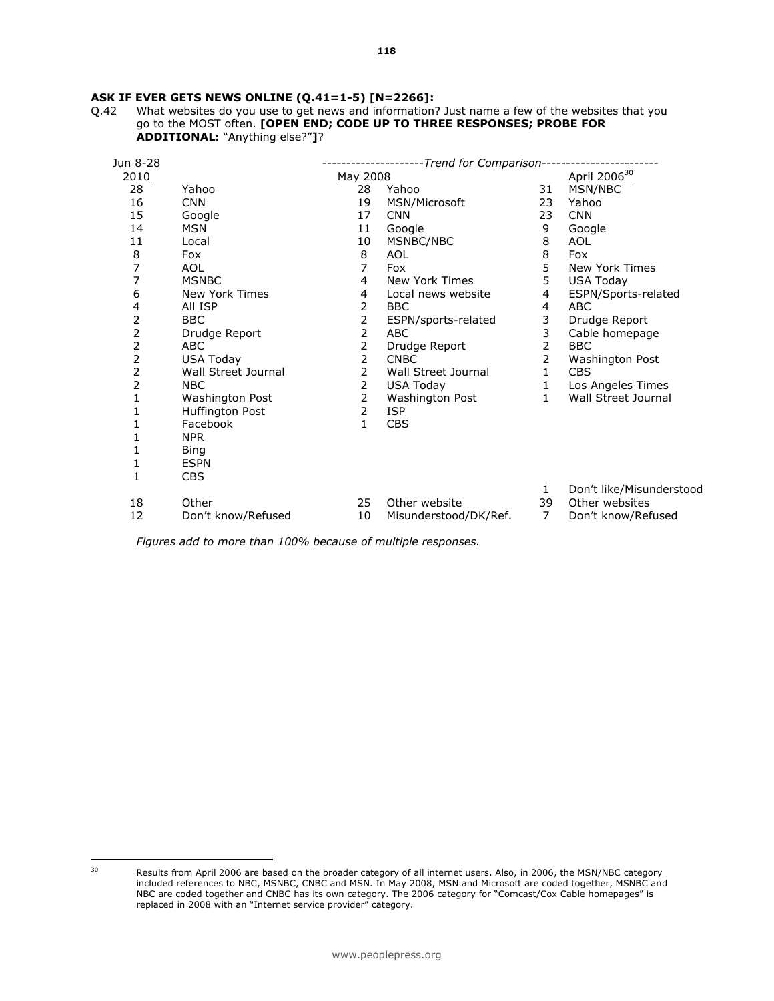# **ASK IF EVER GETS NEWS ONLINE (Q.41=1-5) [N=2266]:**  $Q.42$  What websites do you use to get news and information?

What websites do you use to get news and information? Just name a few of the websites that you go to the MOST often. [OPEN END; CODE UP TO THREE RESPONSES; PROBE FOR ADDITIONAL: "Anything else?"]?

| Jun 8-28 |                     | -Trend for Comparison- |                       |                |                          |  |  |
|----------|---------------------|------------------------|-----------------------|----------------|--------------------------|--|--|
| 2010     |                     | May 2008               |                       |                | April 2006 <sup>30</sup> |  |  |
| 28       | Yahoo               | 28                     | Yahoo                 | 31             | MSN/NBC                  |  |  |
| 16       | <b>CNN</b>          | 19                     | MSN/Microsoft         | 23             | Yahoo                    |  |  |
| 15       | Google              | 17                     | <b>CNN</b>            | 23             | <b>CNN</b>               |  |  |
| 14       | <b>MSN</b>          | 11                     | Google                | 9              | Google                   |  |  |
| 11       | Local               | 10                     | MSNBC/NBC             | 8              | <b>AOL</b>               |  |  |
| 8        | Fox                 | 8                      | <b>AOL</b>            | 8              | Fox                      |  |  |
| 7        | <b>AOL</b>          | 7                      | Fox                   | 5              | New York Times           |  |  |
| 7        | <b>MSNBC</b>        | 4                      | New York Times        | 5              | <b>USA Today</b>         |  |  |
| 6        | New York Times      | 4                      | Local news website    | 4              | ESPN/Sports-related      |  |  |
| 4        | All ISP             | 2                      | <b>BBC</b>            | 4              | <b>ABC</b>               |  |  |
| 2        | <b>BBC</b>          | 2                      | ESPN/sports-related   | 3              | Drudge Report            |  |  |
| 2        | Drudge Report       | 2                      | ABC                   | 3              | Cable homepage           |  |  |
| 2        | <b>ABC</b>          | 2                      | Drudge Report         | 2              | <b>BBC</b>               |  |  |
| 2        | USA Today           | 2                      | <b>CNBC</b>           | 2              | Washington Post          |  |  |
| 2        | Wall Street Journal | 2                      | Wall Street Journal   | 1              | <b>CBS</b>               |  |  |
| 2        | <b>NBC</b>          | 2                      | USA Today             | $\mathbf{1}$   | Los Angeles Times        |  |  |
| 1        | Washington Post     | 2                      | Washington Post       | $\mathbf{1}$   | Wall Street Journal      |  |  |
| 1        | Huffington Post     | 2                      | <b>ISP</b>            |                |                          |  |  |
|          | Facebook            | $\mathbf{1}$           | <b>CBS</b>            |                |                          |  |  |
| 1        | <b>NPR</b>          |                        |                       |                |                          |  |  |
| 1        | <b>Bing</b>         |                        |                       |                |                          |  |  |
| 1        | <b>ESPN</b>         |                        |                       |                |                          |  |  |
| 1        | <b>CBS</b>          |                        |                       |                |                          |  |  |
|          |                     |                        |                       | 1              | Don't like/Misunderstood |  |  |
| 18       | Other               | 25                     | Other website         | 39             | Other websites           |  |  |
| 12       | Don't know/Refused  | 10                     | Misunderstood/DK/Ref. | $\overline{7}$ | Don't know/Refused       |  |  |

Figures add to more than 100% because of multiple responses.

<sup>30</sup> 

Results from April 2006 are based on the broader category of all internet users. Also, in 2006, the MSN/NBC category included references to NBC, MSNBC, CNBC and MSN. In May 2008, MSN and Microsoft are coded together, MSNBC and NBC are coded together and CNBC has its own category. The 2006 category for "Comcast/Cox Cable homepages" is replaced in 2008 with an "Internet service provider" category.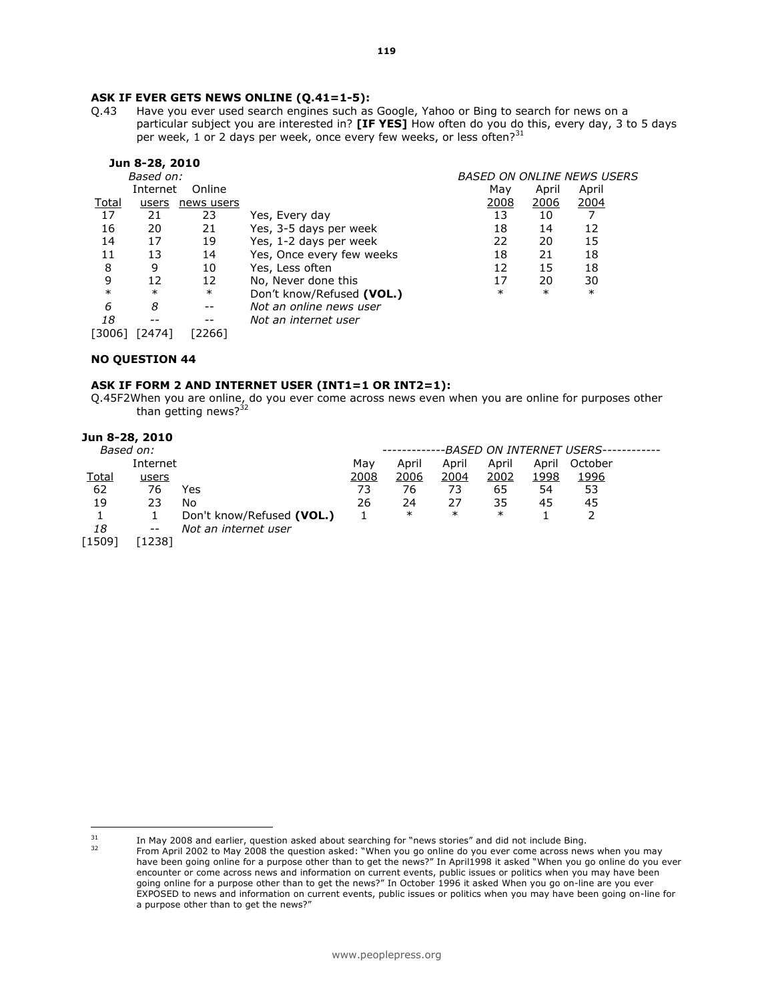#### ASK IF EVER GETS NEWS ONLINE (Q.41=1-5):

Q.43 Have you ever used search engines such as Google, Yahoo or Bing to search for news on a particular subject you are interested in? [IF YES] How often do you do this, every day, 3 to 5 days per week, 1 or 2 days per week, once every few weeks, or less often? $31$ 

|        | Jun 8-28, 2010 |                          |                           |        |                                   |        |  |
|--------|----------------|--------------------------|---------------------------|--------|-----------------------------------|--------|--|
|        | Based on:      |                          |                           |        | <b>BASED ON ONLINE NEWS USERS</b> |        |  |
|        | Internet       | Online                   |                           | May    | April                             | April  |  |
| Total  | users          | news users               |                           | 2008   | 2006                              | 2004   |  |
| 17     | 21             | 23                       | Yes, Every day            | 13     | 10                                |        |  |
| 16     | 20             | 21                       | Yes, 3-5 days per week    | 18     | 14                                | 12     |  |
| 14     | 17             | 19                       | Yes, 1-2 days per week    | 22     | 20                                | 15     |  |
| 11     | 13             | 14                       | Yes, Once every few weeks | 18     | 21                                | 18     |  |
| 8      | 9              | 10                       | Yes, Less often           | 12     | 15                                | 18     |  |
| 9      | 12             | 12                       | No, Never done this       | 17     | 20                                | 30     |  |
| $\ast$ | $\ast$         | $\ast$                   | Don't know/Refused (VOL.) | $\ast$ | $\ast$                            | $\ast$ |  |
| 6      | 8              | $- -$                    | Not an online news user   |        |                                   |        |  |
| 18     |                | $\overline{\phantom{m}}$ | Not an internet user      |        |                                   |        |  |
| 30061  | [2474]         | [2266]                   |                           |        |                                   |        |  |

#### NO QUESTION 44

#### ASK IF FORM 2 AND INTERNET USER (INT1=1 OR INT2=1):

Q.45F2When you are online, do you ever come across news even when you are online for purposes other than getting news? $32$ 

| Jun 8-28, 2010<br>Based on: |          |                           |      |        |        | -BASED ON INTERNET USERS-· |       |         |  |
|-----------------------------|----------|---------------------------|------|--------|--------|----------------------------|-------|---------|--|
|                             |          |                           |      |        |        | April                      |       |         |  |
|                             | Internet |                           | Mav  | April  | April  |                            | April | October |  |
| Total                       | users    |                           | 2008 | 2006   | 2004   | <u>2002</u>                | 1998  | 1996    |  |
| 62                          | 76       | Yes                       | 73   | 76     | 73     | 65                         | 54    | 53      |  |
| 19                          | 23       | No                        | 26   | 24     | 27     | 35                         | 45    | 45      |  |
|                             |          | Don't know/Refused (VOL.) |      | $\ast$ | $\ast$ | $\ast$                     |       |         |  |
| 18                          | $- -$    | Not an internet user      |      |        |        |                            |       |         |  |
| 1509                        | [1238]   |                           |      |        |        |                            |       |         |  |

 $31$  $31$  In May 2008 and earlier, question asked about searching for "news stories" and did not include Bing.

<sup>32</sup> From April 2002 to May 2008 the question asked: "When you go online do you ever come across news when you may have been going online for a purpose other than to get the news?" In April1998 it asked "When you go online do you ever encounter or come across news and information on current events, public issues or politics when you may have been going online for a purpose other than to get the news?" In October 1996 it asked When you go on-line are you ever EXPOSED to news and information on current events, public issues or politics when you may have been going on-line for a purpose other than to get the news?"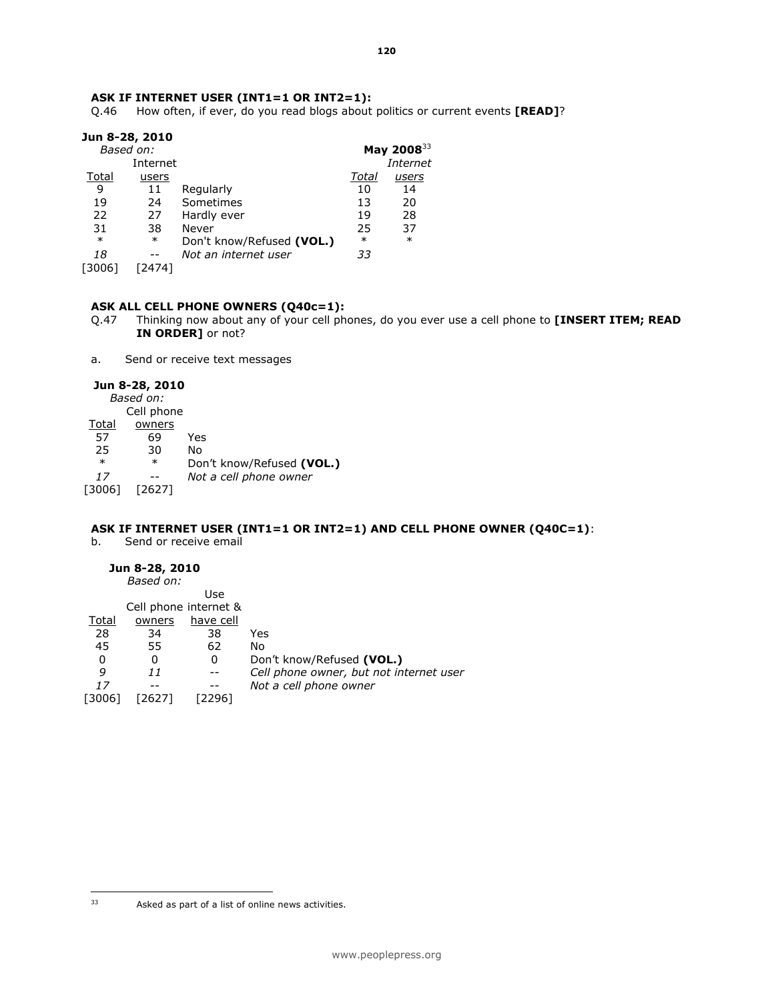### ASK IF INTERNET USER (INT1=1 OR INT2=1):

Q.46 How often, if ever, do you read blogs about politics or current events [READ]?

| Jun 8-28, 2010 |          |                           |        |                  |
|----------------|----------|---------------------------|--------|------------------|
| Based on:      |          |                           |        | May 2008 $^{33}$ |
|                | Internet |                           |        | Internet         |
| Total          | users    |                           | Total  | <u>users</u>     |
| 9              | 11       | Regularly                 | 10     | 14               |
| 19             | 24       | Sometimes                 | 13     | 20               |
| 22             | 27       | Hardly ever               | 19     | 28               |
| 31             | 38       | Never                     | 25     | 37               |
| $\ast$         | $\ast$   | Don't know/Refused (VOL.) | $\ast$ | $\ast$           |
| 18             |          | Not an internet user      | 33     |                  |
| [3006]         | [2474]   |                           |        |                  |
|                |          |                           |        |                  |

#### ASK ALL CELL PHONE OWNERS (Q40c=1):

- Q.47 Thinking now about any of your cell phones, do you ever use a cell phone to [INSERT ITEM; READ IN ORDER] or not?
- a. Send or receive text messages

#### Jun 8-28, 2010

|        | Based on:  |                           |
|--------|------------|---------------------------|
|        | Cell phone |                           |
| Total  | owners     |                           |
| 57     | 69         | Yes                       |
| 25     | 30         | No                        |
| $\ast$ | $\ast$     | Don't know/Refused (VOL.) |
| 17     |            | Not a cell phone owner    |
| [3006] |            |                           |

### ASK IF INTERNET USER (INT1=1 OR INT2=1) AND CELL PHONE OWNER (Q40C=1):

b. Send or receive email

#### Jun 8-28, 2010

|         | Based on: |                       |                                         |
|---------|-----------|-----------------------|-----------------------------------------|
|         |           | Use                   |                                         |
|         |           | Cell phone internet & |                                         |
| Total   | owners    | have cell             |                                         |
| 28      | 34        | 38                    | Yes                                     |
| 45      | 55        | 62                    | No                                      |
| 0       | 0         | 0                     | Don't know/Refused (VOL.)               |
| 9       | 11        |                       | Cell phone owner, but not internet user |
| 17      |           |                       | Not a cell phone owner                  |
| 30061 آ | [2627]    | 22961                 |                                         |

 $33$ Asked as part of a list of online news activities.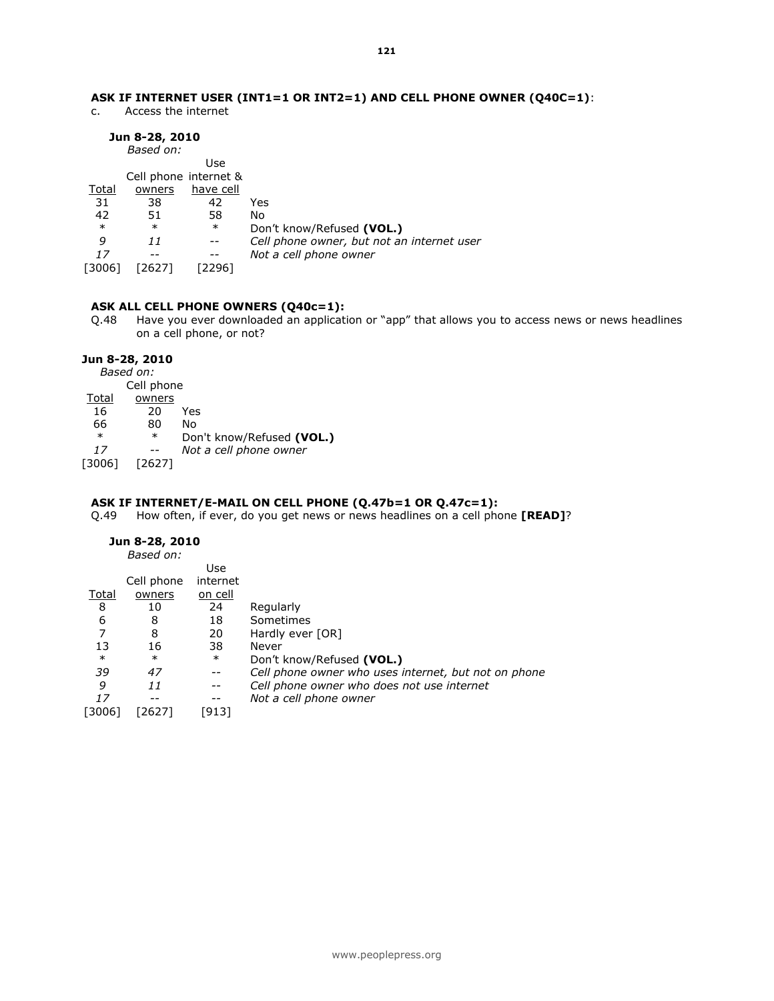### ASK IF INTERNET USER (INT1=1 OR INT2=1) AND CELL PHONE OWNER (Q40C=1):

c. Access the internet

### Jun 8-28, 2010

|        | Based on: |                       |                                            |
|--------|-----------|-----------------------|--------------------------------------------|
|        |           | Use                   |                                            |
|        |           | Cell phone internet & |                                            |
| Total  | owners    | have cell             |                                            |
| 31     | 38        | 42                    | Yes                                        |
| 42     | 51        | 58                    | No                                         |
| $\ast$ | $\ast$    | $\ast$                | Don't know/Refused (VOL.)                  |
| 9      | 11        |                       | Cell phone owner, but not an internet user |
| 17     |           |                       | Not a cell phone owner                     |
| 13006  | 26271     | [2296]                |                                            |
|        |           |                       |                                            |

#### ASK ALL CELL PHONE OWNERS (Q40c=1):

Q.48 Have you ever downloaded an application or "app" that allows you to access news or news headlines on a cell phone, or not?

#### Jun 8-28, 2010

Based on: Cell phone Total owners 16 20 Yes 66 80 No \* \* Don't know/Refused (VOL.)<br>17 -- Not a cell phone owner Not a cell phone owner [3006] [2627]

#### ASK IF INTERNET/E-MAIL ON CELL PHONE (Q.47b=1 OR Q.47c=1):

Q.49 How often, if ever, do you get news or news headlines on a cell phone [READ]?

### Jun 8-28, 2010

|              | Based on:  |                |                                                      |
|--------------|------------|----------------|------------------------------------------------------|
|              |            | Use            |                                                      |
|              | Cell phone | internet       |                                                      |
| <u>Total</u> | owners     | <u>on cell</u> |                                                      |
| 8            | 10         | 24             | Regularly                                            |
| 6            | 8          | 18             | Sometimes                                            |
|              | 8          | 20             | Hardly ever [OR]                                     |
| 13           | 16         | 38             | Never                                                |
| $\ast$       | $\ast$     | $\ast$         | Don't know/Refused (VOL.)                            |
| 39           | 47         | $- -$          | Cell phone owner who uses internet, but not on phone |
| 9            | 11         | $- -$          | Cell phone owner who does not use internet           |
| 17           |            | --             | Not a cell phone owner                               |
| [3006]       | [2627]     | [913           |                                                      |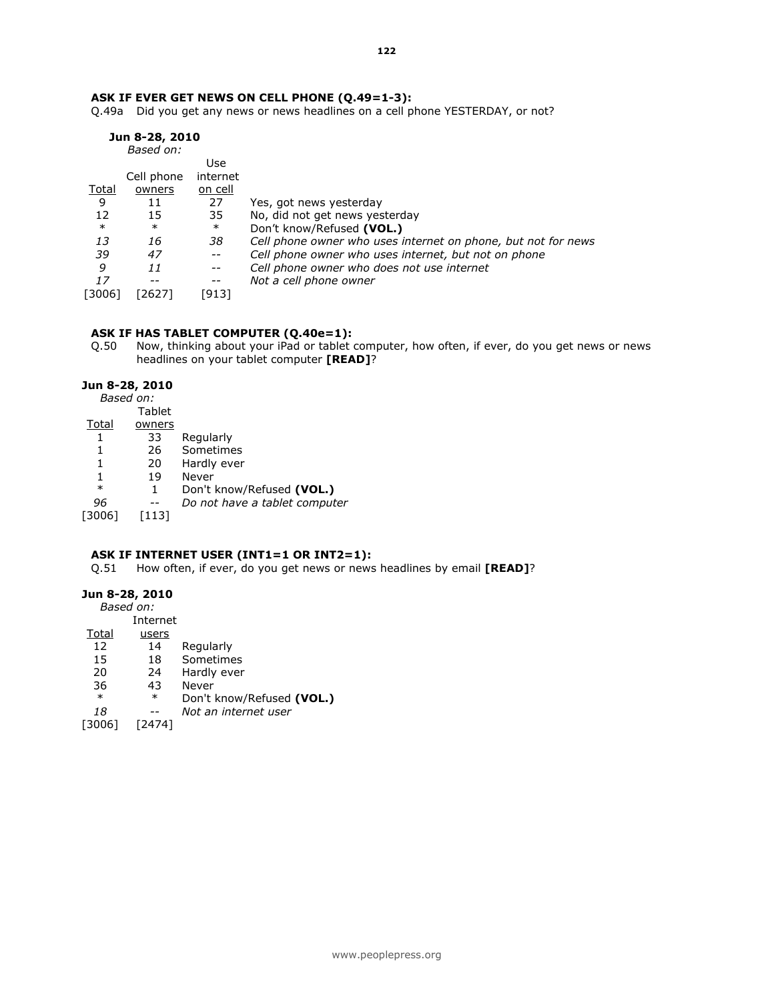### ASK IF EVER GET NEWS ON CELL PHONE (Q.49=1-3):

Q.49a Did you get any news or news headlines on a cell phone YESTERDAY, or not?

|         | Jun 8-28, 2010 |                          |                                                               |
|---------|----------------|--------------------------|---------------------------------------------------------------|
|         | Based on:      |                          |                                                               |
|         |                | Use                      |                                                               |
|         | Cell phone     | internet                 |                                                               |
| Total   | owners         | on cell                  |                                                               |
| 9       | 11             | 27                       | Yes, got news yesterday                                       |
| 12      | 15             | 35                       | No, did not get news yesterday                                |
| $\ast$  | $\ast$         | $\ast$                   | Don't know/Refused (VOL.)                                     |
| 13      | 16             | 38                       | Cell phone owner who uses internet on phone, but not for news |
| 39      | 47             | $\overline{\phantom{m}}$ | Cell phone owner who uses internet, but not on phone          |
| 9       | 11             | $\overline{\phantom{m}}$ | Cell phone owner who does not use internet                    |
| 17      | --             | $\overline{\phantom{m}}$ | Not a cell phone owner                                        |
| 30061 آ | [2627]         | [913]                    |                                                               |

### ASK IF HAS TABLET COMPUTER (Q.40e=1):

Q.50 Now, thinking about your iPad or tablet computer, how often, if ever, do you get news or news headlines on your tablet computer [READ]?

#### Jun 8-28, 2010 Based on:

|        | <b>Tablet</b> |                               |
|--------|---------------|-------------------------------|
| Total  | owners        |                               |
|        | 33            | Regularly                     |
|        | 26            | Sometimes                     |
| 1      | 20            | Hardly ever                   |
| 1      | 19            | Never                         |
| $\ast$ | 1             | Don't know/Refused (VOL.)     |
| 96     |               | Do not have a tablet computer |
| 30061  | 1131          |                               |
|        |               | <i>Based on:</i>              |

### ASK IF INTERNET USER (INT1=1 OR INT2=1):

Q.51 How often, if ever, do you get news or news headlines by email [READ]?

### Jun 8-28, 2010

Based on: Internet

| Total  | users  |                           |
|--------|--------|---------------------------|
| 12     | 14     | Regularly                 |
| 15     | 18     | Sometimes                 |
| 20     | 24     | Hardly ever               |
| 36     | 43     | Never                     |
| $\ast$ | $\ast$ | Don't know/Refused (VOL.) |
| 18     |        | Not an internet user      |
| [3006] | [2474] |                           |
|        |        |                           |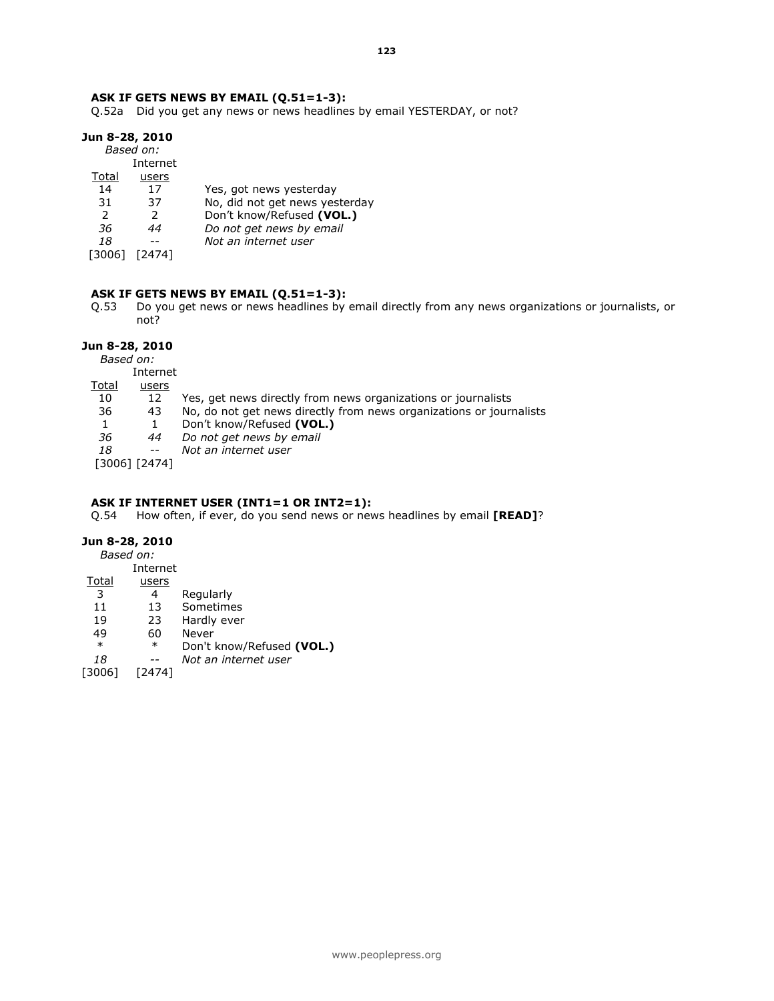#### ASK IF GETS NEWS BY EMAIL (Q.51=1-3):

Q.52a Did you get any news or news headlines by email YESTERDAY, or not?

#### Jun 8-28, 2010

Based on: Internet

|        | 111 LEI 11 EL |                                |
|--------|---------------|--------------------------------|
| Total  | users         |                                |
| 14     | 17            | Yes, got news yesterday        |
| 31     | 37            | No, did not get news yesterday |
| 2      | $\mathcal{P}$ | Don't know/Refused (VOL.)      |
| 36     | 44            | Do not get news by email       |
| 18     |               | Not an internet user           |
| [3006] | 74741         |                                |
|        |               |                                |

#### ASK IF GETS NEWS BY EMAIL (Q.51=1-3):

Q.53 Do you get news or news headlines by email directly from any news organizations or journalists, or not?

#### Jun 8-28, 2010

Based on:

|       | Internet       |                                                                     |
|-------|----------------|---------------------------------------------------------------------|
| Total | users          |                                                                     |
| 10    | 12             | Yes, get news directly from news organizations or journalists       |
| 36    | 43             | No, do not get news directly from news organizations or journalists |
|       |                | Don't know/Refused (VOL.)                                           |
| 36    | 44             | Do not get news by email                                            |
| 18    | $ -$           | Not an internet user                                                |
|       | ์ 30061 โ24741 |                                                                     |

#### [3006] [2474]

#### ASK IF INTERNET USER (INT1=1 OR INT2=1):

Q.54 How often, if ever, do you send news or news headlines by email [READ]?

### Jun 8-28, 2010

Based on:

- Internet<br><u>Total</u> <u>users</u>
- users
- 3 4 Regularly
- 11 13 Sometimes<br>19 23 Hardly ever
- 19 23 Hardly ever
- 49 60 Never<br>\* \* Don't l
- \* \* Don't know/Refused (VOL.)<br>18 -- Not an internet user
- Not an internet user
- [3006] [2474]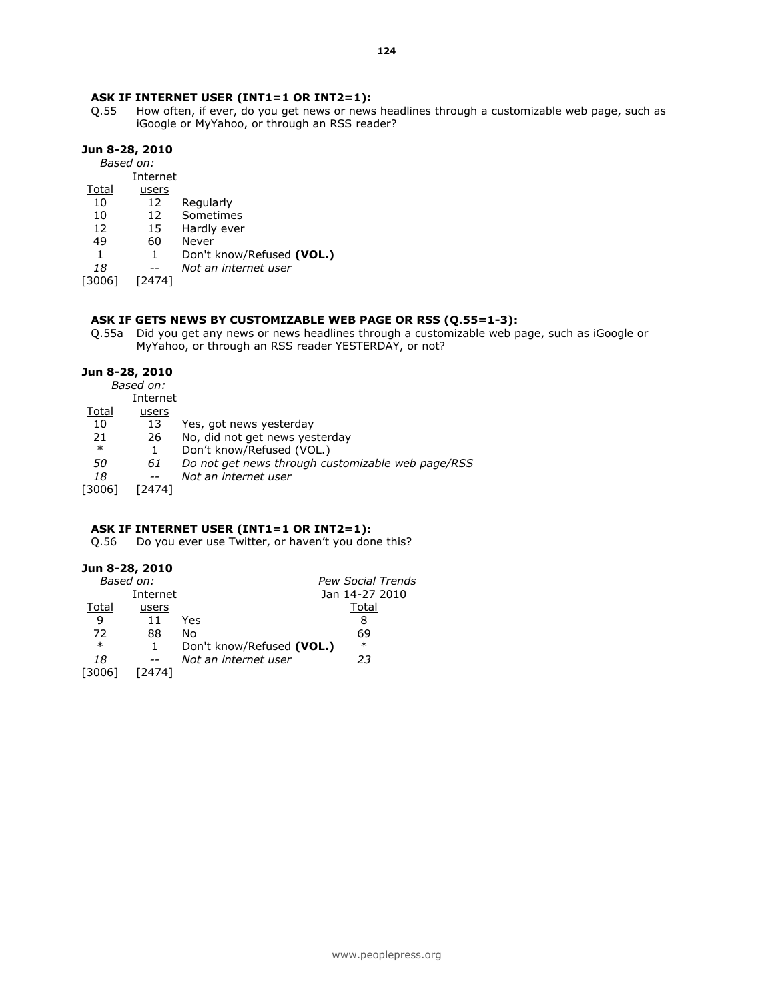#### ASK IF INTERNET USER (INT1=1 OR INT2=1):

Q.55 How often, if ever, do you get news or news headlines through a customizable web page, such as iGoogle or MyYahoo, or through an RSS reader?

#### Jun 8-28, 2010

Based on:

Internet

- Total users
- 10 12 Regularly
- 10 12 Sometimes<br>12 15 Hardly ever
- 12 15 Hardly ever
- 49 60 Never
- 1 Don't know/Refused (VOL.)
- 18 -- Not an internet user
- [3006] [2474]

#### ASK IF GETS NEWS BY CUSTOMIZABLE WEB PAGE OR RSS (Q.55=1-3):

Q.55a Did you get any news or news headlines through a customizable web page, such as iGoogle or MyYahoo, or through an RSS reader YESTERDAY, or not?

#### Jun 8-28, 2010

Based on:

Internet

- Total users
- 10 13 Yes, got news yesterday<br>21 26 No, did not get news yes
- 21 26 No, did not get news yesterday
- \* 1 Don't know/Refused (VOL.)
- 50 61 Do not get news through customizable web page/RSS
- 18 -- Not an internet user
- [3006] [2474]

#### ASK IF INTERNET USER (INT1=1 OR INT2=1):

Q.56 Do you ever use Twitter, or haven't you done this?

#### Jun 8-28, 2010

| Based on: |           | Pew Social Trends                   |
|-----------|-----------|-------------------------------------|
|           | Internet  | Jan 14-27 2010                      |
| Total     | users     | Total                               |
| 9         | Yes<br>11 | 8                                   |
| 72        | 88<br>No  | 69                                  |
| $\ast$    |           | $\ast$<br>Don't know/Refused (VOL.) |
| 18        | $- -$     | Not an internet user<br>23          |
| [3006]    | ั24741    |                                     |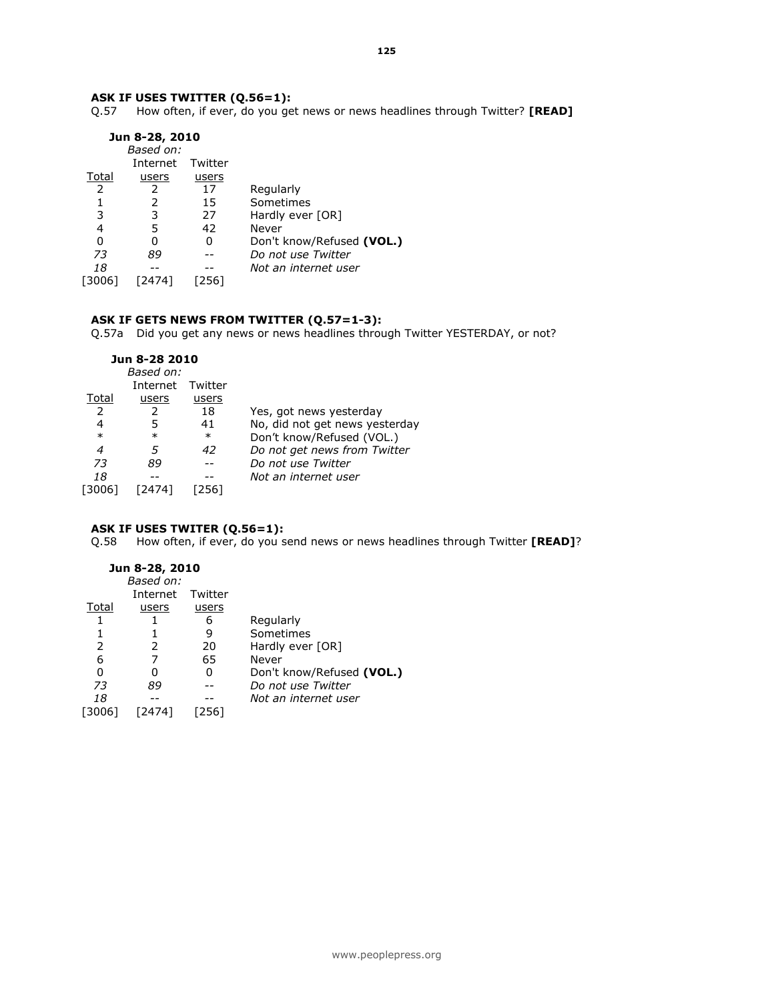#### ASK IF USES TWITTER (Q.56=1):

Q.57 How often, if ever, do you get news or news headlines through Twitter? [READ]

|               | Jun 8-28, 2010 |         |                           |
|---------------|----------------|---------|---------------------------|
|               | Based on:      |         |                           |
|               | Internet       | Twitter |                           |
| Total         | users          | users   |                           |
| $\mathcal{P}$ |                | 17      | Regularly                 |
|               |                | 15      | Sometimes                 |
| 3             | 3              | 27      | Hardly ever [OR]          |
| 4             | 5              | 42      | Never                     |
| 0             | 0              | 0       | Don't know/Refused (VOL.) |
| 73            | 89             |         | Do not use Twitter        |
| 18            |                |         | Not an internet user      |
| 30061 آ       | [2474]         | 2561    |                           |

#### ASK IF GETS NEWS FROM TWITTER (Q.57=1-3):

Q.57a Did you get any news or news headlines through Twitter YESTERDAY, or not?

|        | Jun 8-28 2010 |         |                                |
|--------|---------------|---------|--------------------------------|
|        | Based on:     |         |                                |
|        | Internet      | Twitter |                                |
| Total  | users         | users   |                                |
| 2      |               | 18      | Yes, got news yesterday        |
| 4      |               | 41      | No, did not get news yesterday |
| $\ast$ | $\ast$        | $\ast$  | Don't know/Refused (VOL.)      |
| 4      |               | 42      | Do not get news from Twitter   |
| 73     | 89            |         | Do not use Twitter             |
| 18     |               |         | Not an internet user           |
| 30061  |               | 2561    |                                |
|        |               |         |                                |

# ASK IF USES TWITER (Q.56=1):

Q.58 How often, if ever, do you send news or news headlines through Twitter [READ]?

### Jun 8-28, 2010

| Based on: |         |                           |
|-----------|---------|---------------------------|
| Internet  | Twitter |                           |
| users     | users   |                           |
|           | 6       | Regularly                 |
|           | 9       | Sometimes                 |
| 2         | 20      | Hardly ever [OR]          |
|           | 65      | Never                     |
|           | 0       | Don't know/Refused (VOL.) |
| 89        |         | Do not use Twitter        |
|           |         | Not an internet user      |
|           |         |                           |
|           |         |                           |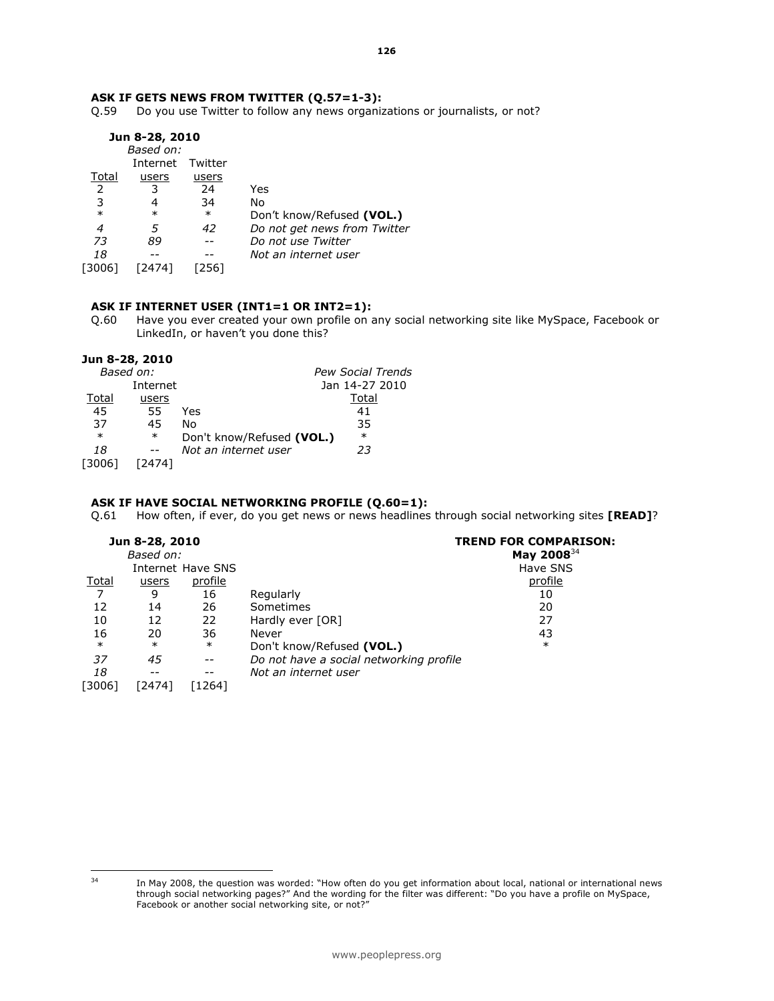#### ASK IF GETS NEWS FROM TWITTER (Q.57=1-3):

Q.59 Do you use Twitter to follow any news organizations or journalists, or not?

|        | Jun 8-28, 2010 |         |                              |
|--------|----------------|---------|------------------------------|
|        | Based on:      |         |                              |
|        | Internet       | Twitter |                              |
| Total  | users          | users   |                              |
| 2      | 3              | 24      | Yes                          |
|        | 4              | 34      | No                           |
| $\ast$ | $\ast$         | $\ast$  | Don't know/Refused (VOL.)    |
| 4      | 5              | 42      | Do not get news from Twitter |
| 73     | 89             |         | Do not use Twitter           |
| 18     |                |         | Not an internet user         |
| 13006  |                | 2561    |                              |
|        |                |         |                              |

#### ASK IF INTERNET USER (INT1=1 OR INT2=1):

Q.60 Have you ever created your own profile on any social networking site like MySpace, Facebook or LinkedIn, or haven't you done this?

#### Jun 8-28, 2010

| Based on:        |                           | <b>Pew Social Trends</b> |
|------------------|---------------------------|--------------------------|
| Internet         |                           | Jan 14-27 2010           |
| Total<br>users   |                           | Total                    |
| 45<br>55         | Yes                       | 41                       |
| 37<br>45         | No                        | 35                       |
| $\ast$<br>$\ast$ | Don't know/Refused (VOL.) | $\ast$                   |
| 18               | Not an internet user      | 23                       |
| [3006]<br>[2474] |                           |                          |
|                  |                           |                          |

#### ASK IF HAVE SOCIAL NETWORKING PROFILE (Q.60=1):

Q.61 How often, if ever, do you get news or news headlines through social networking sites [READ]?

| Jun 8-28, 2010<br>Based on: |        |                          |                                         | <b>TREND FOR COMPARISON:</b><br>May 2008 $^{34}$ |
|-----------------------------|--------|--------------------------|-----------------------------------------|--------------------------------------------------|
|                             |        | Internet Have SNS        |                                         | Have SNS                                         |
| <u>Total</u>                | users  | profile                  |                                         | profile                                          |
|                             | 9      | 16                       | Regularly                               | 10                                               |
| 12                          | 14     | 26                       | Sometimes                               | 20                                               |
| 10                          | 12     | 22                       | Hardly ever [OR]                        | 27                                               |
| 16                          | 20     | 36                       | Never                                   | 43                                               |
| $\ast$                      | $\ast$ | $\ast$                   | Don't know/Refused (VOL.)               | $\ast$                                           |
| 37                          | 45     | $- -$                    | Do not have a social networking profile |                                                  |
| 18                          | $- -$  | $\overline{\phantom{m}}$ | Not an internet user                    |                                                  |
| [3006]                      | [2474] | [1264]                   |                                         |                                                  |

 $34$ 

In May 2008, the question was worded: "How often do you get information about local, national or international news through social networking pages?" And the wording for the filter was different: "Do you have a profile on MySpace, Facebook or another social networking site, or not?"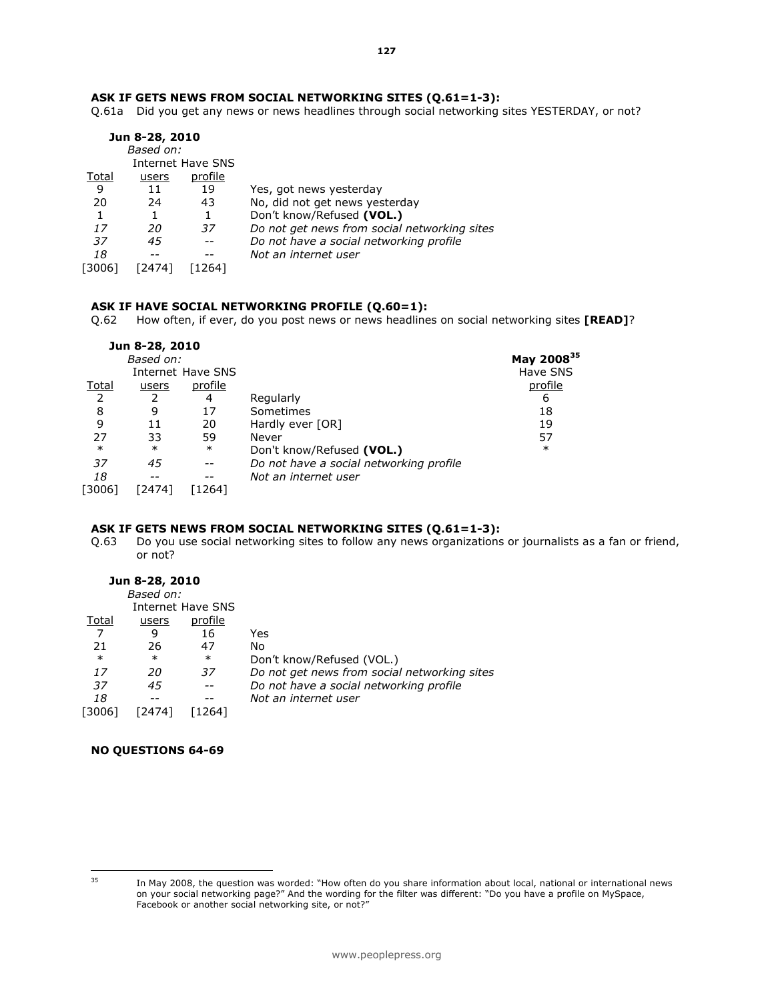Q.61a Did you get any news or news headlines through social networking sites YESTERDAY, or not?

|       | Jun 8-28, 2010 |                   |                                              |
|-------|----------------|-------------------|----------------------------------------------|
|       | Based on:      |                   |                                              |
|       |                | Internet Have SNS |                                              |
| Total | users          | profile           |                                              |
| 9     | 11             | 19                | Yes, got news yesterday                      |
| 20    | 24             | 43                | No, did not get news yesterday               |
|       |                |                   | Don't know/Refused (VOL.)                    |
| 17    | 20             | 37                | Do not get news from social networking sites |
| 37    | 45             |                   | Do not have a social networking profile      |
| 18    |                |                   | Not an internet user                         |
| 30061 | 24741          | 264               |                                              |

## ASK IF HAVE SOCIAL NETWORKING PROFILE (Q.60=1):

Q.62 How often, if ever, do you post news or news headlines on social networking sites [READ]?

|        |        |                          |                                                  | May 2008 <sup>35</sup> |
|--------|--------|--------------------------|--------------------------------------------------|------------------------|
|        |        |                          |                                                  | Have SNS               |
| Total  | users  | profile                  |                                                  | <u>profile</u>         |
|        |        | 4                        | Regularly                                        | 6                      |
| 8      | 9      | 17                       | Sometimes                                        | 18                     |
| 9      | 11     | 20                       | Hardly ever [OR]                                 | 19                     |
| 27     | 33     | 59                       | Never                                            | 57                     |
| $\ast$ | $\ast$ | $\ast$                   | Don't know/Refused (VOL.)                        | $\ast$                 |
| 37     | 45     | $\overline{\phantom{m}}$ | Do not have a social networking profile          |                        |
| 18     |        | $- -$                    | Not an internet user                             |                        |
| [3006] | [2474] | [1264]                   |                                                  |                        |
|        |        |                          | Jun 8-28, 2010<br>Based on:<br>Internet Have SNS |                        |

# ASK IF GETS NEWS FROM SOCIAL NETWORKING SITES (Q.61=1-3):<br>Q.63 Do you use social networking sites to follow any news organizations

Do you use social networking sites to follow any news organizations or journalists as a fan or friend, or not?

# Jun 8-28, 2010

|        | Based on: |                   |                                              |
|--------|-----------|-------------------|----------------------------------------------|
|        |           | Internet Have SNS |                                              |
| Total  | users     | profile           |                                              |
|        | 9         | 16                | Yes                                          |
| 21     | 26        | 47                | No                                           |
| $\ast$ | $\ast$    | $\ast$            | Don't know/Refused (VOL.)                    |
| 17     | 20        | 37                | Do not get news from social networking sites |
| 37     | 45        |                   | Do not have a social networking profile      |
| 18     |           |                   | Not an internet user                         |
| [3006] |           | 2641              |                                              |
|        |           |                   |                                              |

# NO QUESTIONS 64-69

<sup>35</sup> 

<sup>35</sup> In May 2008, the question was worded: "How often do you share information about local, national or international news on your social networking page?" And the wording for the filter was different: "Do you have a profile on MySpace, Facebook or another social networking site, or not?"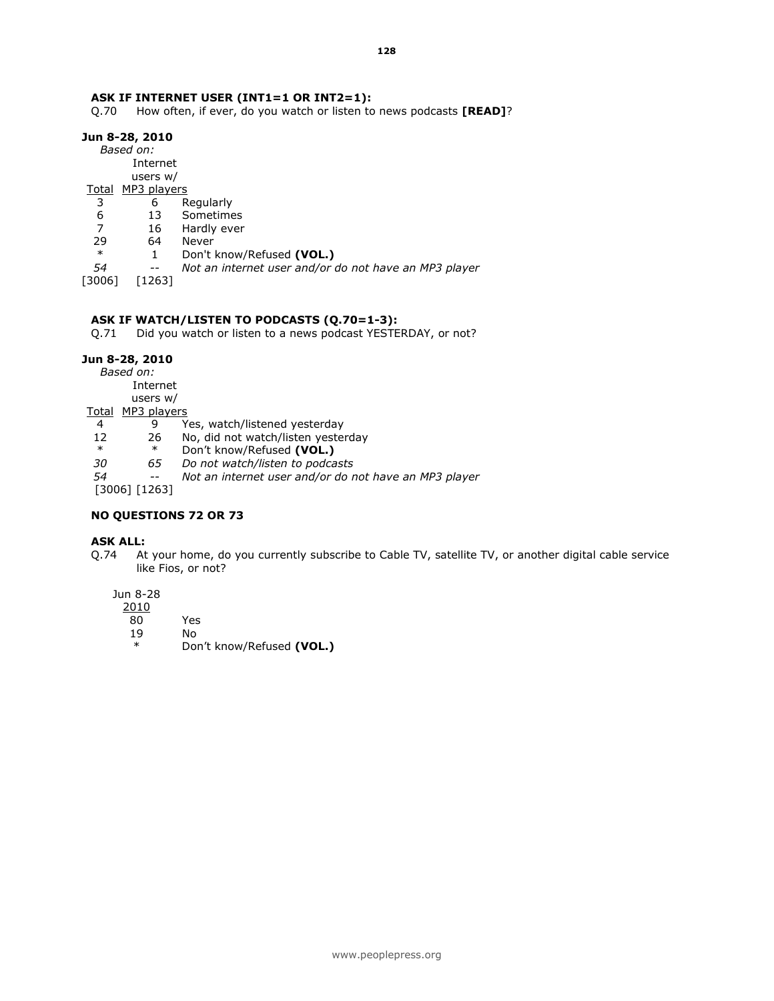#### ASK IF INTERNET USER (INT1=1 OR INT2=1):

Q.70 How often, if ever, do you watch or listen to news podcasts [READ]?

#### Jun 8-28, 2010

 Based on: Internet users w/

- Total MP3 players
- 3 6 Regularly
- 6 13 Sometimes
- 16 Hardly ever
- 29 64 Never<br>\* 1 Don't l
	- \* 1 Don't know/Refused (VOL.)
- 54 -- Not an internet user and/or do not have an MP3 player
- [3006] [1263]

#### ASK IF WATCH/LISTEN TO PODCASTS (Q.70=1-3):

Q.71 Did you watch or listen to a news podcast YESTERDAY, or not?

#### Jun 8-28, 2010

Based on:

Internet

users w/

- Total MP3 players
- 4 9 Yes, watch/listened yesterday<br>12 26 No, did not watch/listen yester
- 26 No, did not watch/listen yesterday
- \* \* Don't know/Refused (VOL.)
- 30 65 Do not watch/listen to podcasts
- 54 -- Not an internet user and/or do not have an MP3 player

[3006] [1263]

#### NO QUESTIONS 72 OR 73

#### ASK ALL:

Q.74 At your home, do you currently subscribe to Cable TV, satellite TV, or another digital cable service like Fios, or not?

#### Jun 8-28

| 2010   |                           |
|--------|---------------------------|
| 80     | Yes                       |
| 19     | N٥                        |
| $\ast$ | Don't know/Refused (VOL.) |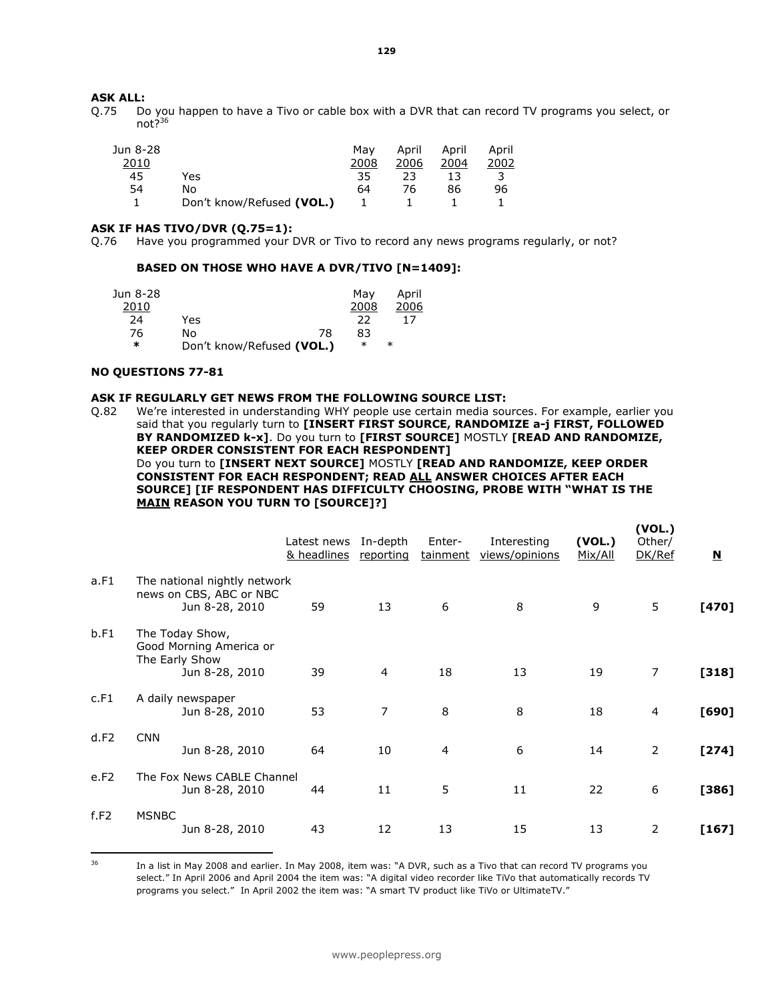### ASK ALL:

Q.75 Do you happen to have a Tivo or cable box with a DVR that can record TV programs you select, or not?<sup>36</sup>

| Jun 8-28 |                           | Mav  | April | April | April |
|----------|---------------------------|------|-------|-------|-------|
| 2010     |                           | 2008 | 2006  | 2004  | 2002  |
| 45       | Yes                       | 35   | 23    |       |       |
| 54       | No                        | 64   | 76    | 86    | 96    |
|          | Don't know/Refused (VOL.) |      |       |       |       |

#### ASK IF HAS TIVO/DVR (Q.75=1):

Q.76 Have you programmed your DVR or Tivo to record any news programs regularly, or not?

#### BASED ON THOSE WHO HAVE A DVR/TIVO [N=1409]:

| Jun 8-28 |                           |    | Mav    | April  |
|----------|---------------------------|----|--------|--------|
| 2010     |                           |    | 2008   | 2006   |
| 24       | Yes                       |    | つつ     | 17     |
| 76       | No                        | 78 | 83     |        |
| ∗        | Don't know/Refused (VOL.) |    | $\ast$ | $\ast$ |

#### NO QUESTIONS 77-81

#### ASK IF REGULARLY GET NEWS FROM THE FOLLOWING SOURCE LIST:

Q.82 We're interested in understanding WHY people use certain media sources. For example, earlier you said that you regularly turn to [INSERT FIRST SOURCE, RANDOMIZE a-j FIRST, FOLLOWED BY RANDOMIZED k-x]. Do you turn to [FIRST SOURCE] MOSTLY [READ AND RANDOMIZE, KEEP ORDER CONSISTENT FOR EACH RESPONDENT] Do you turn to [INSERT NEXT SOURCE] MOSTLY [READ AND RANDOMIZE, KEEP ORDER CONSISTENT FOR EACH RESPONDENT; READ ALL ANSWER CHOICES AFTER EACH SOURCE] [IF RESPONDENT HAS DIFFICULTY CHOOSING, PROBE WITH "WHAT IS THE MAIN REASON YOU TURN TO [SOURCE]?]

|      |                                                                                | Latest news In-depth<br>& headlines | reporting      | Enter-<br>tainment | Interesting<br>views/opinions | (VOL.)<br>Mix/All | (VOL.)<br>Other/<br>DK/Ref | $\overline{\mathbf{N}}$ |
|------|--------------------------------------------------------------------------------|-------------------------------------|----------------|--------------------|-------------------------------|-------------------|----------------------------|-------------------------|
| a.F1 | The national nightly network<br>news on CBS, ABC or NBC<br>Jun 8-28, 2010      | 59                                  | 13             | 6                  | 8                             | 9                 | 5                          | $[470]$                 |
| b.F1 | The Today Show,<br>Good Morning America or<br>The Early Show<br>Jun 8-28, 2010 | 39                                  | 4              | 18                 | 13                            | 19                | $\overline{7}$             | $[318]$                 |
| c.F1 | A daily newspaper<br>Jun 8-28, 2010                                            | 53                                  | $\overline{7}$ | 8                  | 8                             | 18                | 4                          | $[690]$                 |
| d.F2 | <b>CNN</b><br>Jun 8-28, 2010                                                   | 64                                  | 10             | 4                  | 6                             | 14                | $\overline{2}$             | $[274]$                 |
| e.F2 | The Fox News CABLE Channel<br>Jun 8-28, 2010                                   | 44                                  | 11             | 5                  | 11                            | 22                | 6                          | $[386]$                 |
| f.F2 | <b>MSNBC</b><br>Jun 8-28, 2010                                                 | 43                                  | 12             | 13                 | 15                            | 13                | 2                          | $[167]$                 |

36

<sup>36</sup> In a list in May 2008 and earlier. In May 2008, item was: "A DVR, such as a Tivo that can record TV programs you select." In April 2006 and April 2004 the item was: "A digital video recorder like TiVo that automatically records TV programs you select." In April 2002 the item was: "A smart TV product like TiVo or UltimateTV."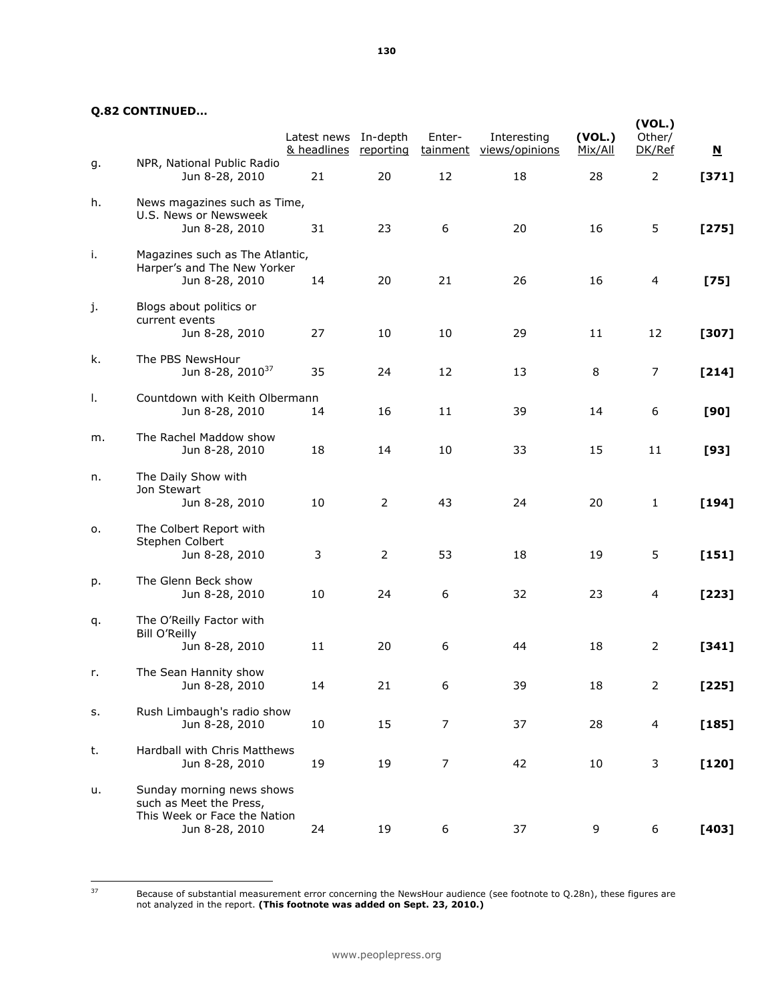#### Q.82 CONTINUED…

|    |                                                                                                        | Latest news In-depth<br>& headlines | <u>reporting</u> | Enter-         | Interesting<br>tainment views/opinions | (VOL.)<br>Mix/All | (VOL.)<br>Other/<br>DK/Ref | $\overline{\mathbf{M}}$ |
|----|--------------------------------------------------------------------------------------------------------|-------------------------------------|------------------|----------------|----------------------------------------|-------------------|----------------------------|-------------------------|
| g. | NPR, National Public Radio<br>Jun 8-28, 2010                                                           | 21                                  | 20               | 12             | 18                                     | 28                | $\overline{2}$             | $[371]$                 |
| h. | News magazines such as Time,<br>U.S. News or Newsweek<br>Jun 8-28, 2010                                | 31                                  | 23               | 6              | 20                                     | 16                | 5                          | $[275]$                 |
| i. | Magazines such as The Atlantic,<br>Harper's and The New Yorker<br>Jun 8-28, 2010                       | 14                                  | 20               | 21             | 26                                     | 16                | 4                          | $[75]$                  |
| j. | Blogs about politics or<br>current events<br>Jun 8-28, 2010                                            | 27                                  | 10               | 10             | 29                                     | 11                | 12                         | $[307]$                 |
| k. | The PBS NewsHour<br>Jun 8-28, 2010 <sup>37</sup>                                                       | 35                                  | 24               | 12             | 13                                     | 8                 | 7                          | $[214]$                 |
| Τ. | Countdown with Keith Olbermann<br>Jun 8-28, 2010                                                       | 14                                  | 16               | 11             | 39                                     | 14                | 6                          | [90]                    |
| m. | The Rachel Maddow show<br>Jun 8-28, 2010                                                               | 18                                  | 14               | 10             | 33                                     | 15                | 11                         | [93]                    |
| n. | The Daily Show with<br>Jon Stewart<br>Jun 8-28, 2010                                                   | 10                                  | 2                | 43             | 24                                     | 20                | $\mathbf{1}$               | $[194]$                 |
| о. | The Colbert Report with<br>Stephen Colbert<br>Jun 8-28, 2010                                           | 3                                   | 2                | 53             | 18                                     | 19                | 5                          | $[151]$                 |
| p. | The Glenn Beck show<br>Jun 8-28, 2010                                                                  | 10                                  | 24               | 6              | 32                                     | 23                | $\overline{4}$             | $[223]$                 |
| q. | The O'Reilly Factor with<br><b>Bill O'Reilly</b><br>Jun 8-28, 2010                                     | 11                                  | 20               | 6              | 44                                     | 18                | 2                          | $[341]$                 |
| r. | The Sean Hannity show<br>Jun 8-28, 2010                                                                | 14                                  | 21               | 6              | 39                                     | 18                | $\mathcal{L}$              | $[225]$                 |
| s. | Rush Limbaugh's radio show<br>Jun 8-28, 2010                                                           | 10                                  | 15               | $\overline{7}$ | 37                                     | 28                | 4                          | $[185]$                 |
| t. | Hardball with Chris Matthews<br>Jun 8-28, 2010                                                         | 19                                  | 19               | $\overline{7}$ | 42                                     | 10                | 3                          | $[120]$                 |
| u. | Sunday morning news shows<br>such as Meet the Press,<br>This Week or Face the Nation<br>Jun 8-28, 2010 | 24                                  | 19               | 6              | 37                                     | 9                 | 6                          | $[403]$                 |

Because of substantial measurement error concerning the NewsHour audience (see footnote to Q.28n), these figures are not analyzed in the report. (This footnote was added on Sept. 23, 2010.)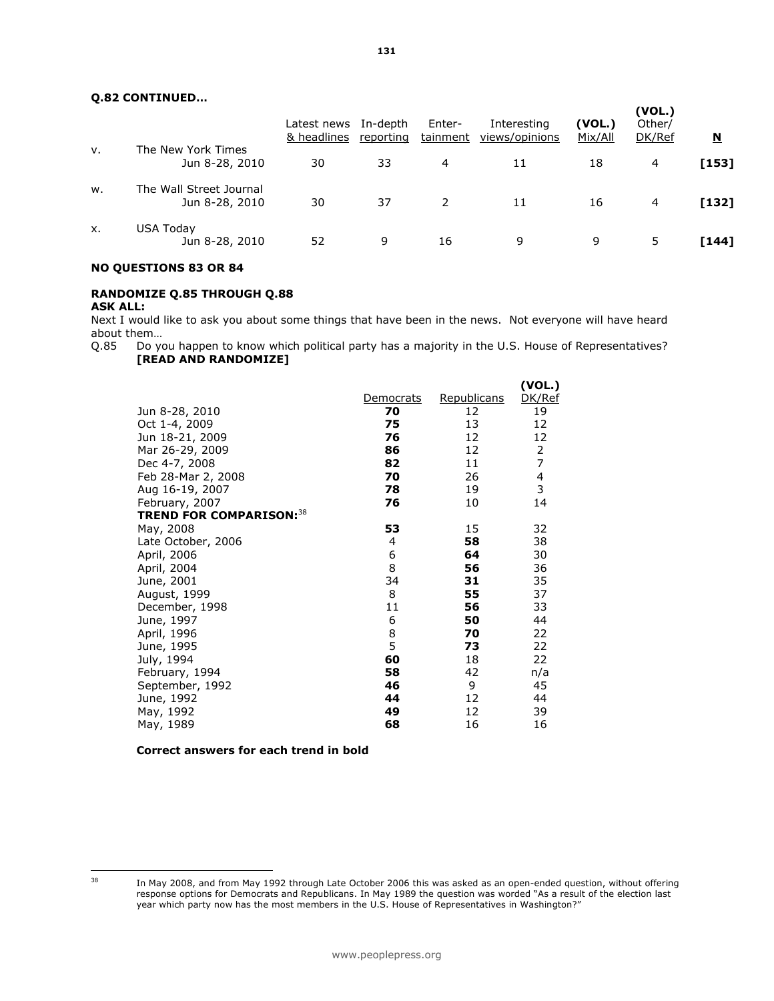### Q.82 CONTINUED…

|    |                                           | Latest news<br>& headlines | In-depth<br>reporting | Enter-<br>tainment | Interesting<br>views/opinions | (VOL.)<br>Mix/All | (VOL.)<br>Other/<br>DK/Ref | <u>N</u> |
|----|-------------------------------------------|----------------------------|-----------------------|--------------------|-------------------------------|-------------------|----------------------------|----------|
| ν. | The New York Times<br>Jun 8-28, 2010      | 30                         | 33                    | 4                  | 11                            | 18                | 4                          | [153]    |
| w. | The Wall Street Journal<br>Jun 8-28, 2010 | 30                         | 37                    | $\mathcal{L}$      | 11                            | 16                | 4                          | $[132]$  |
| X. | <b>USA Today</b><br>Jun 8-28, 2010        | 52                         | 9                     | 16                 | 9                             | 9                 | 5                          | [144]    |

#### NO QUESTIONS 83 OR 84

# RANDOMIZE Q.85 THROUGH Q.88

#### ASK ALL:

Next I would like to ask you about some things that have been in the news. Not everyone will have heard about them…

Q.85 Do you happen to know which political party has a majority in the U.S. House of Representatives? [READ AND RANDOMIZE]

|                                 |           |             | (VOL.) |
|---------------------------------|-----------|-------------|--------|
|                                 | Democrats | Republicans | DK/Ref |
| Jun 8-28, 2010                  | 70        | 12          | 19     |
| Oct 1-4, 2009                   | 75        | 13          | 12     |
| Jun 18-21, 2009                 | 76        | 12          | 12     |
| Mar 26-29, 2009                 | 86        | 12          | 2      |
| Dec 4-7, 2008                   | 82        | 11          | 7      |
| Feb 28-Mar 2, 2008              | 70        | 26          | 4      |
| Aug 16-19, 2007                 | 78        | 19          | 3      |
| February, 2007                  | 76        | 10          | 14     |
| <b>TREND FOR COMPARISON: 38</b> |           |             |        |
| May, 2008                       | 53        | 15          | 32     |
| Late October, 2006              | 4         | 58          | 38     |
| April, 2006                     | 6         | 64          | 30     |
| April, 2004                     | 8         | 56          | 36     |
| June, 2001                      | 34        | 31          | 35     |
| August, 1999                    | 8         | 55          | 37     |
| December, 1998                  | 11        | 56          | 33     |
| June, 1997                      | 6         | 50          | 44     |
| April, 1996                     | 8         | 70          | 22     |
| June, 1995                      | 5         | 73          | 22     |
| July, 1994                      | 60        | 18          | 22     |
| February, 1994                  | 58        | 42          | n/a    |
| September, 1992                 | 46        | 9           | 45     |
| June, 1992                      | 44        | 12          | 44     |
| May, 1992                       | 49        | 12          | 39     |
| May, 1989                       | 68        | 16          | 16     |

Correct answers for each trend in bold

<sup>38</sup> 

In May 2008, and from May 1992 through Late October 2006 this was asked as an open-ended question, without offering response options for Democrats and Republicans. In May 1989 the question was worded "As a result of the election last year which party now has the most members in the U.S. House of Representatives in Washington?"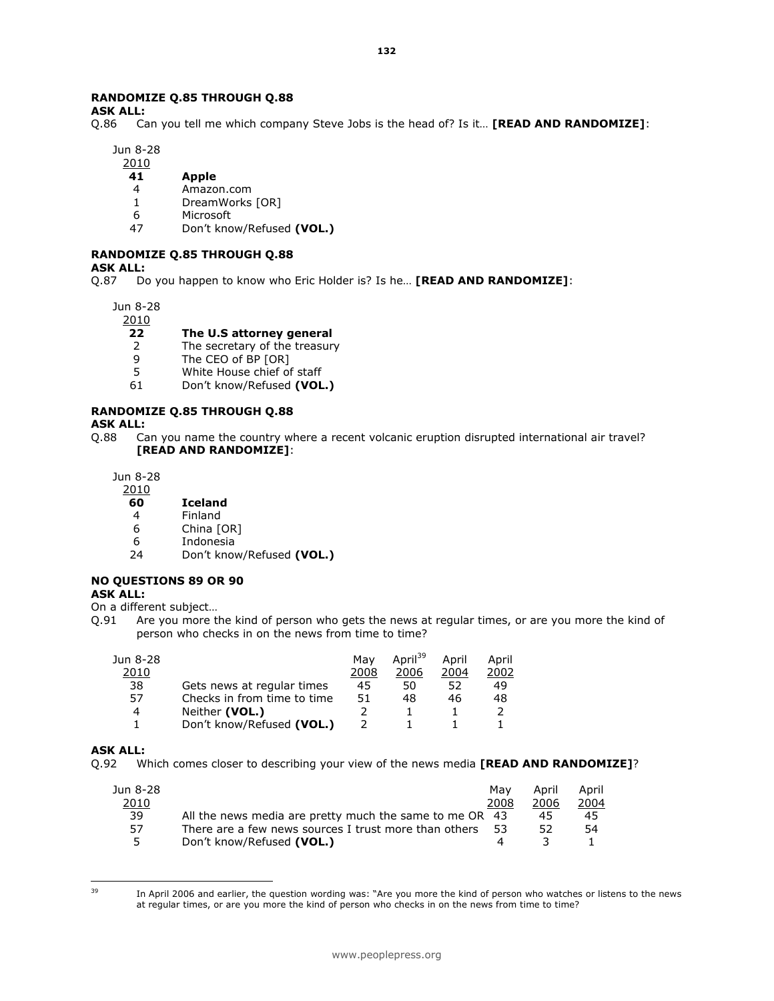## RANDOMIZE Q.85 THROUGH Q.88

ASK ALL:

Q.86 Can you tell me which company Steve Jobs is the head of? Is it... [READ AND RANDOMIZE]:

132

Jun 8-28

### 2010

- 41 Apple
- 4 Amazon.com
- 1 DreamWorks [OR]
- 6 Microsoft<br>47 Don't kno
- Don't know/Refused (VOL.)

# RANDOMIZE Q.85 THROUGH Q.88

#### ASK ALL:

Q.87 Do you happen to know who Eric Holder is? Is he... **[READ AND RANDOMIZE]**:

Jun 8-28

2010

#### 22 The U.S attorney general

- 2 The secretary of the treasury<br>9 The CEO of BP [OR]
- 
- 9 The CEO of BP [OR]<br>5 White House chief of White House chief of staff
- 61 Don't know/Refused (VOL.)

#### RANDOMIZE Q.85 THROUGH Q.88

#### ASK ALL:

Q.88 Can you name the country where a recent volcanic eruption disrupted international air travel? [READ AND RANDOMIZE]:

Jun 8-28

#### 2010

#### 60 Iceland

- 4 Finland<br>6 China M
- 6 China [OR]<br>6 Indonesia
- 6 Indonesia
- Don't know/Refused (VOL.)

#### NO QUESTIONS 89 OR 90

#### ASK ALL:

- On a different subject…
- Q.91 Are you more the kind of person who gets the news at regular times, or are you more the kind of person who checks in on the news from time to time?

|                             | Mav  | April <sup>39</sup> | April | April |
|-----------------------------|------|---------------------|-------|-------|
|                             | 2008 | 2006                | 2004  | 2002  |
| Gets news at regular times  | 45   | 50                  | 52    | 49    |
| Checks in from time to time | 51   | 48                  | 46    | 48    |
| Neither (VOL.)              |      |                     |       |       |
| Don't know/Refused (VOL.)   |      |                     |       |       |
|                             |      |                     |       |       |

#### ASK ALL:

Q.92 Which comes closer to describing your view of the news media [READ AND RANDOMIZE]?

| Jun 8-28 |                                                         | Mav  | April | April |
|----------|---------------------------------------------------------|------|-------|-------|
| 2010     |                                                         | 2008 | 2006  | 2004  |
| 39       | All the news media are pretty much the same to me OR 43 |      | 45    | 45    |
| 57       | There are a few news sources I trust more than others   | - 53 | 52    | 54    |
| 5.       | Don't know/Refused (VOL.)                               |      |       |       |

39

In April 2006 and earlier, the question wording was: "Are you more the kind of person who watches or listens to the news at regular times, or are you more the kind of person who checks in on the news from time to time?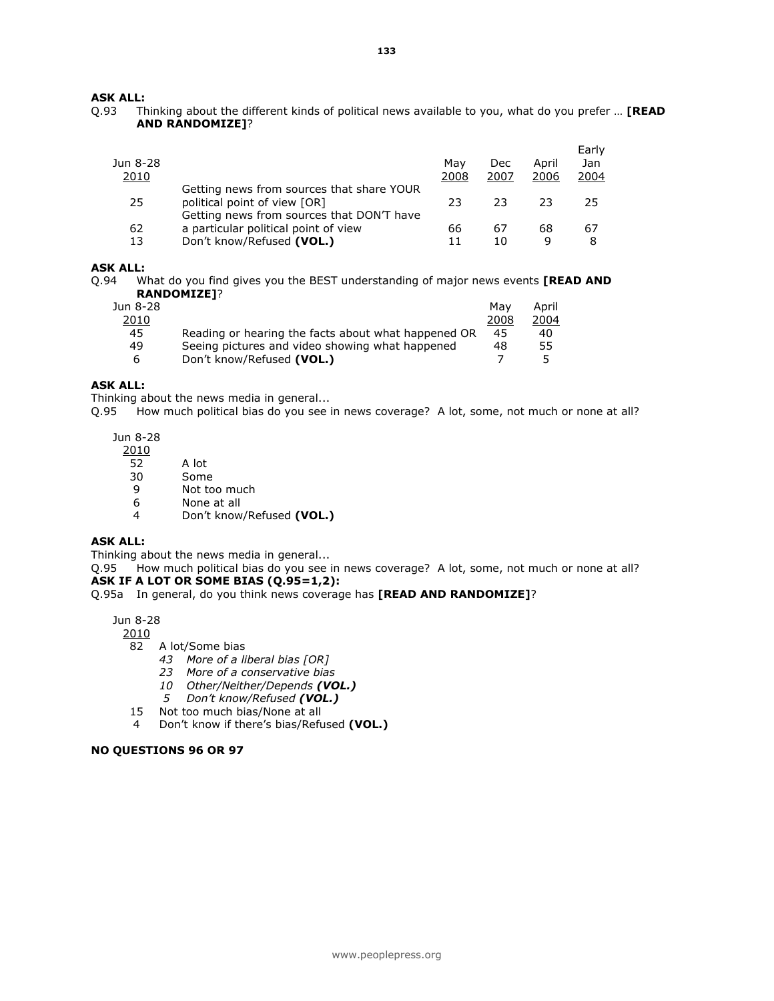# **ASK ALL:**<br>0.93 TI

Thinking about the different kinds of political news available to you, what do you prefer ... [READ AND RANDOMIZE]?

| Jun 8-28<br><u> 2010</u> |                                                                                                                        | Mav<br>2008 | Dec<br>2007 | April<br>2006 | Early<br>Jan<br>2004 |
|--------------------------|------------------------------------------------------------------------------------------------------------------------|-------------|-------------|---------------|----------------------|
| 25                       | Getting news from sources that share YOUR<br>political point of view [OR]<br>Getting news from sources that DON'T have | 23          | 23          | 23            | 25                   |
| 62<br>13                 | a particular political point of view<br>Don't know/Refused (VOL.)                                                      | 66<br>11    | 67<br>10    | 68<br>q       | 67<br>8              |

#### ASK ALL:

Q.94 What do you find gives you the BEST understanding of major news events **[READ AND** RANDOMIZE]?

| Jun 8-28 |                                                     | Mav  | April |
|----------|-----------------------------------------------------|------|-------|
| 2010     |                                                     | 2008 | 2004  |
| 45       | Reading or hearing the facts about what happened OR | 45   | 40    |
| 49       | Seeing pictures and video showing what happened     | 48   | 55    |
| -6       | Don't know/Refused (VOL.)                           |      |       |

# ASK ALL:

Thinking about the news media in general...

Q.95 How much political bias do you see in news coverage? A lot, some, not much or none at all?

Jun 8-28

- 2010
- 52 A lot
- 30 Some
- 9 Not too much
- 6 None at all
- 4 Don't know/Refused (VOL.)

### ASK ALL:

Thinking about the news media in general...<br>Q.95 How much political bias do you see i How much political bias do you see in news coverage? A lot, some, not much or none at all? ASK IF A LOT OR SOME BIAS (Q.95=1,2):

#### Q.95a In general, do you think news coverage has **[READ AND RANDOMIZE]**?

Jun 8-28

2010

- 82 A lot/Some bias
	- 43 More of a liberal bias [OR]
	- 23 More of a conservative bias
	- 10 Other/Neither/Depends (VOL.)
	- 5 Don't know/Refused (VOL.)
- 15 Not too much bias/None at all
- 4 Don't know if there's bias/Refused (VOL.)

#### NO QUESTIONS 96 OR 97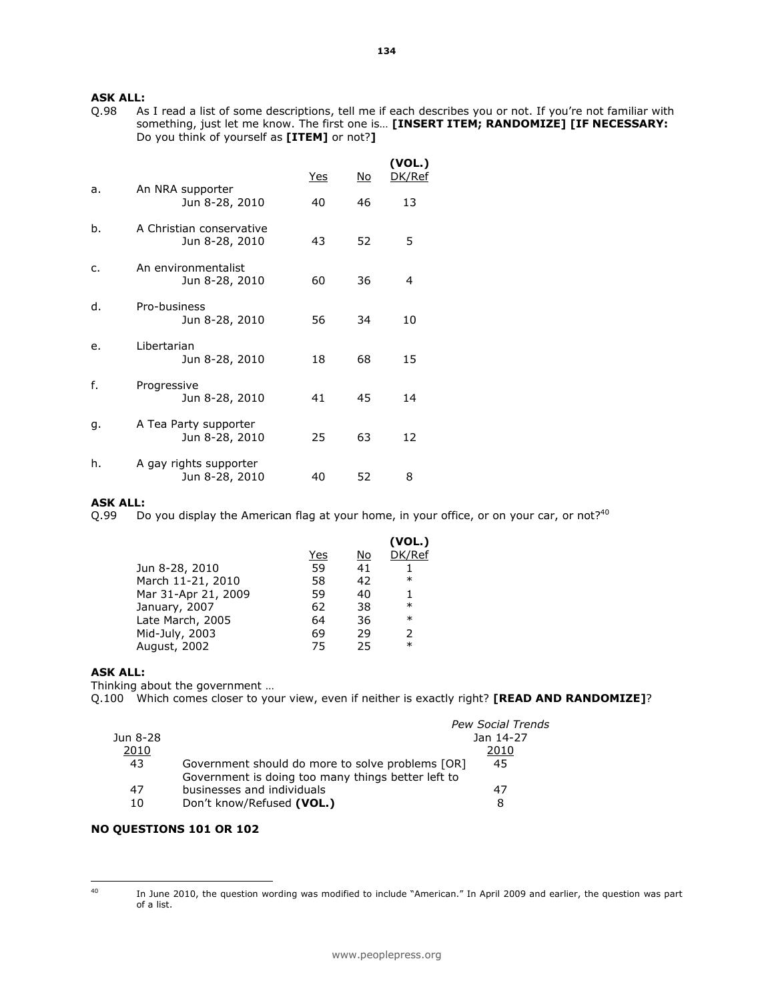**ASK ALL:**<br>Q.98 As As I read a list of some descriptions, tell me if each describes you or not. If you're not familiar with something, just let me know. The first one is... [INSERT ITEM; RANDOMIZE] [IF NECESSARY: Do you think of yourself as [ITEM] or not?]

|    |                                            | Yes | No | (VOL.)<br>DK/Ref |
|----|--------------------------------------------|-----|----|------------------|
| a. | An NRA supporter<br>Jun 8-28, 2010         | 40  | 46 | 13               |
| b. | A Christian conservative<br>Jun 8-28, 2010 | 43  | 52 | 5                |
| C. | An environmentalist<br>Jun 8-28, 2010      | 60  | 36 | 4                |
| d. | Pro-business<br>Jun 8-28, 2010             | 56  | 34 | 10               |
| e. | Libertarian<br>Jun 8-28, 2010              | 18  | 68 | 15               |
| f. | Progressive<br>Jun 8-28, 2010              | 41  | 45 | 14               |
| g. | A Tea Party supporter<br>Jun 8-28, 2010    | 25  | 63 | 12               |
| h. | A gay rights supporter<br>Jun 8-28, 2010   | 40  | 52 | 8                |

#### ASK ALL:

Q.99 Do you display the American flag at your home, in your office, or on your car, or not?<sup>40</sup>

|     |    | (VOL.)        |
|-----|----|---------------|
| Yes | No | DK/Ref        |
| 59  | 41 |               |
| 58  | 42 | $\ast$        |
| 59  | 40 | 1             |
| 62  | 38 | $\ast$        |
| 64  | 36 | $\ast$        |
| 69  | 29 | $\mathcal{P}$ |
| 75  | 25 | $\ast$        |
|     |    |               |

#### ASK ALL:

Thinking about the government …

Q.100 Which comes closer to your view, even if neither is exactly right? [READ AND RANDOMIZE]?

|          |                                                    | <b>Pew Social Trends</b> |
|----------|----------------------------------------------------|--------------------------|
| Jun 8-28 |                                                    | Jan 14-27                |
| 2010     |                                                    | 2010                     |
| 43       | Government should do more to solve problems [OR]   | 45                       |
|          | Government is doing too many things better left to |                          |
| 47       | businesses and individuals                         | 47                       |
| 10       | Don't know/Refused (VOL.)                          | 8                        |

### NO QUESTIONS 101 OR 102

 $40\,$ 

<sup>40</sup> In June 2010, the question wording was modified to include "American." In April 2009 and earlier, the question was part of a list.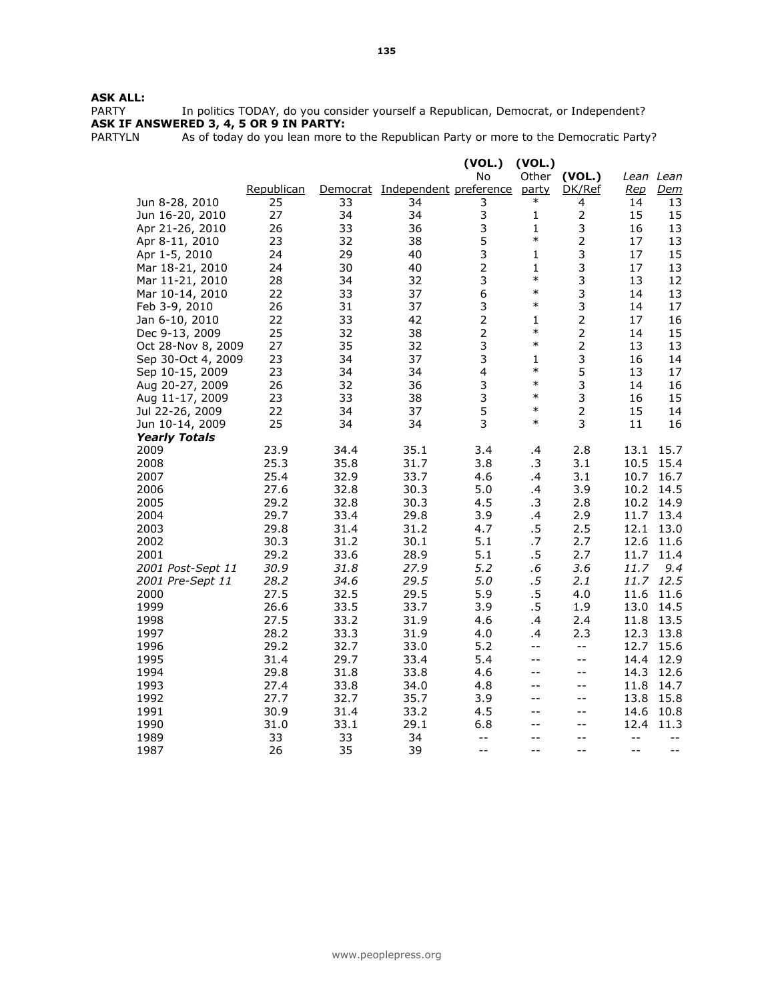**ASK ALL:**<br>PARTY In politics TODAY, do you consider yourself a Republican, Democrat, or Independent? ASK IF ANSWERED 3, 4, 5 OR 9 IN PARTY:

PARTYLN As of today do you lean more to the Republican Party or more to the Democratic Party?

|                         |            |      |                                 | (VOL.)                   | (VOL.)       |                                               |                |            |
|-------------------------|------------|------|---------------------------------|--------------------------|--------------|-----------------------------------------------|----------------|------------|
|                         |            |      |                                 | No                       |              | Other (VOL.)                                  |                | Lean Lean  |
|                         | Republican |      | Democrat Independent preference |                          | party        | DK/Ref                                        | <u>Rep</u>     | <u>Dem</u> |
| Jun 8-28, 2010          | 25         | 33   | 34                              | 3                        | $\ast$       | 4                                             | 14             | 13         |
| Jun 16-20, 2010         | 27         | 34   | 34                              | 3                        | 1            |                                               | 15             | 15         |
| Apr 21-26, 2010         | 26         | 33   | 36                              | 3                        | 1            | 3                                             | 16             | 13         |
| Apr 8-11, 2010          | 23         | 32   | 38                              | 5                        | $\ast$       | $\overline{2}$                                | 17             | 13         |
| Apr 1-5, 2010           | 24         | 29   | 40                              | 3                        | 1            | 3                                             | 17             | 15         |
| Mar 18-21, 2010         | 24         | 30   | 40                              | $\overline{2}$           | $\mathbf{1}$ | 3                                             | 17             | 13         |
| Mar 11-21, 2010         | 28         | 34   | 32                              | 3                        | $\ast$       | 3                                             | 13             | 12         |
| Mar 10-14, 2010         | 22         | 33   | 37                              | 6                        | $\ast$       | 3                                             | 14             | 13         |
| Feb 3-9, 2010           | 26         | 31   | 37                              | 3                        | $\ast$       | 3                                             | 14             | 17         |
| Jan 6-10, 2010          | 22         | 33   | 42                              | $\overline{2}$           | 1            | $\overline{2}$                                | 17             | 16         |
| Dec 9-13, 2009          | 25         | 32   | 38                              | $\overline{2}$           | $\ast$       | $\overline{2}$                                | 14             | 15         |
| Oct 28-Nov 8, 2009      | 27         | 35   | 32                              | 3                        | $\ast$       | $\overline{2}$                                | 13             | 13         |
| Sep 30-Oct 4, 2009      | 23         | 34   | 37                              | 3                        | 1            | 3                                             | 16             | 14         |
| Sep 10-15, 2009         | 23         | 34   | 34                              | $\overline{\mathbf{4}}$  | $\ast$       | 5                                             | 13             | 17         |
| Aug 20-27, 2009         | 26         | 32   | 36                              | 3                        | $\ast$       | 3                                             | 14             | 16         |
| Aug 11-17, 2009         | 23         | 33   | 38                              | 3                        | $\ast$       | 3                                             | 16             | 15         |
| Jul 22-26, 2009         | 22         | 34   | 37                              | 5                        | $\ast$       | $\overline{2}$                                | 15             | 14         |
| Jun 10-14, 2009         | 25         | 34   | 34                              | 3                        | $\ast$       | 3                                             | 11             | 16         |
| <b>Yearly Totals</b>    |            |      |                                 |                          |              |                                               |                |            |
| 2009                    | 23.9       | 34.4 | 35.1                            | 3.4                      | .4           | 2.8                                           | 13.1           | 15.7       |
| 2008                    | 25.3       | 35.8 | 31.7                            | 3.8                      | .3           | 3.1                                           | 10.5           | 15.4       |
| 2007                    | 25.4       | 32.9 | 33.7                            | 4.6                      | .4           | 3.1                                           | 10.7           | 16.7       |
| 2006                    | 27.6       | 32.8 | 30.3                            | 5.0                      | .4           | 3.9                                           | 10.2           | 14.5       |
| 2005                    | 29.2       | 32.8 | 30.3                            | 4.5                      | $\cdot$ 3    | 2.8                                           | 10.2           | 14.9       |
| 2004                    | 29.7       | 33.4 | 29.8                            | 3.9                      | .4           | 2.9                                           | 11.7           | 13.4       |
| 2003                    | 29.8       | 31.4 | 31.2                            | 4.7                      | .5           | 2.5                                           | 12.1           | 13.0       |
| 2002                    | 30.3       | 31.2 | 30.1                            | 5.1                      | .7           | 2.7                                           | 12.6           | 11.6       |
| 2001                    | 29.2       | 33.6 | 28.9                            | 5.1                      | $.5\,$       | 2.7                                           | 11.7           | 11.4       |
| 2001 Post-Sept 11       | 30.9       | 31.8 | 27.9                            | 5.2                      | .6           | 3.6                                           | 11.7           | 9.4        |
| <i>2001 Pre-Sept 11</i> | 28.2       | 34.6 | 29.5                            | 5.0                      | $.5\,$       | 2.1                                           | 11.7           | 12.5       |
| 2000                    | 27.5       | 32.5 | 29.5                            | 5.9                      | $.5\,$       | 4.0                                           | 11.6           | 11.6       |
| 1999                    | 26.6       | 33.5 | 33.7                            | 3.9                      | $.5\,$       | 1.9                                           | 13.0           | 14.5       |
| 1998                    | 27.5       | 33.2 | 31.9                            | 4.6                      | .4           | 2.4                                           | 11.8           | 13.5       |
| 1997                    | 28.2       | 33.3 | 31.9                            | 4.0                      | .4           | 2.3                                           | 12.3           | 13.8       |
| 1996                    | 29.2       | 32.7 | 33.0                            | 5.2                      | $-$          | $\overline{\phantom{a}}$ .                    | 12.7           | 15.6       |
| 1995                    | 31.4       | 29.7 | 33.4                            | 5.4                      | $-$          | $\mathord{\hspace{1pt}\text{--}\hspace{1pt}}$ | 14.4           | 12.9       |
| 1994                    | 29.8       | 31.8 | 33.8                            | 4.6                      | --           | $-$                                           | 14.3           | 12.6       |
| 1993                    | 27.4       | 33.8 | 34.0                            | 4.8                      | $- -$        | $- -$                                         | 11.8           | 14.7       |
| 1992                    | 27.7       | 32.7 | 35.7                            | 3.9                      | --           | $- -$                                         | 13.8           | 15.8       |
| 1991                    | 30.9       | 31.4 | 33.2                            | 4.5                      | --           | $-$                                           | 14.6           | 10.8       |
| 1990                    | 31.0       | 33.1 | 29.1                            | 6.8                      | --           | $-$                                           | 12.4           | 11.3       |
| 1989                    | 33         | 33   | 34                              | $\overline{\phantom{m}}$ | $-$          | $-$                                           | $\overline{a}$ | $- -$      |
| 1987                    | 26         | 35   | 39                              | $-$                      | $-$          | $-$                                           | $-$            | $-$        |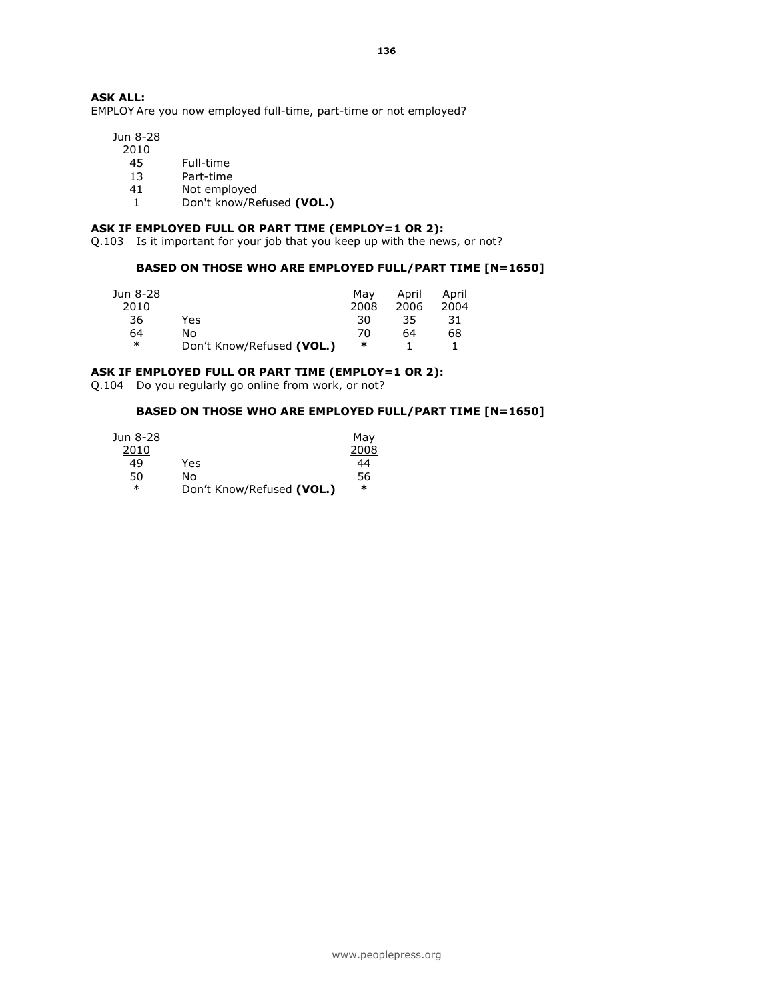136

# ASK ALL:

EMPLOY Are you now employed full-time, part-time or not employed?

 Jun 8-28 2010

- 45 Full-time
- 13 Part-time
- 41 Not employed
- 1 Don't know/Refused (VOL.)

### ASK IF EMPLOYED FULL OR PART TIME (EMPLOY=1 OR 2):

Q.103 Is it important for your job that you keep up with the news, or not?

#### BASED ON THOSE WHO ARE EMPLOYED FULL/PART TIME [N=1650]

| Jun 8-28 |                           | Mav  | April | April |
|----------|---------------------------|------|-------|-------|
| 2010     |                           | 2008 | 2006  | 2004  |
| 36       | Yes                       | 30   | 35    | 31    |
| 64       | N٥                        | 70   | 64    | 68    |
| $\ast$   | Don't Know/Refused (VOL.) | ∗    |       |       |

### ASK IF EMPLOYED FULL OR PART TIME (EMPLOY=1 OR 2):

Q.104 Do you regularly go online from work, or not?

#### BASED ON THOSE WHO ARE EMPLOYED FULL/PART TIME [N=1650]

| Jun 8-28 |                           | May  |
|----------|---------------------------|------|
| 2010     |                           | 2008 |
| 49       | Yes                       | 44   |
| 50       | N٥                        | 56   |
| $\ast$   | Don't Know/Refused (VOL.) | ∗    |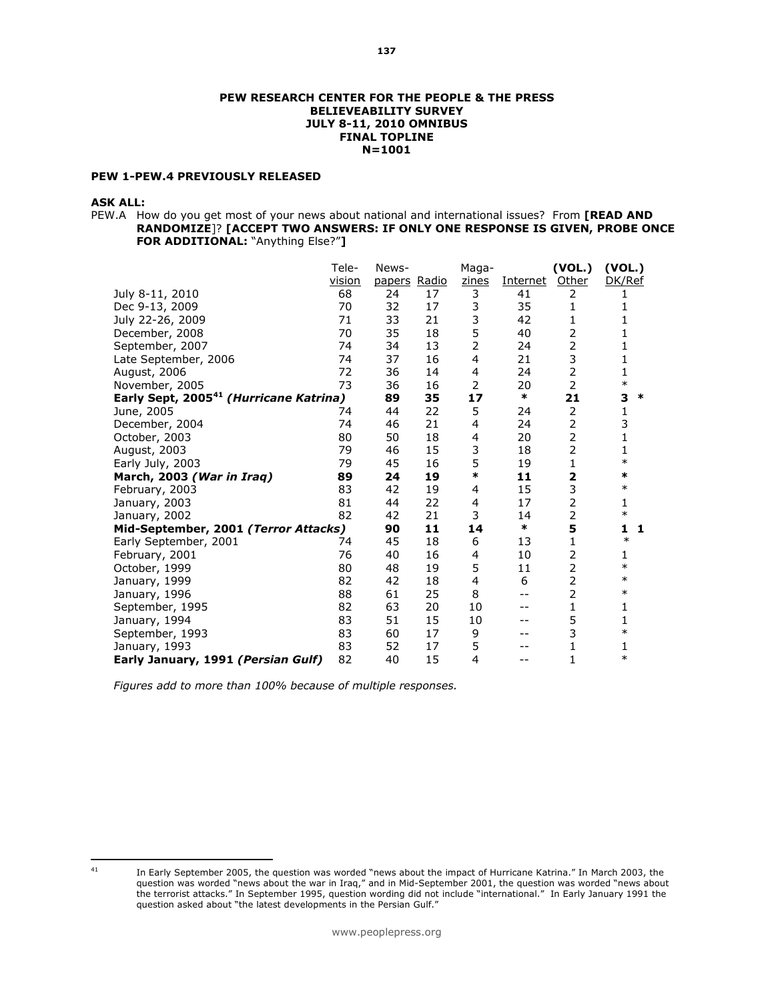#### PEW RESEARCH CENTER FOR THE PEOPLE & THE PRESS BELIEVEABILITY SURVEY JULY 8-11, 2010 OMNIBUS FINAL TOPLINE N=1001

### PEW 1-PEW.4 PREVIOUSLY RELEASED

#### ASK ALL:

PEW.A How do you get most of your news about national and international issues? From [READ AND RANDOMIZE]? [ACCEPT TWO ANSWERS: IF ONLY ONE RESPONSE IS GIVEN, PROBE ONCE FOR ADDITIONAL: "Anything Else?"]

| Tele-                              | News-                                                                                                                                                                    |                                                                            | Maga-                                                                                                              |                                                                                                                                                 | (VOL.)                                                    | (VOL.)                                                                                                                                                                                                                                                                                       |
|------------------------------------|--------------------------------------------------------------------------------------------------------------------------------------------------------------------------|----------------------------------------------------------------------------|--------------------------------------------------------------------------------------------------------------------|-------------------------------------------------------------------------------------------------------------------------------------------------|-----------------------------------------------------------|----------------------------------------------------------------------------------------------------------------------------------------------------------------------------------------------------------------------------------------------------------------------------------------------|
| vision                             |                                                                                                                                                                          |                                                                            | zines                                                                                                              | Internet                                                                                                                                        | Other                                                     | DK/Ref                                                                                                                                                                                                                                                                                       |
| 68                                 | 24                                                                                                                                                                       | 17                                                                         | 3                                                                                                                  | 41                                                                                                                                              | 2                                                         |                                                                                                                                                                                                                                                                                              |
| 70                                 | 32                                                                                                                                                                       | 17                                                                         |                                                                                                                    | 35                                                                                                                                              | 1                                                         |                                                                                                                                                                                                                                                                                              |
| 71                                 | 33                                                                                                                                                                       | 21                                                                         |                                                                                                                    | 42                                                                                                                                              | 1                                                         | 1                                                                                                                                                                                                                                                                                            |
| 70                                 | 35                                                                                                                                                                       | 18                                                                         |                                                                                                                    | 40                                                                                                                                              | 2                                                         | 1                                                                                                                                                                                                                                                                                            |
| 74                                 | 34                                                                                                                                                                       | 13                                                                         | 2                                                                                                                  | 24                                                                                                                                              | $\overline{2}$                                            |                                                                                                                                                                                                                                                                                              |
| 74                                 | 37                                                                                                                                                                       | 16                                                                         | 4                                                                                                                  | 21                                                                                                                                              |                                                           | 1                                                                                                                                                                                                                                                                                            |
| 72                                 | 36                                                                                                                                                                       | 14                                                                         | 4                                                                                                                  | 24                                                                                                                                              |                                                           | 1                                                                                                                                                                                                                                                                                            |
|                                    | 36                                                                                                                                                                       | 16                                                                         |                                                                                                                    | 20                                                                                                                                              |                                                           | $\ast$                                                                                                                                                                                                                                                                                       |
|                                    | 89                                                                                                                                                                       | 35                                                                         | 17                                                                                                                 |                                                                                                                                                 | 21                                                        | 3<br>∗                                                                                                                                                                                                                                                                                       |
| 74                                 | 44                                                                                                                                                                       | 22                                                                         |                                                                                                                    | 24                                                                                                                                              |                                                           | 1                                                                                                                                                                                                                                                                                            |
| 74                                 | 46                                                                                                                                                                       | 21                                                                         | 4                                                                                                                  | 24                                                                                                                                              |                                                           | 3                                                                                                                                                                                                                                                                                            |
| 80                                 | 50                                                                                                                                                                       |                                                                            | 4                                                                                                                  | 20                                                                                                                                              |                                                           | $\mathbf{1}$                                                                                                                                                                                                                                                                                 |
| 79                                 | 46                                                                                                                                                                       |                                                                            |                                                                                                                    | 18                                                                                                                                              |                                                           | 1                                                                                                                                                                                                                                                                                            |
|                                    |                                                                                                                                                                          |                                                                            |                                                                                                                    |                                                                                                                                                 |                                                           | $\ast$                                                                                                                                                                                                                                                                                       |
| 89                                 | 24                                                                                                                                                                       | 19                                                                         |                                                                                                                    | 11                                                                                                                                              |                                                           | $\ast$                                                                                                                                                                                                                                                                                       |
| 83                                 | 42                                                                                                                                                                       |                                                                            | 4                                                                                                                  |                                                                                                                                                 |                                                           | $\ast$                                                                                                                                                                                                                                                                                       |
|                                    | 44                                                                                                                                                                       |                                                                            | 4                                                                                                                  |                                                                                                                                                 |                                                           | 1                                                                                                                                                                                                                                                                                            |
|                                    |                                                                                                                                                                          |                                                                            |                                                                                                                    | 14                                                                                                                                              |                                                           | $\ast$                                                                                                                                                                                                                                                                                       |
|                                    |                                                                                                                                                                          |                                                                            |                                                                                                                    |                                                                                                                                                 |                                                           | 1<br>1                                                                                                                                                                                                                                                                                       |
| 74                                 |                                                                                                                                                                          |                                                                            |                                                                                                                    |                                                                                                                                                 |                                                           | $\ast$                                                                                                                                                                                                                                                                                       |
|                                    |                                                                                                                                                                          |                                                                            |                                                                                                                    |                                                                                                                                                 |                                                           | 1                                                                                                                                                                                                                                                                                            |
|                                    |                                                                                                                                                                          |                                                                            |                                                                                                                    |                                                                                                                                                 |                                                           | $\ast$                                                                                                                                                                                                                                                                                       |
|                                    |                                                                                                                                                                          |                                                                            |                                                                                                                    |                                                                                                                                                 |                                                           | $\ast$                                                                                                                                                                                                                                                                                       |
|                                    |                                                                                                                                                                          |                                                                            |                                                                                                                    |                                                                                                                                                 |                                                           | $\ast$                                                                                                                                                                                                                                                                                       |
|                                    |                                                                                                                                                                          |                                                                            |                                                                                                                    |                                                                                                                                                 |                                                           | 1                                                                                                                                                                                                                                                                                            |
|                                    |                                                                                                                                                                          |                                                                            |                                                                                                                    |                                                                                                                                                 |                                                           | 1                                                                                                                                                                                                                                                                                            |
|                                    |                                                                                                                                                                          |                                                                            |                                                                                                                    |                                                                                                                                                 |                                                           | $\ast$                                                                                                                                                                                                                                                                                       |
|                                    |                                                                                                                                                                          |                                                                            |                                                                                                                    |                                                                                                                                                 |                                                           | 1                                                                                                                                                                                                                                                                                            |
| Early January, 1991 (Persian Gulf) |                                                                                                                                                                          |                                                                            |                                                                                                                    |                                                                                                                                                 |                                                           | $\ast$                                                                                                                                                                                                                                                                                       |
|                                    | 73<br>Early Sept, 2005 <sup>41</sup> (Hurricane Katrina)<br>79<br>81<br>82<br>Mid-September, 2001 (Terror Attacks)<br>76<br>80<br>82<br>88<br>82<br>83<br>83<br>83<br>82 | 45<br>42<br>90<br>45<br>40<br>48<br>42<br>61<br>63<br>51<br>60<br>52<br>40 | papers Radio<br>18<br>15<br>16<br>19<br>22<br>21<br>11<br>18<br>16<br>19<br>18<br>25<br>20<br>15<br>17<br>17<br>15 | 3<br>3<br>5<br>$\overline{2}$<br>5<br>3<br>5<br>$\ast$<br>3<br>14<br>6<br>4<br>5<br>$\overline{4}$<br>8<br>10<br>10<br>9<br>5<br>$\overline{4}$ | $\ast$<br>19<br>15<br>17<br>$\ast$<br>13<br>10<br>11<br>6 | 3<br>$\overline{2}$<br>$\overline{2}$<br>2<br>$\overline{2}$<br>$\overline{2}$<br>$\overline{2}$<br>$\mathbf 1$<br>$\overline{\mathbf{z}}$<br>3<br>$\overline{2}$<br>$\overline{2}$<br>5<br>1<br>$\overline{2}$<br>2<br>$\overline{2}$<br>$\overline{2}$<br>1<br>5<br>3<br>$\mathbf{1}$<br>1 |

Figures add to more than 100% because of multiple responses.

 $41$ 

<sup>&</sup>lt;sup>41</sup> In Early September 2005, the question was worded "news about the impact of Hurricane Katrina." In March 2003, the question was worded "news about the war in Iraq," and in Mid-September 2001, the question was worded "news about the terrorist attacks." In September 1995, question wording did not include "international." In Early January 1991 the question asked about "the latest developments in the Persian Gulf."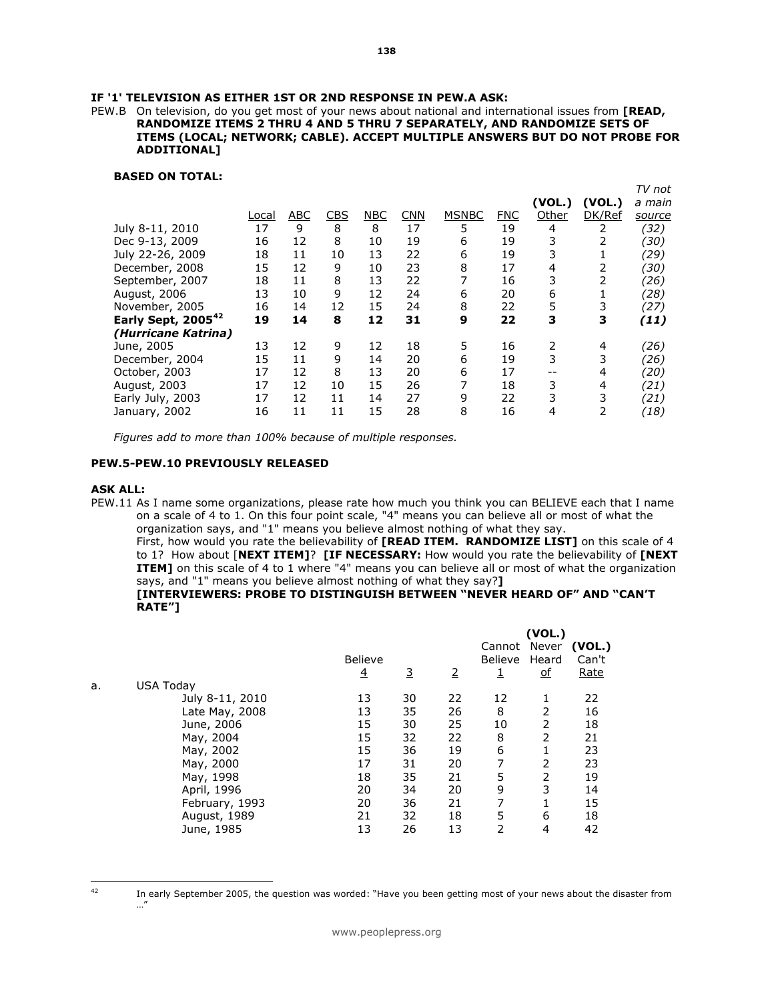#### IF '1' TELEVISION AS EITHER 1ST OR 2ND RESPONSE IN PEW.A ASK:

PEW.B On television, do you get most of your news about national and international issues from **[READ,** RANDOMIZE ITEMS 2 THRU 4 AND 5 THRU 7 SEPARATELY, AND RANDOMIZE SETS OF ITEMS (LOCAL; NETWORK; CABLE). ACCEPT MULTIPLE ANSWERS BUT DO NOT PROBE FOR ADDITIONAL]

#### BASED ON TOTAL:

|                                |       |            |            |            |     |              |            |        |        | TV not |
|--------------------------------|-------|------------|------------|------------|-----|--------------|------------|--------|--------|--------|
|                                |       |            |            |            |     |              |            | (VOL.) | (VOL.) | a main |
|                                | Local | <b>ABC</b> | <b>CBS</b> | <b>NBC</b> | CNN | <b>MSNBC</b> | <b>FNC</b> | Other  | DK/Ref | source |
| July 8-11, 2010                | 17    | 9          | 8          | 8          | 17  | 5            | 19         | 4      | 2      | (32)   |
| Dec 9-13, 2009                 | 16    | 12         | 8          | 10         | 19  | 6            | 19         | 3      |        | (30)   |
| July 22-26, 2009               | 18    | 11         | 10         | 13         | 22  | 6            | 19         | 3      |        | (29)   |
| December, 2008                 | 15    | 12         | 9          | 10         | 23  | 8            | 17         | 4      | 2      | (30)   |
| September, 2007                | 18    | 11         | 8          | 13         | 22  | 7            | 16         | 3      | 2      | (26)   |
| August, 2006                   | 13    | 10         | 9          | 12         | 24  | 6            | 20         | 6      |        | (28)   |
| November, 2005                 | 16    | 14         | 12         | 15         | 24  | 8            | 22         | 5      | 3      | (27)   |
| Early Sept, 2005 <sup>42</sup> | 19    | 14         | 8          | 12         | 31  | 9            | 22         | 3      | 3      | (11)   |
| (Hurricane Katrina)            |       |            |            |            |     |              |            |        |        |        |
| June, 2005                     | 13    | 12         | 9          | 12         | 18  | 5            | 16         | 2      | 4      | (26)   |
| December, 2004                 | 15    | 11         | 9          | 14         | 20  | 6            | 19         | 3      | 3      | (26)   |
| October, 2003                  | 17    | 12         | 8          | 13         | 20  | 6            | 17         |        | 4      | (20)   |
| August, 2003                   | 17    | 12         | 10         | 15         | 26  | 7            | 18         | 3      | 4      | (21)   |
| Early July, 2003               | 17    | 12         | 11         | 14         | 27  | 9            | 22         | 3      | 3      | (21)   |
| January, 2002                  | 16    | 11         | 11         | 15         | 28  | 8            | 16         | 4      | 2      | (18)   |
|                                |       |            |            |            |     |              |            |        |        |        |

Figures add to more than 100% because of multiple responses.

#### PEW.5-PEW.10 PREVIOUSLY RELEASED

#### ASK ALL:

PEW.11 As I name some organizations, please rate how much you think you can BELIEVE each that I name on a scale of 4 to 1. On this four point scale, "4" means you can believe all or most of what the organization says, and "1" means you believe almost nothing of what they say.

First, how would you rate the believability of [READ ITEM. RANDOMIZE LIST] on this scale of 4 to 1? How about [NEXT ITEM]? [IF NECESSARY: How would you rate the believability of [NEXT **ITEM]** on this scale of 4 to 1 where "4" means you can believe all or most of what the organization says, and "1" means you believe almost nothing of what they say?]

#### [INTERVIEWERS: PROBE TO DISTINGUISH BETWEEN "NEVER HEARD OF" AND "CAN'T RATE"]

|    |                  |                |          | (VOL.) |                         |                           |                 |
|----|------------------|----------------|----------|--------|-------------------------|---------------------------|-----------------|
|    |                  | <b>Believe</b> |          |        | Cannot Never<br>Believe | Heard                     | (VOL.)<br>Can't |
|    |                  | $\overline{4}$ | <u>3</u> | 2      |                         | $\underline{\mathsf{of}}$ | Rate            |
| a. | <b>USA Today</b> |                |          |        |                         |                           |                 |
|    | July 8-11, 2010  | 13             | 30       | 22     | 12                      | 1                         | 22              |
|    | Late May, 2008   | 13             | 35       | 26     | 8                       | 2                         | 16              |
|    | June, 2006       | 15             | 30       | 25     | 10                      | 2                         | 18              |
|    | May, 2004        | 15             | 32       | 22     | 8                       | 2                         | 21              |
|    | May, 2002        | 15             | 36       | 19     | 6                       | 1                         | 23              |
|    | May, 2000        | 17             | 31       | 20     | 7                       | 2                         | 23              |
|    | May, 1998        | 18             | 35       | 21     | 5                       | 2                         | 19              |
|    | April, 1996      | 20             | 34       | 20     | 9                       | 3                         | 14              |
|    | February, 1993   | 20             | 36       | 21     | 7                       |                           | 15              |
|    | August, 1989     | 21             | 32       | 18     | 5                       | 6                         | 18              |
|    | June, 1985       | 13             | 26       | 13     | 2                       | 4                         | 42              |
|    |                  |                |          |        |                         |                           |                 |

 $42$ 

In early September 2005, the question was worded: "Have you been getting most of your news about the disaster from …"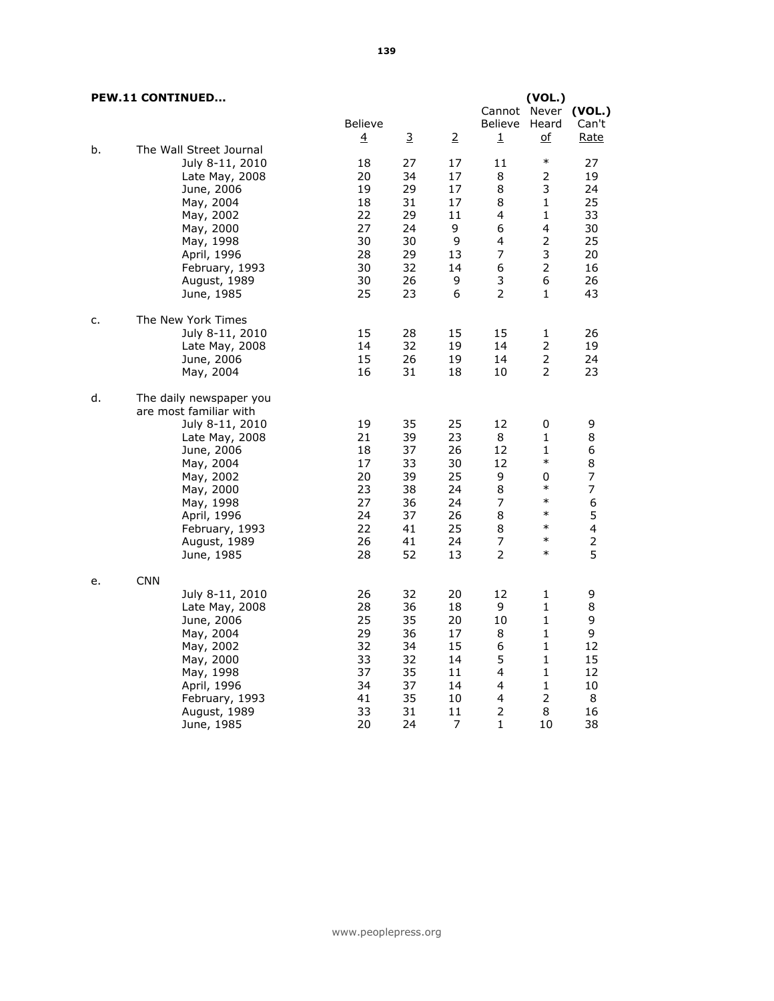|    | <b>PEW.11 CONTINUED</b> |                |    |                | Cannot         | (VOL.)<br>Never | (VOL.)         |
|----|-------------------------|----------------|----|----------------|----------------|-----------------|----------------|
|    |                         | <b>Believe</b> |    |                | <b>Believe</b> | Heard           | Can't          |
|    |                         | $\overline{4}$ | 3  | $\overline{2}$ | $\mathbf 1$    | <u>of</u>       | Rate           |
| b. | The Wall Street Journal |                |    |                |                |                 |                |
|    | July 8-11, 2010         | 18             | 27 | 17             | 11             | $\ast$          | 27             |
|    | Late May, 2008          | 20             | 34 | 17             | 8              | 2               | 19             |
|    | June, 2006              | 19             | 29 | 17             | 8              | 3               | 24             |
|    | May, 2004               | 18             | 31 | 17             | 8              | 1               | 25             |
|    | May, 2002               | 22             | 29 | 11             | 4              | $\mathbf{1}$    | 33             |
|    | May, 2000               | 27             | 24 | 9              | 6              | 4               | 30             |
|    | May, 1998               | 30             | 30 | 9              | 4              | 2               | 25             |
|    | April, 1996             | 28             | 29 | 13             | 7              | 3               | 20             |
|    | February, 1993          | 30             | 32 | 14             | 6              | $\overline{2}$  | 16             |
|    | August, 1989            | 30             | 26 | 9              | 3              | 6               | 26             |
|    | June, 1985              | 25             | 23 | 6              | $\overline{2}$ | $\mathbf{1}$    | 43             |
| c. | The New York Times      |                |    |                |                |                 |                |
|    | July 8-11, 2010         | 15             | 28 | 15             | 15             | 1               | 26             |
|    | Late May, 2008          | 14             | 32 | 19             | 14             | 2               | 19             |
|    | June, 2006              | 15             | 26 | 19             | 14             | $\overline{2}$  | 24             |
|    | May, 2004               | 16             | 31 | 18             | 10             | $\overline{2}$  | 23             |
| d. | The daily newspaper you |                |    |                |                |                 |                |
|    | are most familiar with  |                |    |                |                |                 |                |
|    | July 8-11, 2010         | 19             | 35 | 25             | 12             | 0               | 9              |
|    | Late May, 2008          | 21             | 39 | 23             | 8              | $\mathbf{1}$    | $\bf 8$        |
|    | June, 2006              | 18             | 37 | 26             | 12             | 1               | 6              |
|    | May, 2004               | 17             | 33 | 30             | 12             | $\ast$          | $\bf 8$        |
|    | May, 2002               | 20             | 39 | 25             | 9              | 0               | $\overline{7}$ |
|    | May, 2000               | 23             | 38 | 24             | 8              | $\ast$          | $\overline{7}$ |
|    | May, 1998               | 27             | 36 | 24             | $\overline{7}$ | $\ast$          | 6              |

June, 1985

June, 1985

e. CNN

May, 1998 27 36 24 7 \* 6<br>April, 1996 24 37 26 8 \* 5 April, 1996 24 37 26 8 \* 5 February, 1993 22 41 25 8 \* 4 August, 1989 26 41 24 7 \* 2<br>June, 1985 28 52 13 2 \* 5

July 8-11, 2010 26 32 20 12 1 9

May, 2000 33 32 14 5 1 15<br>May, 1998 37 35 11 4 1 12

 February, 1993 41 35 10 4 2 8 August, 1989 33 31 11 2 8 16

 Late May, 2008 28 36 18 9 1 8 June, 2006 25 35 20 10 1 9 May, 2004 29 36 17 8 1 9 May, 2002 32 34 15 6 1 12

 May, 1998 37 35 11 4 1 12 April, 1996 34 37 14 4 1 10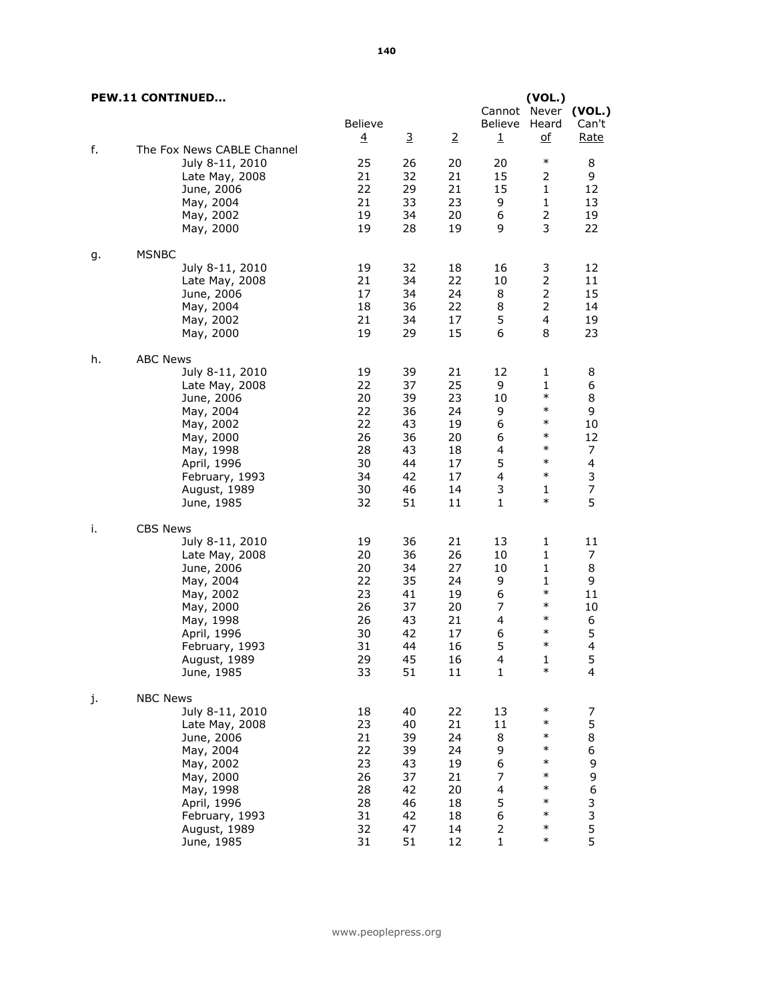|    | <b>PEW.11 CONTINUED</b>                                                                                                                                                               | <b>Believe</b><br>$\overline{4}$                               | 3                                                              | $\overline{2}$                                                 | Cannot Never<br>Believe<br>1                                      | (VOL.)<br>Heard<br><u>of</u>                                                                                      | (VOL.)<br>Can't<br><u>Rate</u>                                               |
|----|---------------------------------------------------------------------------------------------------------------------------------------------------------------------------------------|----------------------------------------------------------------|----------------------------------------------------------------|----------------------------------------------------------------|-------------------------------------------------------------------|-------------------------------------------------------------------------------------------------------------------|------------------------------------------------------------------------------|
| f. | The Fox News CABLE Channel<br>July 8-11, 2010<br>Late May, 2008<br>June, 2006<br>May, 2004<br>May, 2002<br>May, 2000                                                                  | 25<br>21<br>22<br>21<br>19<br>19                               | 26<br>32<br>29<br>33<br>34<br>28                               | 20<br>21<br>21<br>23<br>20<br>19                               | 20<br>15<br>15<br>9<br>6<br>9                                     | $\ast$<br>2<br>1<br>$\mathbf{1}$<br>$\overline{2}$<br>3                                                           | 8<br>9<br>12<br>13<br>19<br>22                                               |
| g. | <b>MSNBC</b><br>July 8-11, 2010<br>Late May, 2008<br>June, 2006<br>May, 2004<br>May, 2002<br>May, 2000                                                                                | 19<br>21<br>17<br>18<br>21<br>19                               | 32<br>34<br>34<br>36<br>34<br>29                               | 18<br>22<br>24<br>22<br>17<br>15                               | 16<br>10<br>8<br>8<br>5<br>6                                      | 3<br>2<br>$\overline{2}$<br>$\overline{2}$<br>4<br>8                                                              | 12<br>11<br>15<br>14<br>19<br>23                                             |
| h. | <b>ABC News</b><br>July 8-11, 2010<br>Late May, 2008<br>June, 2006<br>May, 2004<br>May, 2002<br>May, 2000<br>May, 1998<br>April, 1996<br>February, 1993<br>August, 1989<br>June, 1985 | 19<br>22<br>20<br>22<br>22<br>26<br>28<br>30<br>34<br>30<br>32 | 39<br>37<br>39<br>36<br>43<br>36<br>43<br>44<br>42<br>46<br>51 | 21<br>25<br>23<br>24<br>19<br>20<br>18<br>17<br>17<br>14<br>11 | 12<br>9<br>10<br>9<br>6<br>6<br>4<br>5<br>4<br>3<br>$\mathbf{1}$  | 1<br>$\mathbf{1}$<br>$\ast$<br>$\ast$<br>$\ast$<br>$\ast$<br>$\ast$<br>$\ast$<br>$\ast$<br>$\mathbf{1}$<br>$\ast$ | 8<br>6<br>8<br>9<br>10<br>12<br>7<br>4<br>3<br>$\overline{\mathcal{I}}$<br>5 |
| i. | <b>CBS News</b><br>July 8-11, 2010<br>Late May, 2008<br>June, 2006<br>May, 2004<br>May, 2002<br>May, 2000<br>May, 1998<br>April, 1996<br>February, 1993<br>August, 1989<br>June, 1985 | 19<br>20<br>20<br>22<br>23<br>26<br>26<br>30<br>31<br>29<br>33 | 36<br>36<br>34<br>35<br>41<br>37<br>43<br>42<br>44<br>45<br>51 | 21<br>26<br>27<br>24<br>19<br>20<br>21<br>17<br>16<br>16<br>11 | 13<br>10<br>10<br>9<br>6<br>7<br>4<br>6<br>5<br>4<br>$\mathbf{1}$ | 1<br>1<br>$\mathbf{1}$<br>$\mathbf{1}$<br>$\ast$<br>$\ast$<br>$\ast$<br>$\ast$<br>$\ast$<br>ı<br>$\ast$           | 11<br>7<br>8<br>9<br>11<br>10<br>6<br>5<br>4<br>5<br>$\overline{\mathbf{4}}$ |
| j. | <b>NBC News</b><br>July 8-11, 2010<br>Late May, 2008<br>June, 2006<br>May, 2004<br>May, 2002<br>May, 2000<br>May, 1998<br>April, 1996<br>February, 1993<br>August, 1989<br>June, 1985 | 18<br>23<br>21<br>22<br>23<br>26<br>28<br>28<br>31<br>32<br>31 | 40<br>40<br>39<br>39<br>43<br>37<br>42<br>46<br>42<br>47<br>51 | 22<br>21<br>24<br>24<br>19<br>21<br>20<br>18<br>18<br>14<br>12 | 13<br>11<br>8<br>9<br>6<br>7<br>4<br>5<br>6<br>2<br>$\mathbf{1}$  | $\ast$<br>$\ast$<br>$\ast$<br>$\ast$<br>$\ast$<br>$\ast$<br>$\ast$<br>$\ast$<br>$\ast$<br>$\ast$<br>$\ast$        | 7<br>5<br>8<br>6<br>9<br>9<br>6<br>3<br>3<br>5<br>5<br>5                     |